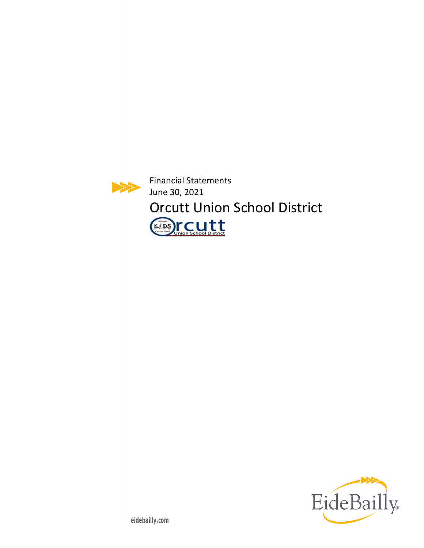

Financial Statements June 30, 2021 Orcutt Union School District ELDS ICULT

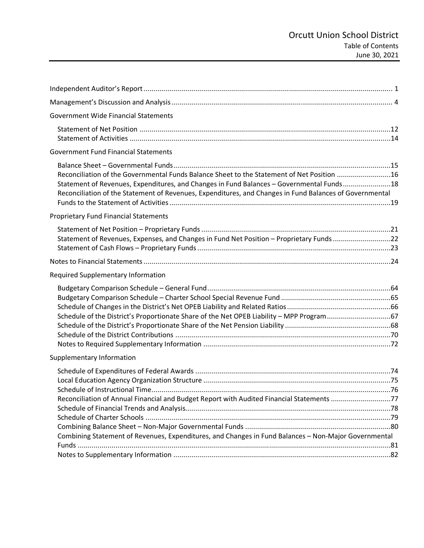| <b>Government Wide Financial Statements</b>                                                                                                                                                                                                                                                       |  |
|---------------------------------------------------------------------------------------------------------------------------------------------------------------------------------------------------------------------------------------------------------------------------------------------------|--|
|                                                                                                                                                                                                                                                                                                   |  |
| <b>Government Fund Financial Statements</b>                                                                                                                                                                                                                                                       |  |
| Reconciliation of the Governmental Funds Balance Sheet to the Statement of Net Position 16<br>Statement of Revenues, Expenditures, and Changes in Fund Balances - Governmental Funds18<br>Reconciliation of the Statement of Revenues, Expenditures, and Changes in Fund Balances of Governmental |  |
| <b>Proprietary Fund Financial Statements</b>                                                                                                                                                                                                                                                      |  |
| Statement of Revenues, Expenses, and Changes in Fund Net Position - Proprietary Funds 22                                                                                                                                                                                                          |  |
|                                                                                                                                                                                                                                                                                                   |  |
| Required Supplementary Information                                                                                                                                                                                                                                                                |  |
|                                                                                                                                                                                                                                                                                                   |  |
| Supplementary Information                                                                                                                                                                                                                                                                         |  |
| Reconciliation of Annual Financial and Budget Report with Audited Financial Statements 77<br>Combining Statement of Revenues, Expenditures, and Changes in Fund Balances - Non-Major Governmental                                                                                                 |  |
|                                                                                                                                                                                                                                                                                                   |  |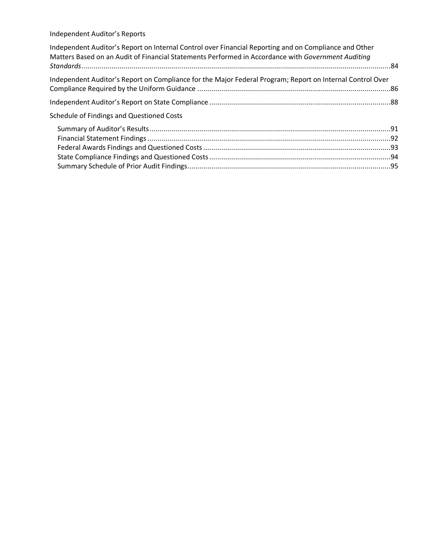Independent Auditor's Reports

| Independent Auditor's Report on Internal Control over Financial Reporting and on Compliance and Other<br>Matters Based on an Audit of Financial Statements Performed in Accordance with Government Auditing |  |
|-------------------------------------------------------------------------------------------------------------------------------------------------------------------------------------------------------------|--|
|                                                                                                                                                                                                             |  |
| Independent Auditor's Report on Compliance for the Major Federal Program; Report on Internal Control Over                                                                                                   |  |
|                                                                                                                                                                                                             |  |
|                                                                                                                                                                                                             |  |
| Schedule of Findings and Questioned Costs                                                                                                                                                                   |  |
|                                                                                                                                                                                                             |  |
|                                                                                                                                                                                                             |  |
|                                                                                                                                                                                                             |  |
|                                                                                                                                                                                                             |  |
|                                                                                                                                                                                                             |  |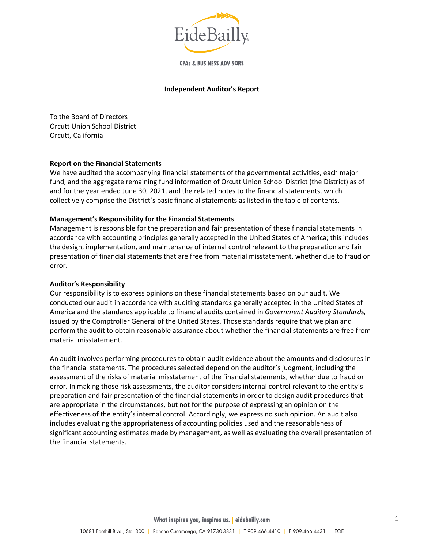

**CPAs & BUSINESS ADVISORS** 

#### **Independent Auditor's Report**

To the Board of Directors Orcutt Union School District Orcutt, California

### **Report on the Financial Statements**

We have audited the accompanying financial statements of the governmental activities, each major fund, and the aggregate remaining fund information of Orcutt Union School District (the District) as of and for the year ended June 30, 2021, and the related notes to the financial statements, which collectively comprise the District's basic financial statements as listed in the table of contents.

### **Management's Responsibility for the Financial Statements**

Management is responsible for the preparation and fair presentation of these financial statements in accordance with accounting principles generally accepted in the United States of America; this includes the design, implementation, and maintenance of internal control relevant to the preparation and fair presentation of financial statements that are free from material misstatement, whether due to fraud or error.

# **Auditor's Responsibility**

Our responsibility is to express opinions on these financial statements based on our audit. We conducted our audit in accordance with auditing standards generally accepted in the United States of America and the standards applicable to financial audits contained in *Government Auditing Standards,*  issued by the Comptroller General of the United States. Those standards require that we plan and perform the audit to obtain reasonable assurance about whether the financial statements are free from material misstatement.

An audit involves performing procedures to obtain audit evidence about the amounts and disclosures in the financial statements. The procedures selected depend on the auditor's judgment, including the assessment of the risks of material misstatement of the financial statements, whether due to fraud or error. In making those risk assessments, the auditor considers internal control relevant to the entity's preparation and fair presentation of the financial statements in order to design audit procedures that are appropriate in the circumstances, but not for the purpose of expressing an opinion on the effectiveness of the entity's internal control. Accordingly, we express no such opinion. An audit also includes evaluating the appropriateness of accounting policies used and the reasonableness of significant accounting estimates made by management, as well as evaluating the overall presentation of the financial statements.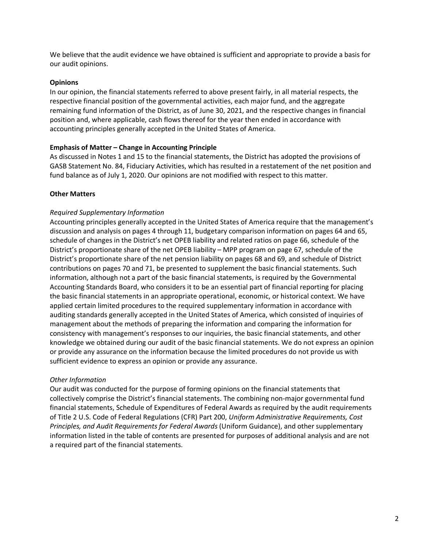We believe that the audit evidence we have obtained is sufficient and appropriate to provide a basis for our audit opinions.

# **Opinions**

In our opinion, the financial statements referred to above present fairly, in all material respects, the respective financial position of the governmental activities, each major fund, and the aggregate remaining fund information of the District, as of June 30, 2021, and the respective changes in financial position and, where applicable, cash flows thereof for the year then ended in accordance with accounting principles generally accepted in the United States of America.

# **Emphasis of Matter – Change in Accounting Principle**

As discussed in Notes 1 and 15 to the financial statements, the District has adopted the provisions of GASB Statement No. 84, Fiduciary Activities, which has resulted in a restatement of the net position and fund balance as of July 1, 2020. Our opinions are not modified with respect to this matter.

# **Other Matters**

# *Required Supplementary Information*

Accounting principles generally accepted in the United States of America require that the management's discussion and analysis on pages 4 through 11, budgetary comparison information on pages 64 and 65, schedule of changes in the District's net OPEB liability and related ratios on page 66, schedule of the District's proportionate share of the net OPEB liability – MPP program on page 67, schedule of the District's proportionate share of the net pension liability on pages 68 and 69, and schedule of District contributions on pages 70 and 71, be presented to supplement the basic financial statements. Such information, although not a part of the basic financial statements, is required by the Governmental Accounting Standards Board, who considers it to be an essential part of financial reporting for placing the basic financial statements in an appropriate operational, economic, or historical context. We have applied certain limited procedures to the required supplementary information in accordance with auditing standards generally accepted in the United States of America, which consisted of inquiries of management about the methods of preparing the information and comparing the information for consistency with management's responses to our inquiries, the basic financial statements, and other knowledge we obtained during our audit of the basic financial statements. We do not express an opinion or provide any assurance on the information because the limited procedures do not provide us with sufficient evidence to express an opinion or provide any assurance.

# *Other Information*

Our audit was conducted for the purpose of forming opinions on the financial statements that collectively comprise the District's financial statements. The combining non-major governmental fund financial statements, Schedule of Expenditures of Federal Awards as required by the audit requirements of Title 2 U.S. Code of Federal Regulations (CFR) Part 200, *Uniform Administrative Requirements, Cost Principles, and Audit Requirements for Federal Awards* (Uniform Guidance), and other supplementary information listed in the table of contents are presented for purposes of additional analysis and are not a required part of the financial statements.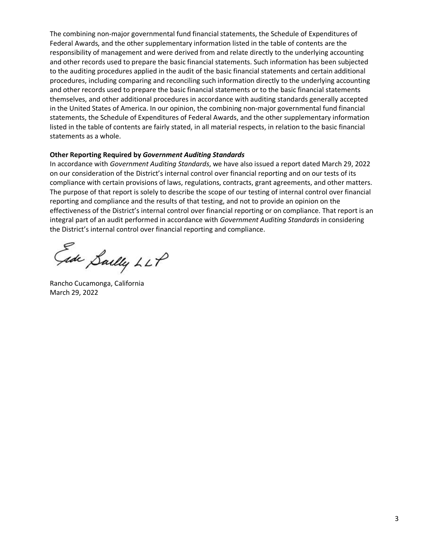The combining non-major governmental fund financial statements, the Schedule of Expenditures of Federal Awards, and the other supplementary information listed in the table of contents are the responsibility of management and were derived from and relate directly to the underlying accounting and other records used to prepare the basic financial statements. Such information has been subjected to the auditing procedures applied in the audit of the basic financial statements and certain additional procedures, including comparing and reconciling such information directly to the underlying accounting and other records used to prepare the basic financial statements or to the basic financial statements themselves, and other additional procedures in accordance with auditing standards generally accepted in the United States of America. In our opinion, the combining non-major governmental fund financial statements, the Schedule of Expenditures of Federal Awards, and the other supplementary information listed in the table of contents are fairly stated, in all material respects, in relation to the basic financial statements as a whole.

### **Other Reporting Required by** *Government Auditing Standards*

In accordance with *Government Auditing Standards*, we have also issued a report dated March 29, 2022 on our consideration of the District's internal control over financial reporting and on our tests of its compliance with certain provisions of laws, regulations, contracts, grant agreements, and other matters. The purpose of that report is solely to describe the scope of our testing of internal control over financial reporting and compliance and the results of that testing, and not to provide an opinion on the effectiveness of the District's internal control over financial reporting or on compliance. That report is an integral part of an audit performed in accordance with *Government Auditing Standards* in considering the District's internal control over financial reporting and compliance.

Fade Sailly LLP

Rancho Cucamonga, California March 29, 2022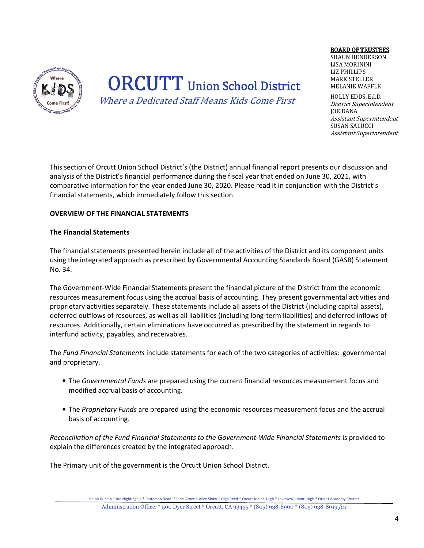

# **ORCUTT** Union School District

Where a Dedicated Staff Means Kids Come First

#### BOARD OF TRUSTEES

SHAUN HENDERSON LISA MORININI LIZ PHILLIPS MARK STELLER MELANIE WAFFLE

HOLLY EDDS, Ed.D. District Superintendent JOE DANA Assistant Superintendent SUSAN SALUCCI Assistant Superintendent

This section of Orcutt Union School District's (the District) annual financial report presents our discussion and analysis of the District's financial performance during the fiscal year that ended on June 30, 2021, with comparative information for the year ended June 30, 2020. Please read it in conjunction with the District's financial statements, which immediately follow this section.

# **OVERVIEW OF THE FINANCIAL STATEMENTS**

# **The Financial Statements**

The financial statements presented herein include all of the activities of the District and its component units using the integrated approach as prescribed by Governmental Accounting Standards Board (GASB) Statement No. 34.

The Government-Wide Financial Statements present the financial picture of the District from the economic resources measurement focus using the accrual basis of accounting. They present governmental activities and proprietary activities separately. These statements include all assets of the District (including capital assets), deferred outflows of resources, as well as all liabilities (including long-term liabilities) and deferred inflows of resources. Additionally, certain eliminations have occurred as prescribed by the statement in regards to interfund activity, payables, and receivables.

The *Fund Financial Statements* include statements for each of the two categories of activities: governmental and proprietary.

- The *Governmental Funds* are prepared using the current financial resources measurement focus and modified accrual basis of accounting.
- The *Proprietary Funds* are prepared using the economic resources measurement focus and the accrual basis of accounting.

*Reconciliation of the Fund Financial Statements to the Government-Wide Financial Statements* is provided to explain the differences created by the integrated approach.

The Primary unit of the government is the Orcutt Union School District.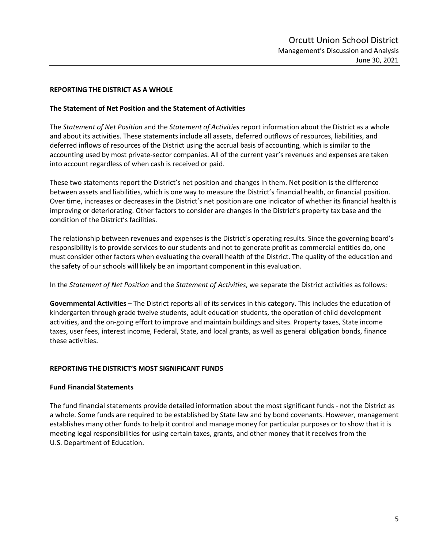### **REPORTING THE DISTRICT AS A WHOLE**

### **The Statement of Net Position and the Statement of Activities**

The *Statement of Net Position* and the *Statement of Activities* report information about the District as a whole and about its activities. These statements include all assets, deferred outflows of resources, liabilities, and deferred inflows of resources of the District using the accrual basis of accounting*,* which is similar to the accounting used by most private-sector companies. All of the current year's revenues and expenses are taken into account regardless of when cash is received or paid.

These two statements report the District's net position and changes in them. Net position is the difference between assets and liabilities, which is one way to measure the District's financial health, or financial position. Over time, increases or decreases in the District's net position are one indicator of whether its financial health is improving or deteriorating. Other factors to consider are changes in the District's property tax base and the condition of the District's facilities.

The relationship between revenues and expenses is the District's operating results*.* Since the governing board's responsibility is to provide services to our students and not to generate profit as commercial entities do, one must consider other factors when evaluating the overall health of the District. The quality of the education and the safety of our schools will likely be an important component in this evaluation.

In the *Statement of Net Position* and the *Statement of Activities*, we separate the District activities as follows:

**Governmental Activities** – The District reports all of its services in this category. This includes the education of kindergarten through grade twelve students, adult education students, the operation of child development activities, and the on-going effort to improve and maintain buildings and sites. Property taxes, State income taxes, user fees, interest income, Federal, State, and local grants, as well as general obligation bonds, finance these activities.

# **REPORTING THE DISTRICT'S MOST SIGNIFICANT FUNDS**

# **Fund Financial Statements**

The fund financial statements provide detailed information about the most significant funds - not the District as a whole. Some funds are required to be established by State law and by bond covenants. However, management establishes many other funds to help it control and manage money for particular purposes or to show that it is meeting legal responsibilities for using certain taxes, grants, and other money that it receives from the U.S. Department of Education.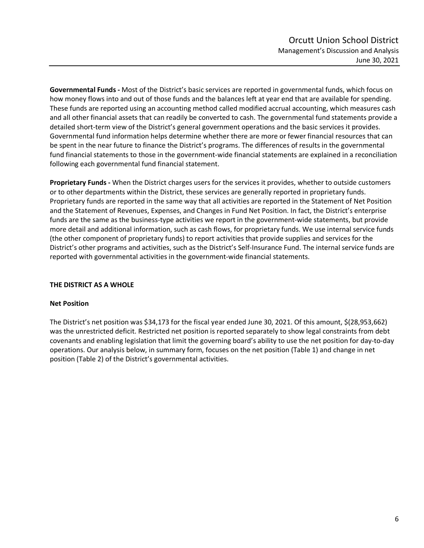**Governmental Funds -** Most of the District's basic services are reported in governmental funds, which focus on how money flows into and out of those funds and the balances left at year end that are available for spending. These funds are reported using an accounting method called modified accrual accounting, which measures cash and all other financial assets that can readily be converted to cash. The governmental fund statements provide a detailed short-term view of the District's general government operations and the basic services it provides. Governmental fund information helps determine whether there are more or fewer financial resources that can be spent in the near future to finance the District's programs. The differences of results in the governmental fund financial statements to those in the government-wide financial statements are explained in a reconciliation following each governmental fund financial statement.

**Proprietary Funds -** When the District charges users for the services it provides, whether to outside customers or to other departments within the District, these services are generally reported in proprietary funds. Proprietary funds are reported in the same way that all activities are reported in the Statement of Net Position and the Statement of Revenues, Expenses, and Changes in Fund Net Position. In fact, the District's enterprise funds are the same as the business-type activities we report in the government-wide statements, but provide more detail and additional information, such as cash flows, for proprietary funds. We use internal service funds (the other component of proprietary funds) to report activities that provide supplies and services for the District's other programs and activities, such as the District's Self-Insurance Fund. The internal service funds are reported with governmental activities in the government-wide financial statements.

# **THE DISTRICT AS A WHOLE**

# **Net Position**

The District's net position was \$34,173 for the fiscal year ended June 30, 2021. Of this amount, \$(28,953,662) was the unrestricted deficit. Restricted net position is reported separately to show legal constraints from debt covenants and enabling legislation that limit the governing board's ability to use the net position for day-to-day operations. Our analysis below, in summary form, focuses on the net position (Table 1) and change in net position (Table 2) of the District's governmental activities.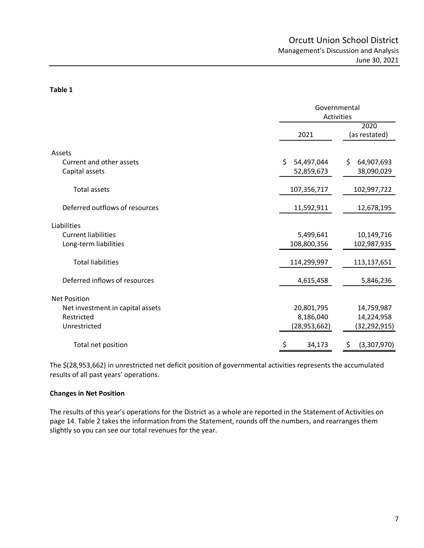|                                  | Governmental<br><b>Activities</b> |                       |  |  |
|----------------------------------|-----------------------------------|-----------------------|--|--|
|                                  | 2021                              | 2020<br>(as restated) |  |  |
| Assets                           |                                   |                       |  |  |
| Current and other assets         | \$<br>54,497,044                  | \$<br>64,907,693      |  |  |
| Capital assets                   | 52,859,673                        | 38,090,029            |  |  |
| <b>Total assets</b>              | 107,356,717                       | 102,997,722           |  |  |
| Deferred outflows of resources   | 11,592,911                        | 12,678,195            |  |  |
| Liabilities                      |                                   |                       |  |  |
| <b>Current liabilities</b>       | 5,499,641                         | 10,149,716            |  |  |
| Long-term liabilities            | 108,800,356                       | 102,987,935           |  |  |
| <b>Total liabilities</b>         | 114,299,997                       | 113,137,651           |  |  |
| Deferred inflows of resources    | 4,615,458                         | 5,846,236             |  |  |
| <b>Net Position</b>              |                                   |                       |  |  |
| Net investment in capital assets | 20,801,795                        | 14,759,987            |  |  |
| Restricted                       | 8,186,040                         | 14,224,958            |  |  |
| Unrestricted                     | (28,953,662)                      | (32, 292, 915)        |  |  |
| Total net position               | \$<br>34,173                      | \$<br>(3,307,970)     |  |  |

**Table 1** 

The \$(28,953,662) in unrestricted net deficit position of governmental activities represents the accumulated results of all past years' operations.

# **Changes in Net Position**

The results of this year's operations for the District as a whole are reported in the Statement of Activities on page 14. Table 2 takes the information from the Statement, rounds off the numbers, and rearranges them slightly so you can see our total revenues for the year.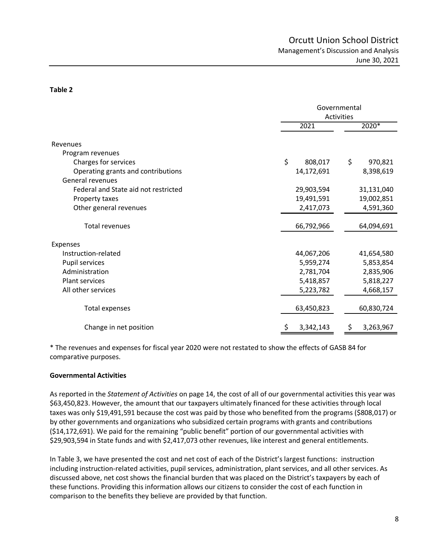| . .<br>×<br>۰.<br>×<br>۰. |
|---------------------------|
|---------------------------|

|                                                        | Governmental<br>Activities |            |    |            |
|--------------------------------------------------------|----------------------------|------------|----|------------|
|                                                        |                            | 2021       |    | 2020*      |
| Revenues                                               |                            |            |    |            |
| Program revenues                                       |                            |            |    |            |
| Charges for services                                   | \$                         | 808,017    | \$ | 970,821    |
| Operating grants and contributions<br>General revenues |                            | 14,172,691 |    | 8,398,619  |
| Federal and State aid not restricted                   |                            | 29,903,594 |    | 31,131,040 |
| Property taxes                                         |                            | 19,491,591 |    | 19,002,851 |
| Other general revenues                                 |                            | 2,417,073  |    | 4,591,360  |
| Total revenues                                         |                            | 66,792,966 |    | 64,094,691 |
| Expenses                                               |                            |            |    |            |
| Instruction-related                                    |                            | 44,067,206 |    | 41,654,580 |
| Pupil services                                         |                            | 5,959,274  |    | 5,853,854  |
| Administration                                         |                            | 2,781,704  |    | 2,835,906  |
| <b>Plant services</b>                                  |                            | 5,418,857  |    | 5,818,227  |
| All other services                                     |                            | 5,223,782  |    | 4,668,157  |
| <b>Total expenses</b>                                  |                            | 63,450,823 |    | 60,830,724 |
| Change in net position                                 | \$                         | 3,342,143  | \$ | 3,263,967  |

\* The revenues and expenses for fiscal year 2020 were not restated to show the effects of GASB 84 for comparative purposes.

# **Governmental Activities**

As reported in the *Statement of Activities* on page 14, the cost of all of our governmental activities this year was \$63,450,823. However, the amount that our taxpayers ultimately financed for these activities through local taxes was only \$19,491,591 because the cost was paid by those who benefited from the programs (\$808,017) or by other governments and organizations who subsidized certain programs with grants and contributions (\$14,172,691). We paid for the remaining "public benefit" portion of our governmental activities with \$29,903,594 in State funds and with \$2,417,073 other revenues, like interest and general entitlements.

In Table 3, we have presented the cost and net cost of each of the District's largest functions: instruction including instruction-related activities, pupil services, administration, plant services, and all other services. As discussed above, net cost shows the financial burden that was placed on the District's taxpayers by each of these functions. Providing this information allows our citizens to consider the cost of each function in comparison to the benefits they believe are provided by that function.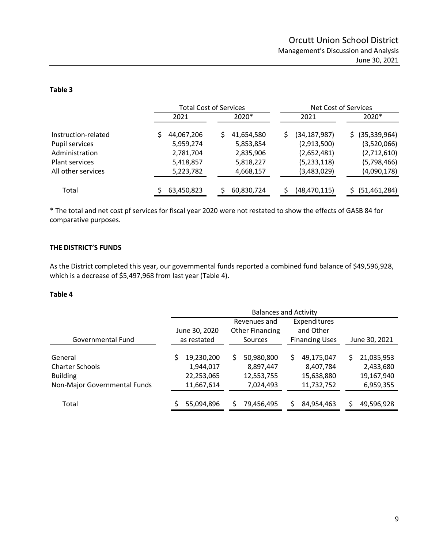# **Table 3**

|                       |            | <b>Total Cost of Services</b> |                      | Net Cost of Services |  |
|-----------------------|------------|-------------------------------|----------------------|----------------------|--|
|                       | 2021       | 2020*                         | 2021                 | 2020*                |  |
| Instruction-related   | 44,067,206 | 41,654,580                    | (34, 187, 987)<br>\$ | (35, 339, 964)<br>Ś. |  |
| Pupil services        | 5,959,274  | 5,853,854                     | (2,913,500)          | (3,520,066)          |  |
| Administration        | 2,781,704  | 2,835,906                     | (2,652,481)          | (2,712,610)          |  |
| <b>Plant services</b> | 5,418,857  | 5,818,227                     | (5,233,118)          | (5,798,466)          |  |
| All other services    | 5,223,782  | 4,668,157                     | (3,483,029)          | (4,090,178)          |  |
| Total                 | 63,450,823 | 60,830,724                    | (48, 470, 115)       | (51, 461, 284)       |  |

\* The total and net cost pf services for fiscal year 2020 were not restated to show the effects of GASB 84 for comparative purposes.

# **THE DISTRICT'S FUNDS**

As the District completed this year, our governmental funds reported a combined fund balance of \$49,596,928, which is a decrease of \$5,497,968 from last year (Table 4).

# **Table 4**

|                                                 | <b>Balances and Activity</b> |                                   |                                    |                              |  |  |
|-------------------------------------------------|------------------------------|-----------------------------------|------------------------------------|------------------------------|--|--|
|                                                 | Revenues and                 |                                   | Expenditures                       |                              |  |  |
| Governmental Fund                               | June 30, 2020<br>as restated | <b>Other Financing</b><br>Sources | and Other<br><b>Financing Uses</b> | June 30, 2021                |  |  |
| General<br><b>Charter Schools</b>               | 19,230,200<br>1,944,017      | 50,980,800<br>S<br>8,897,447      | 49,175,047<br>Ś.<br>8,407,784      | 21,035,953<br>Ś<br>2,433,680 |  |  |
| <b>Building</b><br>Non-Major Governmental Funds | 22,253,065<br>11,667,614     | 12,553,755<br>7,024,493           | 15,638,880<br>11,732,752           | 19,167,940<br>6,959,355      |  |  |
| Total                                           | 55,094,896                   | 79,456,495                        | 84,954,463                         | 49,596,928                   |  |  |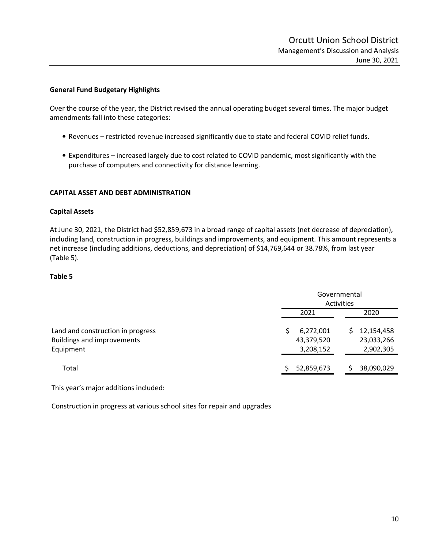# **General Fund Budgetary Highlights**

Over the course of the year, the District revised the annual operating budget several times. The major budget amendments fall into these categories:

- Revenues restricted revenue increased significantly due to state and federal COVID relief funds.
- Expenditures increased largely due to cost related to COVID pandemic, most significantly with the purchase of computers and connectivity for distance learning.

# **CAPITAL ASSET AND DEBT ADMINISTRATION**

### **Capital Assets**

At June 30, 2021, the District had \$52,859,673 in a broad range of capital assets (net decrease of depreciation), including land, construction in progress, buildings and improvements, and equipment. This amount represents a net increase (including additions, deductions, and depreciation) of \$14,769,644 or 38.78%, from last year (Table 5).

#### **Table 5**

|                                   | Governmental<br>Activities |                  |  |  |
|-----------------------------------|----------------------------|------------------|--|--|
|                                   | 2021                       | 2020             |  |  |
| Land and construction in progress | 6,272,001                  | 12,154,458<br>S. |  |  |
| <b>Buildings and improvements</b> | 43,379,520                 | 23,033,266       |  |  |
| Equipment                         | 3,208,152                  | 2,902,305        |  |  |
| Total                             | 52,859,673                 | 38,090,029       |  |  |
|                                   |                            |                  |  |  |

This year's major additions included:

Construction in progress at various school sites for repair and upgrades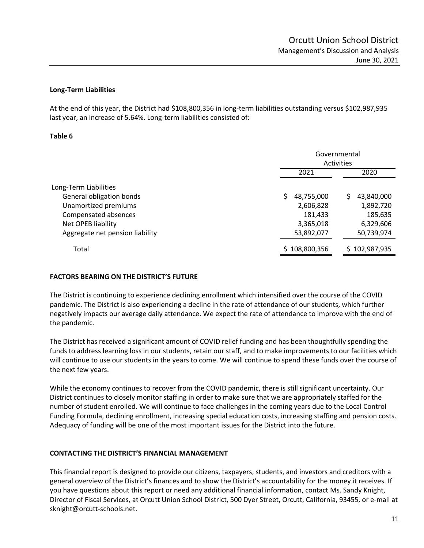# **Long-Term Liabilities**

At the end of this year, the District had \$108,800,356 in long-term liabilities outstanding versus \$102,987,935 last year, an increase of 5.64%. Long-term liabilities consisted of:

# **Table 6**

|                                 | Governmental<br>Activities |                 |  |  |
|---------------------------------|----------------------------|-----------------|--|--|
|                                 | 2021<br>2020               |                 |  |  |
| Long-Term Liabilities           |                            |                 |  |  |
| General obligation bonds        | \$<br>48,755,000           | Ś<br>43,840,000 |  |  |
| Unamortized premiums            | 2,606,828                  | 1,892,720       |  |  |
| Compensated absences            | 181,433                    | 185,635         |  |  |
| Net OPEB liability              | 3,365,018                  | 6,329,606       |  |  |
| Aggregate net pension liability | 53,892,077                 | 50,739,974      |  |  |
| Total                           | \$108,800,356              | \$102,987,935   |  |  |

# **FACTORS BEARING ON THE DISTRICT'S FUTURE**

The District is continuing to experience declining enrollment which intensified over the course of the COVID pandemic. The District is also experiencing a decline in the rate of attendance of our students, which further negatively impacts our average daily attendance. We expect the rate of attendance to improve with the end of the pandemic.

The District has received a significant amount of COVID relief funding and has been thoughtfully spending the funds to address learning loss in our students, retain our staff, and to make improvements to our facilities which will continue to use our students in the years to come. We will continue to spend these funds over the course of the next few years.

While the economy continues to recover from the COVID pandemic, there is still significant uncertainty. Our District continues to closely monitor staffing in order to make sure that we are appropriately staffed for the number of student enrolled. We will continue to face challenges in the coming years due to the Local Control Funding Formula, declining enrollment, increasing special education costs, increasing staffing and pension costs. Adequacy of funding will be one of the most important issues for the District into the future.

# **CONTACTING THE DISTRICT'S FINANCIAL MANAGEMENT**

This financial report is designed to provide our citizens, taxpayers, students, and investors and creditors with a general overview of the District's finances and to show the District's accountability for the money it receives. If you have questions about this report or need any additional financial information, contact Ms. Sandy Knight, Director of Fiscal Services, at Orcutt Union School District, 500 Dyer Street, Orcutt, California, 93455, or e-mail at sknight@orcutt-schools.net.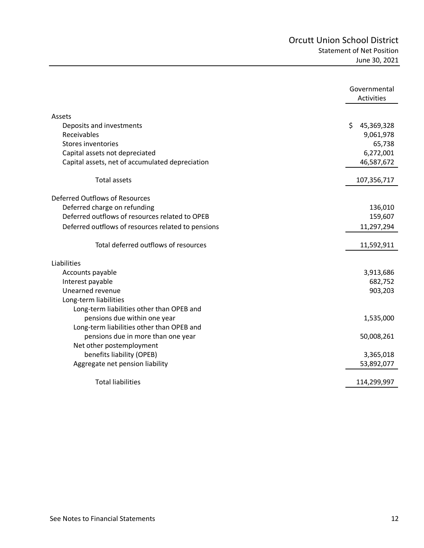|                                                    | Governmental<br>Activities |
|----------------------------------------------------|----------------------------|
| Assets                                             |                            |
| Deposits and investments                           | \$<br>45,369,328           |
| Receivables                                        | 9,061,978                  |
| <b>Stores inventories</b>                          | 65,738                     |
| Capital assets not depreciated                     | 6,272,001                  |
| Capital assets, net of accumulated depreciation    | 46,587,672                 |
| <b>Total assets</b>                                | 107,356,717                |
| Deferred Outflows of Resources                     |                            |
| Deferred charge on refunding                       | 136,010                    |
| Deferred outflows of resources related to OPEB     | 159,607                    |
| Deferred outflows of resources related to pensions | 11,297,294                 |
| Total deferred outflows of resources               | 11,592,911                 |
| Liabilities                                        |                            |
| Accounts payable                                   | 3,913,686                  |
| Interest payable                                   | 682,752                    |
| Unearned revenue                                   | 903,203                    |
| Long-term liabilities                              |                            |
| Long-term liabilities other than OPEB and          |                            |
| pensions due within one year                       | 1,535,000                  |
| Long-term liabilities other than OPEB and          |                            |
| pensions due in more than one year                 | 50,008,261                 |
| Net other postemployment                           |                            |
| benefits liability (OPEB)                          | 3,365,018<br>53,892,077    |
| Aggregate net pension liability                    |                            |
| <b>Total liabilities</b>                           | 114,299,997                |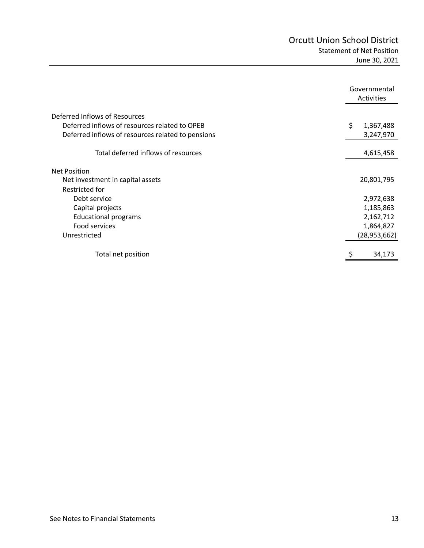|                                                   | Governmental<br>Activities |
|---------------------------------------------------|----------------------------|
| Deferred Inflows of Resources                     |                            |
| Deferred inflows of resources related to OPEB     | \$<br>1,367,488            |
| Deferred inflows of resources related to pensions | 3,247,970                  |
| Total deferred inflows of resources               | 4,615,458                  |
| <b>Net Position</b>                               |                            |
| Net investment in capital assets                  | 20,801,795                 |
| Restricted for                                    |                            |
| Debt service                                      | 2,972,638                  |
| Capital projects                                  | 1,185,863                  |
| <b>Educational programs</b>                       | 2,162,712                  |
| Food services                                     | 1,864,827                  |
| Unrestricted                                      | (28, 953, 662)             |
| Total net position                                | 34,173                     |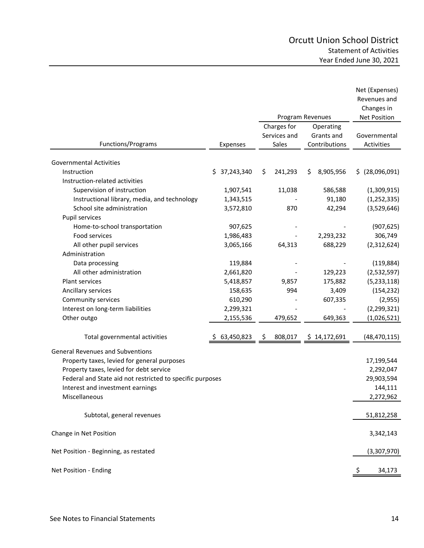|                                                           |                  |    |              |                  | Net (Expenses)<br>Revenues and    |
|-----------------------------------------------------------|------------------|----|--------------|------------------|-----------------------------------|
|                                                           |                  |    |              | Program Revenues | Changes in<br><b>Net Position</b> |
|                                                           |                  |    | Charges for  | Operating        |                                   |
|                                                           |                  |    | Services and | Grants and       | Governmental                      |
| Functions/Programs                                        | Expenses         |    | Sales        | Contributions    | Activities                        |
| <b>Governmental Activities</b>                            |                  |    |              |                  |                                   |
| Instruction                                               | Ś.<br>37,243,340 | \$ | 241,293      | 8,905,956<br>S   | \$ (28,096,091)                   |
| Instruction-related activities                            |                  |    |              |                  |                                   |
| Supervision of instruction                                | 1,907,541        |    | 11,038       | 586,588          | (1,309,915)                       |
| Instructional library, media, and technology              | 1,343,515        |    |              | 91,180           | (1, 252, 335)                     |
| School site administration                                | 3,572,810        |    | 870          | 42,294           | (3,529,646)                       |
| Pupil services                                            |                  |    |              |                  |                                   |
| Home-to-school transportation                             | 907,625          |    |              |                  | (907, 625)                        |
| Food services                                             | 1,986,483        |    |              | 2,293,232        | 306,749                           |
| All other pupil services                                  | 3,065,166        |    | 64,313       | 688,229          | (2,312,624)                       |
| Administration                                            |                  |    |              |                  |                                   |
| Data processing                                           | 119,884          |    |              |                  | (119, 884)                        |
| All other administration                                  | 2,661,820        |    |              | 129,223          | (2,532,597)                       |
| Plant services                                            | 5,418,857        |    | 9,857        | 175,882          | (5,233,118)                       |
| Ancillary services                                        | 158,635          |    | 994          | 3,409            | (154, 232)                        |
| Community services                                        | 610,290          |    |              | 607,335          | (2,955)                           |
| Interest on long-term liabilities                         | 2,299,321        |    |              |                  | (2, 299, 321)                     |
| Other outgo                                               | 2,155,536        |    | 479,652      | 649,363          | (1,026,521)                       |
| Total governmental activities                             | 63,450,823<br>S  | Ş  | 808,017      | \$14,172,691     | (48, 470, 115)                    |
| <b>General Revenues and Subventions</b>                   |                  |    |              |                  |                                   |
| Property taxes, levied for general purposes               |                  |    |              |                  | 17,199,544                        |
| Property taxes, levied for debt service                   |                  |    |              |                  | 2,292,047                         |
| Federal and State aid not restricted to specific purposes |                  |    |              |                  | 29,903,594                        |
| Interest and investment earnings                          |                  |    |              |                  | 144,111                           |
| Miscellaneous                                             |                  |    |              |                  | 2,272,962                         |
| Subtotal, general revenues                                |                  |    |              |                  | 51,812,258                        |
| Change in Net Position                                    |                  |    |              |                  | 3,342,143                         |
| Net Position - Beginning, as restated                     |                  |    |              |                  | (3,307,970)                       |
| Net Position - Ending                                     |                  |    |              |                  | 34,173<br>Ş.                      |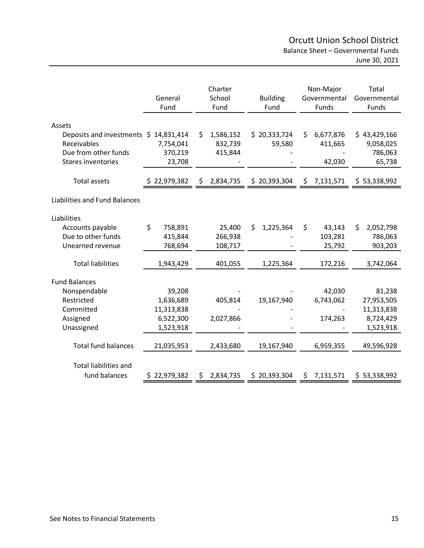|                                        | General<br>Fund | Charter<br>School<br>Fund | <b>Building</b><br>Fund | Non-Major<br>Governmental<br>Governmental<br>Funds |                |
|----------------------------------------|-----------------|---------------------------|-------------------------|----------------------------------------------------|----------------|
| Assets                                 |                 |                           |                         |                                                    |                |
| Deposits and investments \$ 14,831,414 |                 | \$<br>1,586,152           | \$20,333,724            | \$<br>6,677,876                                    | \$43,429,166   |
| Receivables                            | 7,754,041       | 832,739                   | 59,580                  | 411,665                                            | 9,058,025      |
| Due from other funds                   | 370,219         | 415,844                   |                         |                                                    | 786,063        |
| <b>Stores inventories</b>              | 23,708          |                           |                         | 42,030                                             | 65,738         |
| <b>Total assets</b>                    | \$22,979,382    | 2,834,735<br>\$           | \$20,393,304            | \$<br>7,131,571                                    | \$53,338,992   |
|                                        |                 |                           |                         |                                                    |                |
| <b>Liabilities and Fund Balances</b>   |                 |                           |                         |                                                    |                |
| Liabilities                            |                 |                           |                         |                                                    |                |
| Accounts payable                       | \$<br>758,891   | 25,400                    | \$<br>1,225,364         | \$<br>43,143                                       | Ś<br>2,052,798 |
| Due to other funds                     | 415,844         | 266,938                   |                         | 103,281                                            | 786,063        |
| Unearned revenue                       | 768,694         | 108,717                   |                         | 25,792                                             | 903,203        |
| <b>Total liabilities</b>               | 1,943,429       | 401,055                   | 1,225,364               | 172,216                                            | 3,742,064      |
| <b>Fund Balances</b>                   |                 |                           |                         |                                                    |                |
| Nonspendable                           | 39,208          |                           |                         | 42,030                                             | 81,238         |
| Restricted                             | 1,636,689       | 405,814                   | 19,167,940              | 6,743,062                                          | 27,953,505     |
| Committed                              | 11,313,838      |                           |                         |                                                    | 11,313,838     |
| Assigned                               | 6,522,300       | 2,027,866                 |                         | 174,263                                            | 8,724,429      |
| Unassigned                             | 1,523,918       |                           |                         |                                                    | 1,523,918      |
| <b>Total fund balances</b>             | 21,035,953      | 2,433,680                 | 19,167,940              | 6,959,355                                          | 49,596,928     |
|                                        |                 |                           |                         |                                                    |                |
| <b>Total liabilities and</b>           |                 |                           |                         |                                                    |                |
| fund balances                          | \$22,979,382    | 2,834,735<br>\$.          | \$20,393,304            | \$<br>7,131,571                                    | \$53,338,992   |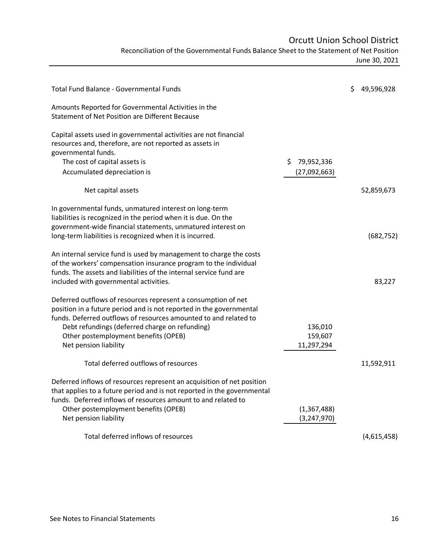Orcutt Union School District

| Reconciliation of the Governmental Funds Balance Sheet to the Statement of Net Position |
|-----------------------------------------------------------------------------------------|
|                                                                                         |

June 30, 2021

| <b>Total Fund Balance - Governmental Funds</b>                                                                                                                                                                                                                                                                              |                                   | S. | 49,596,928  |
|-----------------------------------------------------------------------------------------------------------------------------------------------------------------------------------------------------------------------------------------------------------------------------------------------------------------------------|-----------------------------------|----|-------------|
| Amounts Reported for Governmental Activities in the<br>Statement of Net Position are Different Because                                                                                                                                                                                                                      |                                   |    |             |
| Capital assets used in governmental activities are not financial<br>resources and, therefore, are not reported as assets in                                                                                                                                                                                                 |                                   |    |             |
| governmental funds.<br>The cost of capital assets is<br>Accumulated depreciation is                                                                                                                                                                                                                                         | 79,952,336<br>\$.<br>(27,092,663) |    |             |
| Net capital assets                                                                                                                                                                                                                                                                                                          |                                   |    | 52,859,673  |
| In governmental funds, unmatured interest on long-term<br>liabilities is recognized in the period when it is due. On the<br>government-wide financial statements, unmatured interest on<br>long-term liabilities is recognized when it is incurred.                                                                         |                                   |    | (682, 752)  |
| An internal service fund is used by management to charge the costs<br>of the workers' compensation insurance program to the individual<br>funds. The assets and liabilities of the internal service fund are<br>included with governmental activities.                                                                      |                                   |    | 83,227      |
| Deferred outflows of resources represent a consumption of net<br>position in a future period and is not reported in the governmental<br>funds. Deferred outflows of resources amounted to and related to<br>Debt refundings (deferred charge on refunding)<br>Other postemployment benefits (OPEB)<br>Net pension liability | 136,010<br>159,607<br>11,297,294  |    |             |
| Total deferred outflows of resources                                                                                                                                                                                                                                                                                        |                                   |    | 11,592,911  |
| Deferred inflows of resources represent an acquisition of net position<br>that applies to a future period and is not reported in the governmental<br>funds. Deferred inflows of resources amount to and related to<br>Other postemployment benefits (OPEB)<br>Net pension liability                                         | (1,367,488)<br>(3, 247, 970)      |    |             |
| Total deferred inflows of resources                                                                                                                                                                                                                                                                                         |                                   |    | (4,615,458) |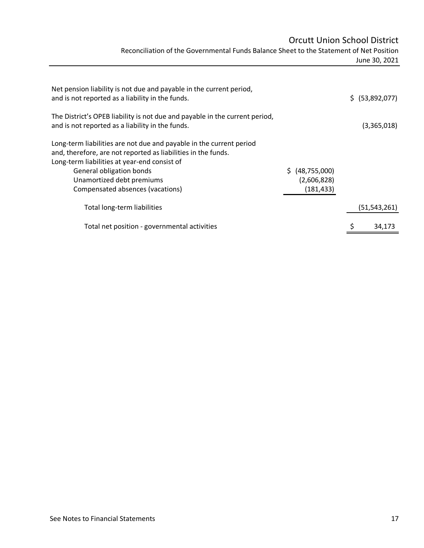# Orcutt Union School District

June 30, 2021

| Net pension liability is not due and payable in the current period,<br>and is not reported as a liability in the funds.                                                                                                                                                           |                                             | \$ (53,892,077) |
|-----------------------------------------------------------------------------------------------------------------------------------------------------------------------------------------------------------------------------------------------------------------------------------|---------------------------------------------|-----------------|
| The District's OPEB liability is not due and payable in the current period,<br>and is not reported as a liability in the funds.                                                                                                                                                   |                                             | (3,365,018)     |
| Long-term liabilities are not due and payable in the current period<br>and, therefore, are not reported as liabilities in the funds.<br>Long-term liabilities at year-end consist of<br>General obligation bonds<br>Unamortized debt premiums<br>Compensated absences (vacations) | (48, 755, 000)<br>(2,606,828)<br>(181, 433) |                 |
| Total long-term liabilities                                                                                                                                                                                                                                                       |                                             | (51,543,261)    |
| Total net position - governmental activities                                                                                                                                                                                                                                      |                                             | 34,173          |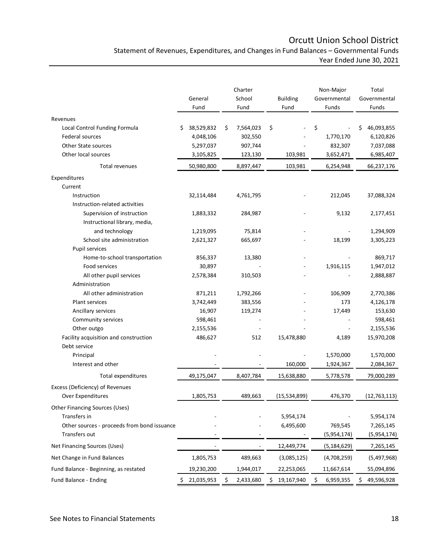# Orcutt Union School District Statement of Revenues, Expenditures, and Changes in Fund Balances – Governmental Funds

Year Ended June 30, 2021

|                                             | General<br>Fund   | Charter<br>School<br>Fund | <b>Building</b><br>Fund | Non-Major<br>Governmental<br>Funds | Total<br>Governmental<br>Funds |
|---------------------------------------------|-------------------|---------------------------|-------------------------|------------------------------------|--------------------------------|
| Revenues                                    |                   |                           |                         |                                    |                                |
| Local Control Funding Formula               | 38,529,832<br>S   | \$<br>7,564,023           | \$                      | \$                                 | \$<br>46,093,855               |
| Federal sources                             | 4,048,106         | 302,550                   |                         | 1,770,170                          | 6,120,826                      |
| Other State sources                         | 5,297,037         | 907,744                   |                         | 832,307                            | 7,037,088                      |
| Other local sources                         | 3,105,825         | 123,130                   | 103,981                 | 3,652,471                          | 6,985,407                      |
| Total revenues                              | 50,980,800        | 8,897,447                 | 103,981                 | 6,254,948                          | 66,237,176                     |
| Expenditures                                |                   |                           |                         |                                    |                                |
| Current                                     |                   |                           |                         |                                    |                                |
| Instruction                                 | 32,114,484        | 4,761,795                 |                         | 212,045                            | 37,088,324                     |
| Instruction-related activities              |                   |                           |                         |                                    |                                |
| Supervision of instruction                  | 1,883,332         | 284,987                   |                         | 9,132                              | 2,177,451                      |
| Instructional library, media,               |                   |                           |                         |                                    |                                |
| and technology                              | 1,219,095         | 75,814                    |                         |                                    | 1,294,909                      |
| School site administration                  | 2,621,327         | 665,697                   |                         | 18,199                             | 3,305,223                      |
| Pupil services                              |                   |                           |                         |                                    |                                |
| Home-to-school transportation               | 856,337           | 13,380                    |                         |                                    | 869,717                        |
| Food services                               | 30,897            |                           |                         | 1,916,115                          | 1,947,012                      |
| All other pupil services                    | 2,578,384         | 310,503                   |                         |                                    | 2,888,887                      |
| Administration                              |                   |                           |                         |                                    |                                |
| All other administration                    | 871,211           | 1,792,266                 |                         | 106,909                            | 2,770,386                      |
| <b>Plant services</b>                       | 3,742,449         | 383,556                   |                         | 173                                | 4,126,178                      |
| Ancillary services                          | 16,907            | 119,274                   |                         | 17,449                             | 153,630                        |
| Community services                          | 598,461           |                           |                         |                                    | 598,461                        |
| Other outgo                                 | 2,155,536         |                           |                         |                                    | 2,155,536                      |
| Facility acquisition and construction       | 486,627           | 512                       | 15,478,880              | 4,189                              | 15,970,208                     |
| Debt service                                |                   |                           |                         |                                    |                                |
| Principal                                   |                   |                           |                         | 1,570,000                          | 1,570,000                      |
| Interest and other                          |                   |                           | 160,000                 | 1,924,367                          | 2,084,367                      |
| Total expenditures                          | 49,175,047        | 8,407,784                 | 15,638,880              | 5,778,578                          | 79,000,289                     |
| Excess (Deficiency) of Revenues             |                   |                           |                         |                                    |                                |
| Over Expenditures                           | 1,805,753         | 489,663                   | (15,534,899)            | 476,370                            | (12, 763, 113)                 |
| Other Financing Sources (Uses)              |                   |                           |                         |                                    |                                |
| Transfers in                                |                   |                           | 5,954,174               |                                    | 5,954,174                      |
| Other sources - proceeds from bond issuance |                   |                           | 6,495,600               | 769,545                            | 7,265,145                      |
| Transfers out                               |                   |                           |                         | (5,954,174)                        | (5,954,174)                    |
| Net Financing Sources (Uses)                |                   |                           | 12,449,774              | (5, 184, 629)                      | 7,265,145                      |
| Net Change in Fund Balances                 | 1,805,753         | 489,663                   | (3,085,125)             | (4,708,259)                        | (5,497,968)                    |
| Fund Balance - Beginning, as restated       | 19,230,200        | 1,944,017                 | 22,253,065              | 11,667,614                         | 55,094,896                     |
| Fund Balance - Ending                       | 21,035,953<br>\$. | \$<br>2,433,680           | \$<br>19,167,940        | \$<br>6,959,355                    | \$<br>49,596,928               |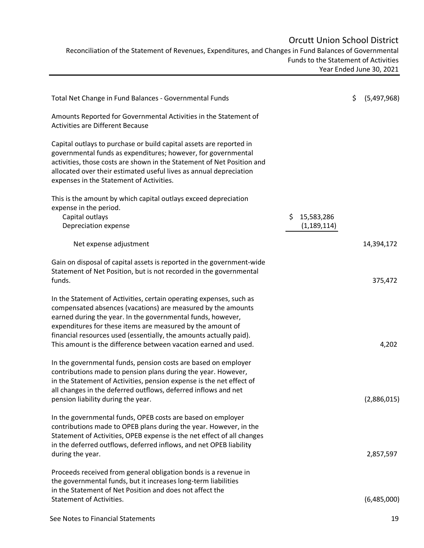Orcutt Union School District Reconciliation of the Statement of Revenues, Expenditures, and Changes in Fund Balances of Governmental Funds to the Statement of Activities Year Ended June 30, 2021

| Total Net Change in Fund Balances - Governmental Funds                                                                                                                                                                                                                                                                                                                                                    |                                   | \$<br>(5,497,968) |
|-----------------------------------------------------------------------------------------------------------------------------------------------------------------------------------------------------------------------------------------------------------------------------------------------------------------------------------------------------------------------------------------------------------|-----------------------------------|-------------------|
| Amounts Reported for Governmental Activities in the Statement of<br><b>Activities are Different Because</b>                                                                                                                                                                                                                                                                                               |                                   |                   |
| Capital outlays to purchase or build capital assets are reported in<br>governmental funds as expenditures; however, for governmental<br>activities, those costs are shown in the Statement of Net Position and<br>allocated over their estimated useful lives as annual depreciation<br>expenses in the Statement of Activities.                                                                          |                                   |                   |
| This is the amount by which capital outlays exceed depreciation<br>expense in the period.<br>Capital outlays<br>Depreciation expense                                                                                                                                                                                                                                                                      | \$<br>15,583,286<br>(1, 189, 114) |                   |
| Net expense adjustment                                                                                                                                                                                                                                                                                                                                                                                    |                                   | 14,394,172        |
| Gain on disposal of capital assets is reported in the government-wide<br>Statement of Net Position, but is not recorded in the governmental<br>funds.                                                                                                                                                                                                                                                     |                                   | 375,472           |
| In the Statement of Activities, certain operating expenses, such as<br>compensated absences (vacations) are measured by the amounts<br>earned during the year. In the governmental funds, however,<br>expenditures for these items are measured by the amount of<br>financial resources used (essentially, the amounts actually paid).<br>This amount is the difference between vacation earned and used. |                                   | 4,202             |
| In the governmental funds, pension costs are based on employer<br>contributions made to pension plans during the year. However,<br>in the Statement of Activities, pension expense is the net effect of<br>all changes in the deferred outflows, deferred inflows and net<br>pension liability during the year.                                                                                           |                                   | (2,886,015)       |
| In the governmental funds, OPEB costs are based on employer<br>contributions made to OPEB plans during the year. However, in the<br>Statement of Activities, OPEB expense is the net effect of all changes<br>in the deferred outflows, deferred inflows, and net OPEB liability<br>during the year.                                                                                                      |                                   | 2,857,597         |
| Proceeds received from general obligation bonds is a revenue in<br>the governmental funds, but it increases long-term liabilities<br>in the Statement of Net Position and does not affect the<br><b>Statement of Activities.</b>                                                                                                                                                                          |                                   | (6,485,000)       |
|                                                                                                                                                                                                                                                                                                                                                                                                           |                                   |                   |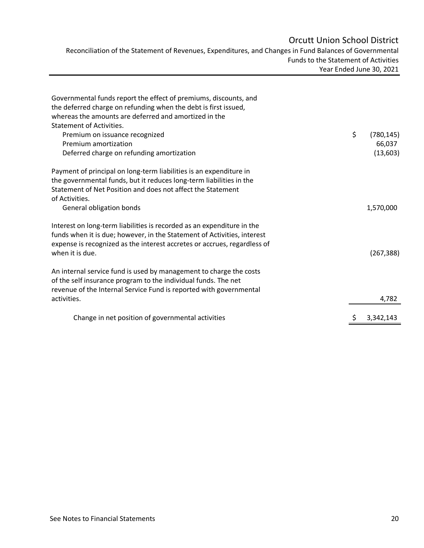# Orcutt Union School District

Reconciliation of the Statement of Revenues, Expenditures, and Changes in Fund Balances of Governmental Funds to the Statement of Activities Year Ended June 30, 2021

| Governmental funds report the effect of premiums, discounts, and<br>the deferred charge on refunding when the debt is first issued,<br>whereas the amounts are deferred and amortized in the<br><b>Statement of Activities.</b>                  |                  |
|--------------------------------------------------------------------------------------------------------------------------------------------------------------------------------------------------------------------------------------------------|------------------|
| Premium on issuance recognized                                                                                                                                                                                                                   | \$<br>(780, 145) |
| Premium amortization                                                                                                                                                                                                                             | 66,037           |
| Deferred charge on refunding amortization                                                                                                                                                                                                        | (13,603)         |
| Payment of principal on long-term liabilities is an expenditure in<br>the governmental funds, but it reduces long-term liabilities in the<br>Statement of Net Position and does not affect the Statement<br>of Activities.                       |                  |
| General obligation bonds                                                                                                                                                                                                                         | 1,570,000        |
| Interest on long-term liabilities is recorded as an expenditure in the<br>funds when it is due; however, in the Statement of Activities, interest<br>expense is recognized as the interest accretes or accrues, regardless of<br>when it is due. | (267, 388)       |
| An internal service fund is used by management to charge the costs<br>of the self insurance program to the individual funds. The net<br>revenue of the Internal Service Fund is reported with governmental                                       |                  |
| activities.                                                                                                                                                                                                                                      | 4,782            |
| Change in net position of governmental activities                                                                                                                                                                                                | \$<br>3,342,143  |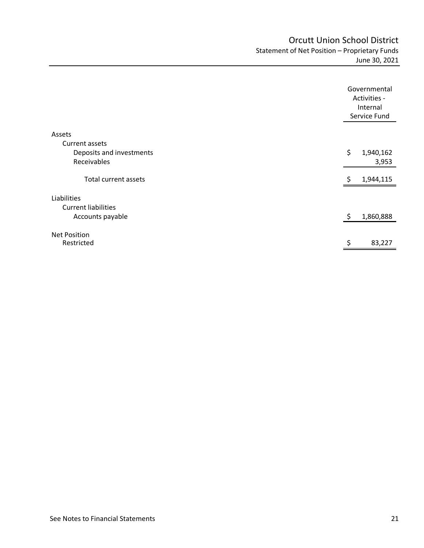# Orcutt Union School District Statement of Net Position – Proprietary Funds June 30, 2021

|                             | Governmental<br>Activities -<br>Internal<br>Service Fund |
|-----------------------------|----------------------------------------------------------|
|                             |                                                          |
| Assets<br>Current assets    |                                                          |
| Deposits and investments    | \$<br>1,940,162                                          |
| Receivables                 | 3,953                                                    |
|                             |                                                          |
| <b>Total current assets</b> | 1,944,115                                                |
| Liabilities                 |                                                          |
| <b>Current liabilities</b>  |                                                          |
| Accounts payable            | \$<br>1,860,888                                          |
|                             |                                                          |
| <b>Net Position</b>         |                                                          |
| Restricted                  | \$<br>83,227                                             |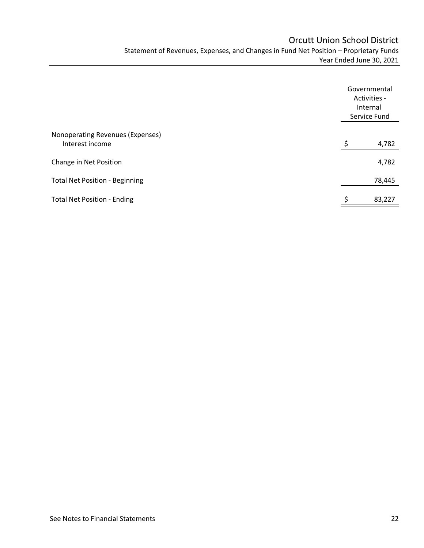|                                                     | Governmental<br>Activities -<br>Internal<br>Service Fund |
|-----------------------------------------------------|----------------------------------------------------------|
| Nonoperating Revenues (Expenses)<br>Interest income | 4,782                                                    |
| Change in Net Position                              | 4,782                                                    |
| <b>Total Net Position - Beginning</b>               | 78,445                                                   |
| <b>Total Net Position - Ending</b>                  | \$<br>83,227                                             |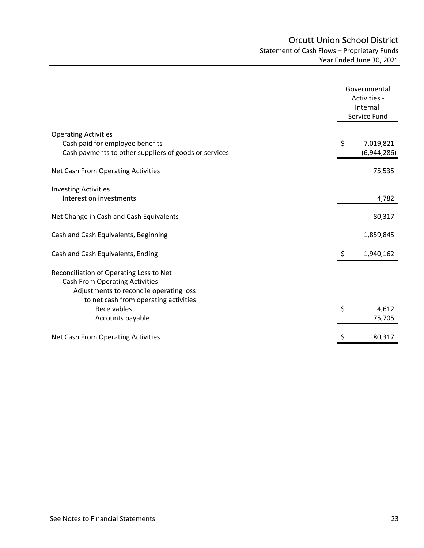|                                                                                                                                                                      | Governmental<br>Activities -<br>Internal<br>Service Fund |                          |
|----------------------------------------------------------------------------------------------------------------------------------------------------------------------|----------------------------------------------------------|--------------------------|
| <b>Operating Activities</b><br>Cash paid for employee benefits<br>Cash payments to other suppliers of goods or services                                              | \$                                                       | 7,019,821<br>(6,944,286) |
| Net Cash From Operating Activities                                                                                                                                   |                                                          | 75,535                   |
| <b>Investing Activities</b><br>Interest on investments                                                                                                               |                                                          | 4,782                    |
| Net Change in Cash and Cash Equivalents                                                                                                                              |                                                          | 80,317                   |
| Cash and Cash Equivalents, Beginning                                                                                                                                 |                                                          | 1,859,845                |
| Cash and Cash Equivalents, Ending                                                                                                                                    |                                                          | 1,940,162                |
| Reconciliation of Operating Loss to Net<br><b>Cash From Operating Activities</b><br>Adjustments to reconcile operating loss<br>to net cash from operating activities |                                                          |                          |
| Receivables<br>Accounts payable                                                                                                                                      | \$                                                       | 4,612<br>75,705          |
| Net Cash From Operating Activities                                                                                                                                   | \$                                                       | 80,317                   |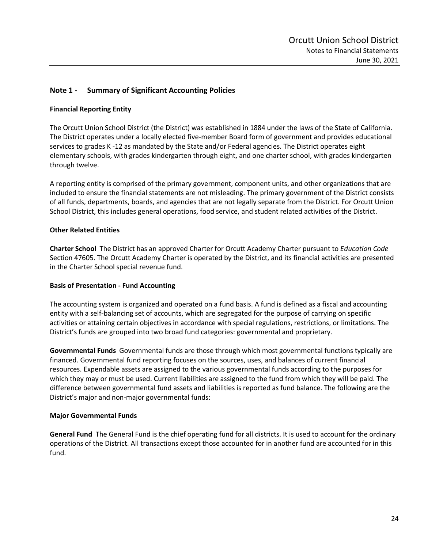# **Note 1 - Summary of Significant Accounting Policies**

# **Financial Reporting Entity**

The Orcutt Union School District (the District) was established in 1884 under the laws of the State of California. The District operates under a locally elected five-member Board form of government and provides educational services to grades K -12 as mandated by the State and/or Federal agencies. The District operates eight elementary schools, with grades kindergarten through eight, and one charter school, with grades kindergarten through twelve.

A reporting entity is comprised of the primary government, component units, and other organizations that are included to ensure the financial statements are not misleading. The primary government of the District consists of all funds, departments, boards, and agencies that are not legally separate from the District. For Orcutt Union School District, this includes general operations, food service, and student related activities of the District.

### **Other Related Entities**

**Charter School** The District has an approved Charter for Orcutt Academy Charter pursuant to *Education Code* Section 47605. The Orcutt Academy Charter is operated by the District, and its financial activities are presented in the Charter School special revenue fund.

# **Basis of Presentation - Fund Accounting**

The accounting system is organized and operated on a fund basis. A fund is defined as a fiscal and accounting entity with a self-balancing set of accounts, which are segregated for the purpose of carrying on specific activities or attaining certain objectives in accordance with special regulations, restrictions, or limitations. The District's funds are grouped into two broad fund categories: governmental and proprietary.

**Governmental Funds** Governmental funds are those through which most governmental functions typically are financed. Governmental fund reporting focuses on the sources, uses, and balances of current financial resources. Expendable assets are assigned to the various governmental funds according to the purposes for which they may or must be used. Current liabilities are assigned to the fund from which they will be paid. The difference between governmental fund assets and liabilities is reported as fund balance. The following are the District's major and non-major governmental funds:

#### **Major Governmental Funds**

**General Fund** The General Fund is the chief operating fund for all districts. It is used to account for the ordinary operations of the District. All transactions except those accounted for in another fund are accounted for in this fund.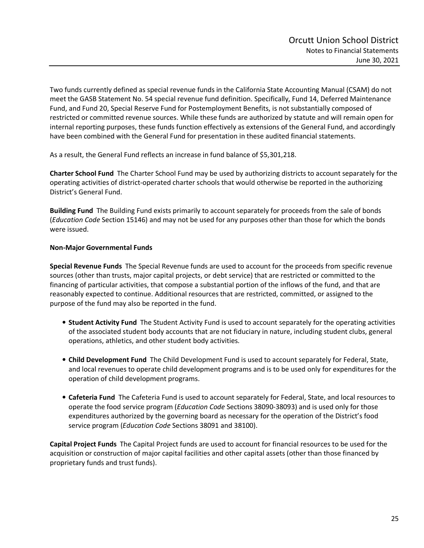Two funds currently defined as special revenue funds in the California State Accounting Manual (CSAM) do not meet the GASB Statement No. 54 special revenue fund definition. Specifically, Fund 14, Deferred Maintenance Fund, and Fund 20, Special Reserve Fund for Postemployment Benefits, is not substantially composed of restricted or committed revenue sources. While these funds are authorized by statute and will remain open for internal reporting purposes, these funds function effectively as extensions of the General Fund, and accordingly have been combined with the General Fund for presentation in these audited financial statements.

As a result, the General Fund reflects an increase in fund balance of \$5,301,218.

**Charter School Fund** The Charter School Fund may be used by authorizing districts to account separately for the operating activities of district-operated charter schools that would otherwise be reported in the authorizing District's General Fund.

**Building Fund** The Building Fund exists primarily to account separately for proceeds from the sale of bonds (*Education Code* Section 15146) and may not be used for any purposes other than those for which the bonds were issued.

# **Non-Major Governmental Funds**

**Special Revenue Funds** The Special Revenue funds are used to account for the proceeds from specific revenue sources (other than trusts, major capital projects, or debt service) that are restricted or committed to the financing of particular activities, that compose a substantial portion of the inflows of the fund, and that are reasonably expected to continue. Additional resources that are restricted, committed, or assigned to the purpose of the fund may also be reported in the fund.

- **Student Activity Fund** The Student Activity Fund is used to account separately for the operating activities of the associated student body accounts that are not fiduciary in nature, including student clubs, general operations, athletics, and other student body activities.
- **Child Development Fund** The Child Development Fund is used to account separately for Federal, State, and local revenues to operate child development programs and is to be used only for expenditures for the operation of child development programs.
- **Cafeteria Fund** The Cafeteria Fund is used to account separately for Federal, State, and local resources to operate the food service program (*Education Code* Sections 38090-38093) and is used only for those expenditures authorized by the governing board as necessary for the operation of the District's food service program (*Education Code* Sections 38091 and 38100).

**Capital Project Funds** The Capital Project funds are used to account for financial resources to be used for the acquisition or construction of major capital facilities and other capital assets (other than those financed by proprietary funds and trust funds).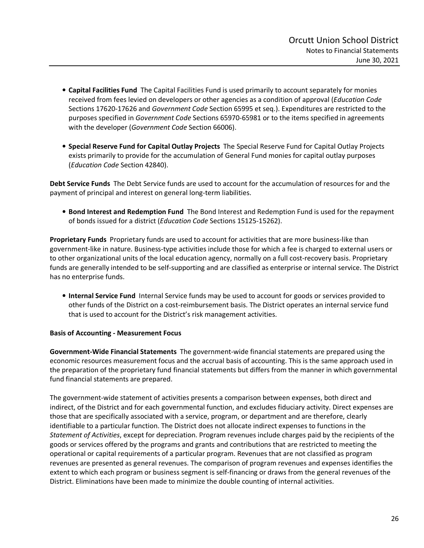- **Capital Facilities Fund** The Capital Facilities Fund is used primarily to account separately for monies received from fees levied on developers or other agencies as a condition of approval (*Education Code*  Sections 17620-17626 and *Government Code* Section 65995 et seq.). Expenditures are restricted to the purposes specified in *Government Code* Sections 65970-65981 or to the items specified in agreements with the developer (*Government Code* Section 66006).
- **Special Reserve Fund for Capital Outlay Projects** The Special Reserve Fund for Capital Outlay Projects exists primarily to provide for the accumulation of General Fund monies for capital outlay purposes (*Education Code* Section 42840).

**Debt Service Funds** The Debt Service funds are used to account for the accumulation of resources for and the payment of principal and interest on general long-term liabilities.

• **Bond Interest and Redemption Fund** The Bond Interest and Redemption Fund is used for the repayment of bonds issued for a district (*Education Code* Sections 15125-15262).

**Proprietary Funds** Proprietary funds are used to account for activities that are more business-like than government-like in nature. Business-type activities include those for which a fee is charged to external users or to other organizational units of the local education agency, normally on a full cost-recovery basis. Proprietary funds are generally intended to be self-supporting and are classified as enterprise or internal service. The District has no enterprise funds.

• **Internal Service Fund** Internal Service funds may be used to account for goods or services provided to other funds of the District on a cost-reimbursement basis. The District operates an internal service fund that is used to account for the District's risk management activities.

# **Basis of Accounting - Measurement Focus**

**Government-Wide Financial Statements** The government-wide financial statements are prepared using the economic resources measurement focus and the accrual basis of accounting. This is the same approach used in the preparation of the proprietary fund financial statements but differs from the manner in which governmental fund financial statements are prepared.

The government-wide statement of activities presents a comparison between expenses, both direct and indirect, of the District and for each governmental function, and excludes fiduciary activity. Direct expenses are those that are specifically associated with a service, program, or department and are therefore, clearly identifiable to a particular function. The District does not allocate indirect expenses to functions in the *Statement of Activities*, except for depreciation. Program revenues include charges paid by the recipients of the goods or services offered by the programs and grants and contributions that are restricted to meeting the operational or capital requirements of a particular program. Revenues that are not classified as program revenues are presented as general revenues. The comparison of program revenues and expenses identifies the extent to which each program or business segment is self-financing or draws from the general revenues of the District. Eliminations have been made to minimize the double counting of internal activities.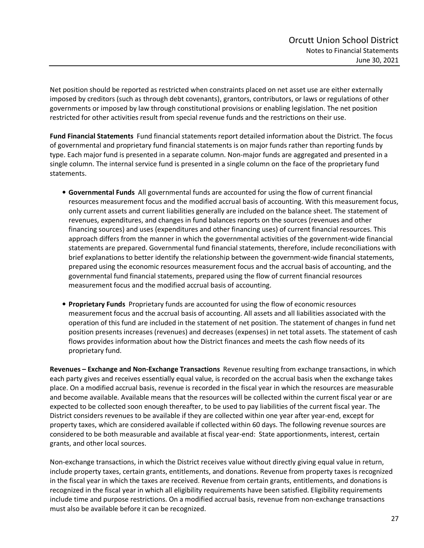Net position should be reported as restricted when constraints placed on net asset use are either externally imposed by creditors (such as through debt covenants), grantors, contributors, or laws or regulations of other governments or imposed by law through constitutional provisions or enabling legislation. The net position restricted for other activities result from special revenue funds and the restrictions on their use.

**Fund Financial Statements** Fund financial statements report detailed information about the District. The focus of governmental and proprietary fund financial statements is on major funds rather than reporting funds by type. Each major fund is presented in a separate column. Non-major funds are aggregated and presented in a single column. The internal service fund is presented in a single column on the face of the proprietary fund statements.

- **Governmental Funds** All governmental funds are accounted for using the flow of current financial resources measurement focus and the modified accrual basis of accounting. With this measurement focus, only current assets and current liabilities generally are included on the balance sheet. The statement of revenues, expenditures, and changes in fund balances reports on the sources (revenues and other financing sources) and uses (expenditures and other financing uses) of current financial resources. This approach differs from the manner in which the governmental activities of the government-wide financial statements are prepared. Governmental fund financial statements, therefore, include reconciliations with brief explanations to better identify the relationship between the government-wide financial statements, prepared using the economic resources measurement focus and the accrual basis of accounting, and the governmental fund financial statements, prepared using the flow of current financial resources measurement focus and the modified accrual basis of accounting.
- **Proprietary Funds** Proprietary funds are accounted for using the flow of economic resources measurement focus and the accrual basis of accounting. All assets and all liabilities associated with the operation of this fund are included in the statement of net position. The statement of changes in fund net position presents increases (revenues) and decreases (expenses) in net total assets. The statement of cash flows provides information about how the District finances and meets the cash flow needs of its proprietary fund.

**Revenues – Exchange and Non-Exchange Transactions** Revenue resulting from exchange transactions, in which each party gives and receives essentially equal value, is recorded on the accrual basis when the exchange takes place. On a modified accrual basis, revenue is recorded in the fiscal year in which the resources are measurable and become available. Available means that the resources will be collected within the current fiscal year or are expected to be collected soon enough thereafter, to be used to pay liabilities of the current fiscal year. The District considers revenues to be available if they are collected within one year after year-end, except for property taxes, which are considered available if collected within 60 days. The following revenue sources are considered to be both measurable and available at fiscal year-end: State apportionments, interest, certain grants, and other local sources.

Non-exchange transactions, in which the District receives value without directly giving equal value in return, include property taxes, certain grants, entitlements, and donations. Revenue from property taxes is recognized in the fiscal year in which the taxes are received. Revenue from certain grants, entitlements, and donations is recognized in the fiscal year in which all eligibility requirements have been satisfied. Eligibility requirements include time and purpose restrictions. On a modified accrual basis, revenue from non-exchange transactions must also be available before it can be recognized.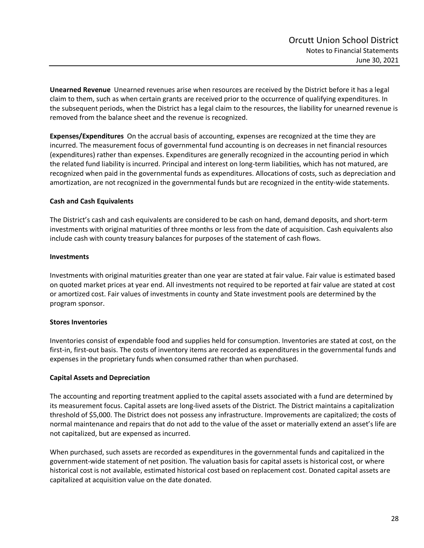**Unearned Revenue** Unearned revenues arise when resources are received by the District before it has a legal claim to them, such as when certain grants are received prior to the occurrence of qualifying expenditures. In the subsequent periods, when the District has a legal claim to the resources, the liability for unearned revenue is removed from the balance sheet and the revenue is recognized.

**Expenses/Expenditures** On the accrual basis of accounting, expenses are recognized at the time they are incurred. The measurement focus of governmental fund accounting is on decreases in net financial resources (expenditures) rather than expenses. Expenditures are generally recognized in the accounting period in which the related fund liability is incurred. Principal and interest on long-term liabilities, which has not matured, are recognized when paid in the governmental funds as expenditures. Allocations of costs, such as depreciation and amortization, are not recognized in the governmental funds but are recognized in the entity-wide statements.

# **Cash and Cash Equivalents**

The District's cash and cash equivalents are considered to be cash on hand, demand deposits, and short-term investments with original maturities of three months or less from the date of acquisition. Cash equivalents also include cash with county treasury balances for purposes of the statement of cash flows.

# **Investments**

Investments with original maturities greater than one year are stated at fair value. Fair value is estimated based on quoted market prices at year end. All investments not required to be reported at fair value are stated at cost or amortized cost. Fair values of investments in county and State investment pools are determined by the program sponsor.

# **Stores Inventories**

Inventories consist of expendable food and supplies held for consumption. Inventories are stated at cost, on the first-in, first-out basis. The costs of inventory items are recorded as expenditures in the governmental funds and expenses in the proprietary funds when consumed rather than when purchased.

# **Capital Assets and Depreciation**

The accounting and reporting treatment applied to the capital assets associated with a fund are determined by its measurement focus. Capital assets are long-lived assets of the District. The District maintains a capitalization threshold of \$5,000. The District does not possess any infrastructure. Improvements are capitalized; the costs of normal maintenance and repairs that do not add to the value of the asset or materially extend an asset's life are not capitalized, but are expensed as incurred.

When purchased, such assets are recorded as expenditures in the governmental funds and capitalized in the government-wide statement of net position. The valuation basis for capital assets is historical cost, or where historical cost is not available, estimated historical cost based on replacement cost. Donated capital assets are capitalized at acquisition value on the date donated.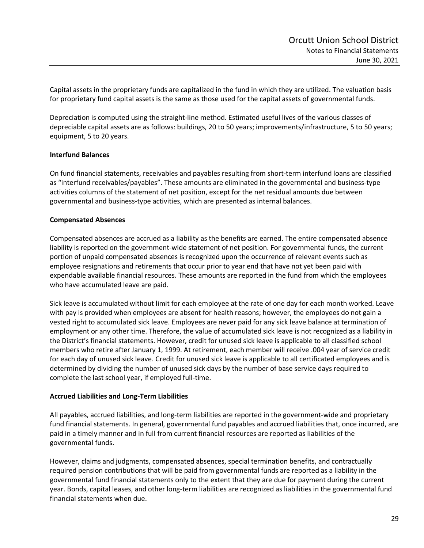Capital assets in the proprietary funds are capitalized in the fund in which they are utilized. The valuation basis for proprietary fund capital assets is the same as those used for the capital assets of governmental funds.

Depreciation is computed using the straight-line method. Estimated useful lives of the various classes of depreciable capital assets are as follows: buildings, 20 to 50 years; improvements/infrastructure, 5 to 50 years; equipment, 5 to 20 years.

# **Interfund Balances**

On fund financial statements, receivables and payables resulting from short-term interfund loans are classified as "interfund receivables/payables". These amounts are eliminated in the governmental and business-type activities columns of the statement of net position, except for the net residual amounts due between governmental and business-type activities, which are presented as internal balances.

# **Compensated Absences**

Compensated absences are accrued as a liability as the benefits are earned. The entire compensated absence liability is reported on the government-wide statement of net position. For governmental funds, the current portion of unpaid compensated absences is recognized upon the occurrence of relevant events such as employee resignations and retirements that occur prior to year end that have not yet been paid with expendable available financial resources. These amounts are reported in the fund from which the employees who have accumulated leave are paid.

Sick leave is accumulated without limit for each employee at the rate of one day for each month worked. Leave with pay is provided when employees are absent for health reasons; however, the employees do not gain a vested right to accumulated sick leave. Employees are never paid for any sick leave balance at termination of employment or any other time. Therefore, the value of accumulated sick leave is not recognized as a liability in the District's financial statements. However, credit for unused sick leave is applicable to all classified school members who retire after January 1, 1999. At retirement, each member will receive .004 year of service credit for each day of unused sick leave. Credit for unused sick leave is applicable to all certificated employees and is determined by dividing the number of unused sick days by the number of base service days required to complete the last school year, if employed full-time.

# **Accrued Liabilities and Long-Term Liabilities**

All payables, accrued liabilities, and long-term liabilities are reported in the government-wide and proprietary fund financial statements. In general, governmental fund payables and accrued liabilities that, once incurred, are paid in a timely manner and in full from current financial resources are reported as liabilities of the governmental funds.

However, claims and judgments, compensated absences, special termination benefits, and contractually required pension contributions that will be paid from governmental funds are reported as a liability in the governmental fund financial statements only to the extent that they are due for payment during the current year. Bonds, capital leases, and other long-term liabilities are recognized as liabilities in the governmental fund financial statements when due.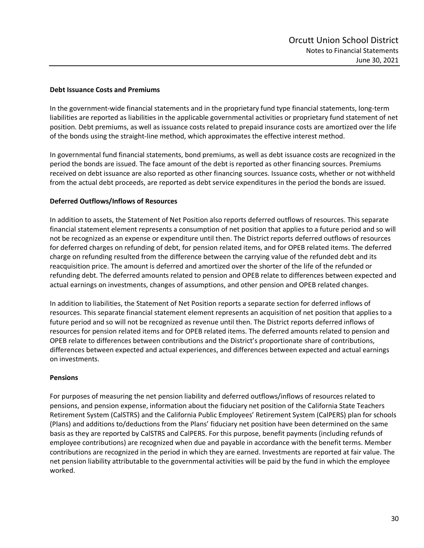# **Debt Issuance Costs and Premiums**

In the government-wide financial statements and in the proprietary fund type financial statements, long-term liabilities are reported as liabilities in the applicable governmental activities or proprietary fund statement of net position. Debt premiums, as well as issuance costs related to prepaid insurance costs are amortized over the life of the bonds using the straight-line method, which approximates the effective interest method.

In governmental fund financial statements, bond premiums, as well as debt issuance costs are recognized in the period the bonds are issued. The face amount of the debt is reported as other financing sources. Premiums received on debt issuance are also reported as other financing sources. Issuance costs, whether or not withheld from the actual debt proceeds, are reported as debt service expenditures in the period the bonds are issued.

# **Deferred Outflows/Inflows of Resources**

In addition to assets, the Statement of Net Position also reports deferred outflows of resources. This separate financial statement element represents a consumption of net position that applies to a future period and so will not be recognized as an expense or expenditure until then. The District reports deferred outflows of resources for deferred charges on refunding of debt, for pension related items, and for OPEB related items. The deferred charge on refunding resulted from the difference between the carrying value of the refunded debt and its reacquisition price. The amount is deferred and amortized over the shorter of the life of the refunded or refunding debt. The deferred amounts related to pension and OPEB relate to differences between expected and actual earnings on investments, changes of assumptions, and other pension and OPEB related changes.

In addition to liabilities, the Statement of Net Position reports a separate section for deferred inflows of resources. This separate financial statement element represents an acquisition of net position that applies to a future period and so will not be recognized as revenue until then. The District reports deferred inflows of resources for pension related items and for OPEB related items. The deferred amounts related to pension and OPEB relate to differences between contributions and the District's proportionate share of contributions, differences between expected and actual experiences, and differences between expected and actual earnings on investments.

# **Pensions**

For purposes of measuring the net pension liability and deferred outflows/inflows of resources related to pensions, and pension expense, information about the fiduciary net position of the California State Teachers Retirement System (CalSTRS) and the California Public Employees' Retirement System (CalPERS) plan for schools (Plans) and additions to/deductions from the Plans' fiduciary net position have been determined on the same basis as they are reported by CalSTRS and CalPERS. For this purpose, benefit payments (including refunds of employee contributions) are recognized when due and payable in accordance with the benefit terms. Member contributions are recognized in the period in which they are earned. Investments are reported at fair value. The net pension liability attributable to the governmental activities will be paid by the fund in which the employee worked.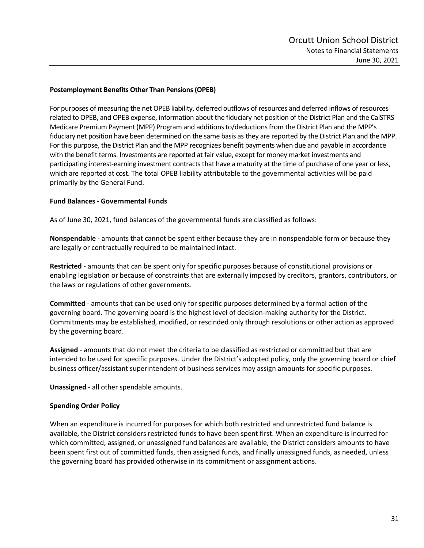# **Postemployment Benefits Other Than Pensions (OPEB)**

For purposes of measuring the net OPEB liability, deferred outflows of resources and deferred inflows of resources related to OPEB, and OPEB expense, information about the fiduciary net position of the District Plan and the CalSTRS Medicare Premium Payment (MPP) Program and additions to/deductions from the District Plan and the MPP's fiduciary net position have been determined on the same basis as they are reported by the District Plan and the MPP. For this purpose, the District Plan and the MPP recognizes benefit payments when due and payable in accordance with the benefit terms. Investments are reported at fair value, except for money market investments and participating interest-earning investment contracts that have a maturity at the time of purchase of one year or less, which are reported at cost. The total OPEB liability attributable to the governmental activities will be paid primarily by the General Fund.

# **Fund Balances - Governmental Funds**

As of June 30, 2021, fund balances of the governmental funds are classified as follows:

**Nonspendable** - amounts that cannot be spent either because they are in nonspendable form or because they are legally or contractually required to be maintained intact.

**Restricted** - amounts that can be spent only for specific purposes because of constitutional provisions or enabling legislation or because of constraints that are externally imposed by creditors, grantors, contributors, or the laws or regulations of other governments.

**Committed** - amounts that can be used only for specific purposes determined by a formal action of the governing board. The governing board is the highest level of decision-making authority for the District. Commitments may be established, modified, or rescinded only through resolutions or other action as approved by the governing board.

**Assigned** - amounts that do not meet the criteria to be classified as restricted or committed but that are intended to be used for specific purposes. Under the District's adopted policy, only the governing board or chief business officer/assistant superintendent of business services may assign amounts for specific purposes.

**Unassigned** - all other spendable amounts.

# **Spending Order Policy**

When an expenditure is incurred for purposes for which both restricted and unrestricted fund balance is available, the District considers restricted funds to have been spent first. When an expenditure is incurred for which committed, assigned, or unassigned fund balances are available, the District considers amounts to have been spent first out of committed funds, then assigned funds, and finally unassigned funds, as needed, unless the governing board has provided otherwise in its commitment or assignment actions.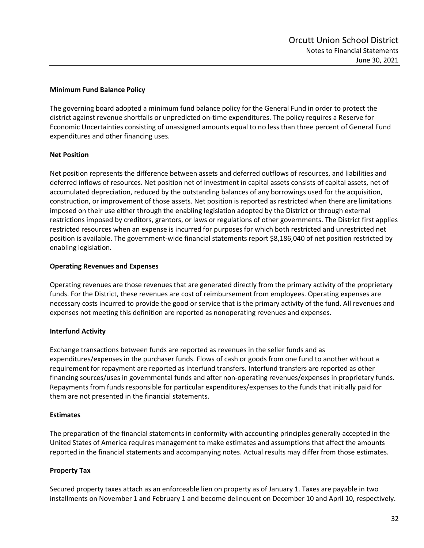# **Minimum Fund Balance Policy**

The governing board adopted a minimum fund balance policy for the General Fund in order to protect the district against revenue shortfalls or unpredicted on-time expenditures. The policy requires a Reserve for Economic Uncertainties consisting of unassigned amounts equal to no less than three percent of General Fund expenditures and other financing uses.

# **Net Position**

Net position represents the difference between assets and deferred outflows of resources, and liabilities and deferred inflows of resources. Net position net of investment in capital assets consists of capital assets, net of accumulated depreciation, reduced by the outstanding balances of any borrowings used for the acquisition, construction, or improvement of those assets. Net position is reported as restricted when there are limitations imposed on their use either through the enabling legislation adopted by the District or through external restrictions imposed by creditors, grantors, or laws or regulations of other governments. The District first applies restricted resources when an expense is incurred for purposes for which both restricted and unrestricted net position is available. The government-wide financial statements report \$8,186,040 of net position restricted by enabling legislation.

# **Operating Revenues and Expenses**

Operating revenues are those revenues that are generated directly from the primary activity of the proprietary funds. For the District, these revenues are cost of reimbursement from employees. Operating expenses are necessary costs incurred to provide the good or service that is the primary activity of the fund. All revenues and expenses not meeting this definition are reported as nonoperating revenues and expenses.

# **Interfund Activity**

Exchange transactions between funds are reported as revenues in the seller funds and as expenditures/expenses in the purchaser funds. Flows of cash or goods from one fund to another without a requirement for repayment are reported as interfund transfers. Interfund transfers are reported as other financing sources/uses in governmental funds and after non-operating revenues/expenses in proprietary funds. Repayments from funds responsible for particular expenditures/expenses to the funds that initially paid for them are not presented in the financial statements.

# **Estimates**

The preparation of the financial statements in conformity with accounting principles generally accepted in the United States of America requires management to make estimates and assumptions that affect the amounts reported in the financial statements and accompanying notes. Actual results may differ from those estimates.

# **Property Tax**

Secured property taxes attach as an enforceable lien on property as of January 1. Taxes are payable in two installments on November 1 and February 1 and become delinquent on December 10 and April 10, respectively.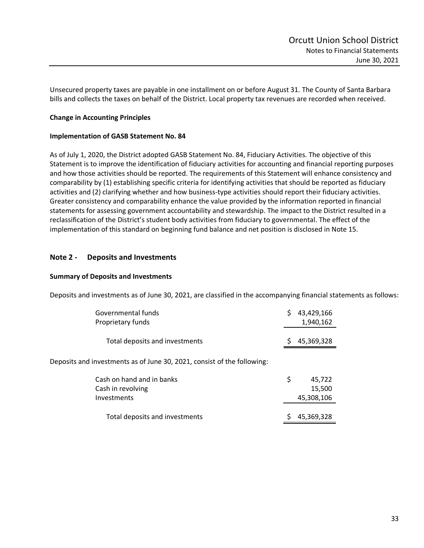Unsecured property taxes are payable in one installment on or before August 31. The County of Santa Barbara bills and collects the taxes on behalf of the District. Local property tax revenues are recorded when received.

# **Change in Accounting Principles**

# **Implementation of GASB Statement No. 84**

As of July 1, 2020, the District adopted GASB Statement No. 84, Fiduciary Activities. The objective of this Statement is to improve the identification of fiduciary activities for accounting and financial reporting purposes and how those activities should be reported. The requirements of this Statement will enhance consistency and comparability by (1) establishing specific criteria for identifying activities that should be reported as fiduciary activities and (2) clarifying whether and how business-type activities should report their fiduciary activities. Greater consistency and comparability enhance the value provided by the information reported in financial statements for assessing government accountability and stewardship. The impact to the District resulted in a reclassification of the District's student body activities from fiduciary to governmental. The effect of the implementation of this standard on beginning fund balance and net position is disclosed in Note 15.

# **Note 2 - Deposits and Investments**

### **Summary of Deposits and Investments**

Deposits and investments as of June 30, 2021, are classified in the accompanying financial statements as follows:

| Governmental funds                                                      | 43,429,166   |
|-------------------------------------------------------------------------|--------------|
| Proprietary funds                                                       | 1,940,162    |
| Total deposits and investments                                          | 45,369,328   |
| Deposits and investments as of June 30, 2021, consist of the following: |              |
| Cash on hand and in banks                                               | \$<br>45,722 |
| Cash in revolving                                                       | 15,500       |
| Investments                                                             | 45,308,106   |
|                                                                         |              |
| Total deposits and investments                                          | 45,369,328   |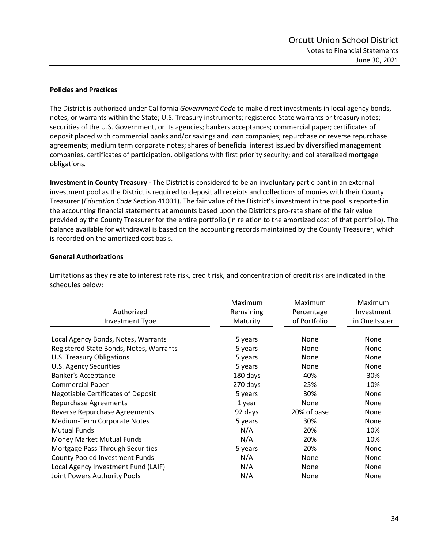#### **Policies and Practices**

The District is authorized under California *Government Code* to make direct investments in local agency bonds, notes, or warrants within the State; U.S. Treasury instruments; registered State warrants or treasury notes; securities of the U.S. Government, or its agencies; bankers acceptances; commercial paper; certificates of deposit placed with commercial banks and/or savings and loan companies; repurchase or reverse repurchase agreements; medium term corporate notes; shares of beneficial interest issued by diversified management companies, certificates of participation, obligations with first priority security; and collateralized mortgage obligations.

**Investment in County Treasury -** The District is considered to be an involuntary participant in an external investment pool as the District is required to deposit all receipts and collections of monies with their County Treasurer (*Education Code* Section 41001). The fair value of the District's investment in the pool is reported in the accounting financial statements at amounts based upon the District's pro-rata share of the fair value provided by the County Treasurer for the entire portfolio (in relation to the amortized cost of that portfolio). The balance available for withdrawal is based on the accounting records maintained by the County Treasurer, which is recorded on the amortized cost basis.

# **General Authorizations**

Limitations as they relate to interest rate risk, credit risk, and concentration of credit risk are indicated in the schedules below:

|                                           | Maximum   | Maximum      | Maximum       |
|-------------------------------------------|-----------|--------------|---------------|
| Authorized                                | Remaining | Percentage   | Investment    |
| <b>Investment Type</b>                    | Maturity  | of Portfolio | in One Issuer |
|                                           |           |              |               |
| Local Agency Bonds, Notes, Warrants       | 5 years   | None         | None          |
| Registered State Bonds, Notes, Warrants   | 5 years   | None         | None          |
| U.S. Treasury Obligations                 | 5 years   | None         | None          |
| U.S. Agency Securities                    | 5 years   | None         | None          |
| <b>Banker's Acceptance</b>                | 180 days  | 40%          | 30%           |
| <b>Commercial Paper</b>                   | 270 days  | 25%          | 10%           |
| <b>Negotiable Certificates of Deposit</b> | 5 years   | 30%          | None          |
| <b>Repurchase Agreements</b>              | 1 year    | None         | None          |
| Reverse Repurchase Agreements             | 92 days   | 20% of base  | None          |
| Medium-Term Corporate Notes               | 5 years   | 30%          | None          |
| <b>Mutual Funds</b>                       | N/A       | 20%          | 10%           |
| Money Market Mutual Funds                 | N/A       | 20%          | 10%           |
| Mortgage Pass-Through Securities          | 5 years   | 20%          | None          |
| <b>County Pooled Investment Funds</b>     | N/A       | None         | None          |
| Local Agency Investment Fund (LAIF)       | N/A       | None         | None          |
| Joint Powers Authority Pools              | N/A       | None         | None          |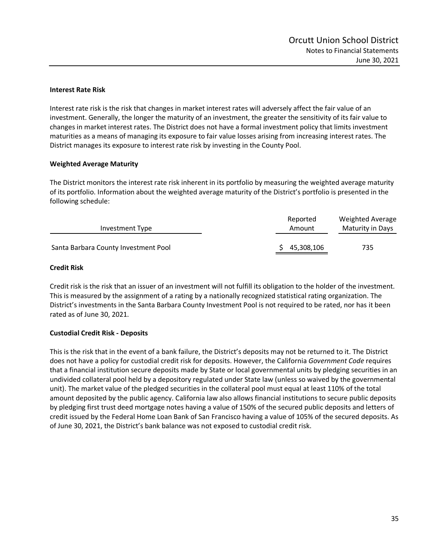#### **Interest Rate Risk**

Interest rate risk is the risk that changes in market interest rates will adversely affect the fair value of an investment. Generally, the longer the maturity of an investment, the greater the sensitivity of its fair value to changes in market interest rates. The District does not have a formal investment policy that limits investment maturities as a means of managing its exposure to fair value losses arising from increasing interest rates. The District manages its exposure to interest rate risk by investing in the County Pool.

# **Weighted Average Maturity**

The District monitors the interest rate risk inherent in its portfolio by measuring the weighted average maturity of its portfolio. Information about the weighted average maturity of the District's portfolio is presented in the following schedule:

|            | <b>Weighted Average</b> |
|------------|-------------------------|
| Amount     | Maturity in Days        |
|            |                         |
| 45,308,106 | 735                     |
|            | Reported                |

# **Credit Risk**

Credit risk is the risk that an issuer of an investment will not fulfill its obligation to the holder of the investment. This is measured by the assignment of a rating by a nationally recognized statistical rating organization. The District's investments in the Santa Barbara County Investment Pool is not required to be rated, nor has it been rated as of June 30, 2021.

# **Custodial Credit Risk - Deposits**

This is the risk that in the event of a bank failure, the District's deposits may not be returned to it. The District does not have a policy for custodial credit risk for deposits. However, the California *Government Code* requires that a financial institution secure deposits made by State or local governmental units by pledging securities in an undivided collateral pool held by a depository regulated under State law (unless so waived by the governmental unit). The market value of the pledged securities in the collateral pool must equal at least 110% of the total amount deposited by the public agency. California law also allows financial institutions to secure public deposits by pledging first trust deed mortgage notes having a value of 150% of the secured public deposits and letters of credit issued by the Federal Home Loan Bank of San Francisco having a value of 105% of the secured deposits. As of June 30, 2021, the District's bank balance was not exposed to custodial credit risk.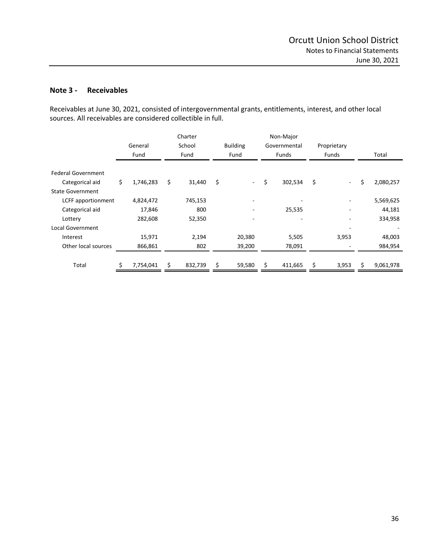# **Note 3 - Receivables**

Receivables at June 30, 2021, consisted of intergovernmental grants, entitlements, interest, and other local sources. All receivables are considered collectible in full.

|                           |    | Charter   |    |         |    |                          | Non-Major |              |    |              |    |           |
|---------------------------|----|-----------|----|---------|----|--------------------------|-----------|--------------|----|--------------|----|-----------|
|                           |    | General   |    | School  |    | <b>Building</b>          |           | Governmental |    | Proprietary  |    |           |
|                           |    | Fund      |    | Fund    |    | Fund                     |           | <b>Funds</b> |    | <b>Funds</b> |    | Total     |
| <b>Federal Government</b> |    |           |    |         |    |                          |           |              |    |              |    |           |
| Categorical aid           | \$ | 1,746,283 | \$ | 31,440  | \$ | $\sim$                   | \$        | 302,534      | \$ | $\sim$       | \$ | 2,080,257 |
| <b>State Government</b>   |    |           |    |         |    |                          |           |              |    |              |    |           |
| LCFF apportionment        |    | 4,824,472 |    | 745,153 |    | $\overline{\phantom{0}}$ |           |              |    |              |    | 5,569,625 |
| Categorical aid           |    | 17,846    |    | 800     |    |                          |           | 25,535       |    |              |    | 44,181    |
| Lottery                   |    | 282,608   |    | 52,350  |    |                          |           |              |    |              |    | 334,958   |
| <b>Local Government</b>   |    |           |    |         |    |                          |           |              |    |              |    |           |
| Interest                  |    | 15,971    |    | 2,194   |    | 20,380                   |           | 5,505        |    | 3,953        |    | 48,003    |
| Other local sources       |    | 866,861   |    | 802     |    | 39,200                   |           | 78,091       |    |              |    | 984,954   |
| Total                     | Ś. | 7,754,041 | Ś  | 832,739 | \$ | 59,580                   | \$        | 411,665      | \$ | 3,953        | Ś. | 9,061,978 |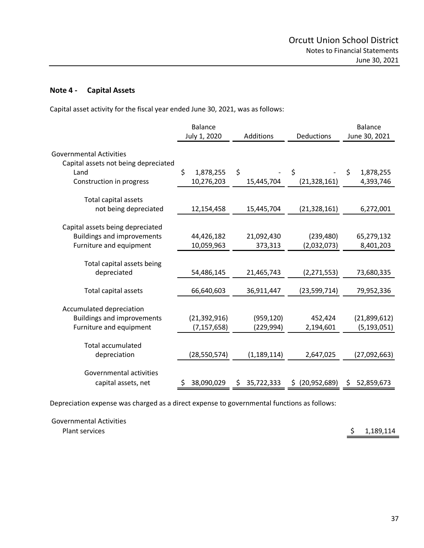# **Note 4 - Capital Assets**

Capital asset activity for the fiscal year ended June 30, 2021, was as follows:

|                                                                        | <b>Balance</b><br>July 1, 2020 | Additions        | Deductions           | <b>Balance</b><br>June 30, 2021 |  |  |
|------------------------------------------------------------------------|--------------------------------|------------------|----------------------|---------------------------------|--|--|
|                                                                        |                                |                  |                      |                                 |  |  |
| <b>Governmental Activities</b><br>Capital assets not being depreciated |                                |                  |                      |                                 |  |  |
| Land                                                                   | \$<br>1,878,255                | \$               | \$                   | \$<br>1,878,255                 |  |  |
| Construction in progress                                               | 10,276,203                     | 15,445,704       | (21, 328, 161)       | 4,393,746                       |  |  |
| Total capital assets                                                   |                                |                  |                      |                                 |  |  |
| not being depreciated                                                  | 12,154,458                     | 15,445,704       | (21, 328, 161)       | 6,272,001                       |  |  |
| Capital assets being depreciated                                       |                                |                  |                      |                                 |  |  |
| <b>Buildings and improvements</b>                                      | 44,426,182                     | 21,092,430       | (239, 480)           | 65,279,132                      |  |  |
| Furniture and equipment                                                | 10,059,963                     | 373,313          | (2,032,073)          | 8,401,203                       |  |  |
| Total capital assets being                                             |                                |                  |                      |                                 |  |  |
| depreciated                                                            | 54,486,145                     | 21,465,743       | (2, 271, 553)        | 73,680,335                      |  |  |
| Total capital assets                                                   | 66,640,603                     | 36,911,447       | (23, 599, 714)       | 79,952,336                      |  |  |
| Accumulated depreciation                                               |                                |                  |                      |                                 |  |  |
| <b>Buildings and improvements</b>                                      | (21, 392, 916)                 | (959, 120)       | 452,424              | (21,899,612)                    |  |  |
| Furniture and equipment                                                | (7, 157, 658)                  | (229,994)        | 2,194,601            | (5, 193, 051)                   |  |  |
| <b>Total accumulated</b>                                               |                                |                  |                      |                                 |  |  |
| depreciation                                                           | (28, 550, 574)                 | (1, 189, 114)    | 2,647,025            | (27,092,663)                    |  |  |
| Governmental activities                                                |                                |                  |                      |                                 |  |  |
| capital assets, net                                                    | 38,090,029<br>\$               | 35,722,333<br>\$ | (20, 952, 689)<br>\$ | 52,859,673<br>\$                |  |  |

Depreciation expense was charged as a direct expense to governmental functions as follows:

Governmental Activities Plant services  $\zeta$  1,189,114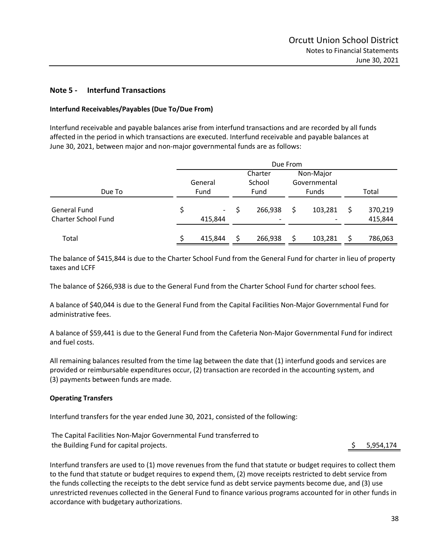#### **Note 5 - Interfund Transactions**

#### **Interfund Receivables/Payables (Due To/Due From)**

Interfund receivable and payable balances arise from interfund transactions and are recorded by all funds affected in the period in which transactions are executed. Interfund receivable and payable balances at June 30, 2021, between major and non-major governmental funds are as follows:

|                                            | Due From |                       |        |         |  |              |  |                    |  |  |  |
|--------------------------------------------|----------|-----------------------|--------|---------|--|--------------|--|--------------------|--|--|--|
|                                            |          |                       |        | Charter |  | Non-Major    |  |                    |  |  |  |
|                                            |          | General               | School |         |  | Governmental |  |                    |  |  |  |
| Due To                                     |          | Fund<br>Fund          |        | Funds   |  | Total        |  |                    |  |  |  |
| General Fund<br><b>Charter School Fund</b> | \$       | $\sim 100$<br>415,844 |        | 266,938 |  | 103,281      |  | 370,219<br>415,844 |  |  |  |
| Total                                      |          | 415,844               |        | 266,938 |  | 103,281      |  | 786,063            |  |  |  |

The balance of \$415,844 is due to the Charter School Fund from the General Fund for charter in lieu of property taxes and LCFF

The balance of \$266,938 is due to the General Fund from the Charter School Fund for charter school fees.

A balance of \$40,044 is due to the General Fund from the Capital Facilities Non-Major Governmental Fund for administrative fees.

A balance of \$59,441 is due to the General Fund from the Cafeteria Non-Major Governmental Fund for indirect and fuel costs.

All remaining balances resulted from the time lag between the date that (1) interfund goods and services are provided or reimbursable expenditures occur, (2) transaction are recorded in the accounting system, and (3) payments between funds are made.

#### **Operating Transfers**

Interfund transfers for the year ended June 30, 2021, consisted of the following:

The Capital Facilities Non-Major Governmental Fund transferred to the Building Fund for capital projects. The state of the Building Fund for capital projects.

Interfund transfers are used to (1) move revenues from the fund that statute or budget requires to collect them to the fund that statute or budget requires to expend them, (2) move receipts restricted to debt service from the funds collecting the receipts to the debt service fund as debt service payments become due, and (3) use unrestricted revenues collected in the General Fund to finance various programs accounted for in other funds in accordance with budgetary authorizations.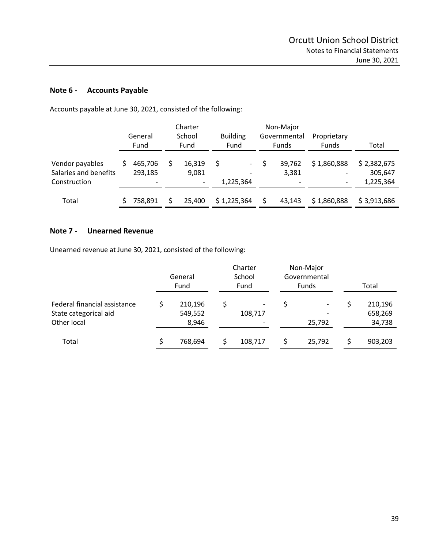# **Note 6 - Accounts Payable**

Accounts payable at June 30, 2021, consisted of the following:

|                                                          | General<br>Fund |                                                | Charter<br>School<br>Fund |                 | <b>Building</b><br>Fund |                     | Non-Major<br>Governmental<br><b>Funds</b> |                                             | Proprietary<br><b>Funds</b>                                         | Total                               |
|----------------------------------------------------------|-----------------|------------------------------------------------|---------------------------|-----------------|-------------------------|---------------------|-------------------------------------------|---------------------------------------------|---------------------------------------------------------------------|-------------------------------------|
| Vendor payables<br>Salaries and benefits<br>Construction |                 | 465,706<br>293,185<br>$\overline{\phantom{0}}$ |                           | 16,319<br>9,081 | Ś                       | $\sim$<br>1,225,364 |                                           | 39,762<br>3,381<br>$\overline{\phantom{a}}$ | \$1,860,888<br>$\overline{\phantom{0}}$<br>$\overline{\phantom{a}}$ | \$2,382,675<br>305,647<br>1,225,364 |
| Total                                                    |                 | 758,891                                        |                           | 25,400          |                         | \$1,225,364         |                                           | 43.143                                      | \$1,860,888                                                         | \$3,913,686                         |

# **Note 7 - Unearned Revenue**

Unearned revenue at June 30, 2021, consisted of the following:

|                                                                      | General<br>Fund             | Charter<br>School<br>Fund | Non-Major<br>Governmental<br><b>Funds</b> | Total                        |  |  |
|----------------------------------------------------------------------|-----------------------------|---------------------------|-------------------------------------------|------------------------------|--|--|
| Federal financial assistance<br>State categorical aid<br>Other local | 210,196<br>549,552<br>8,946 | 108,717                   | 25,792                                    | 210,196<br>658,269<br>34,738 |  |  |
| Total                                                                | 768,694                     | 108,717                   | 25,792                                    | 903,203                      |  |  |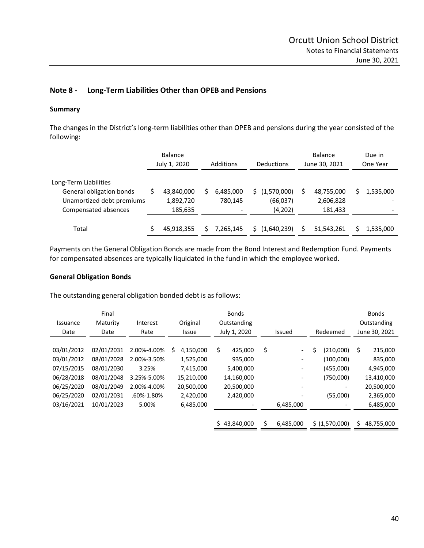# **Note 8 - Long-Term Liabilities Other than OPEB and Pensions**

#### **Summary**

The changes in the District's long-term liabilities other than OPEB and pensions during the year consisted of the following:

|                                                                                                        | <b>Balance</b><br>July 1, 2020 |                                    | Additions |                      |    | <b>Deductions</b>                   |   | Balance<br>June 30, 2021           | Due in<br>One Year |           |
|--------------------------------------------------------------------------------------------------------|--------------------------------|------------------------------------|-----------|----------------------|----|-------------------------------------|---|------------------------------------|--------------------|-----------|
| Long-Term Liabilities<br>General obligation bonds<br>Unamortized debt premiums<br>Compensated absences |                                | 43,840,000<br>1,892,720<br>185,635 |           | 6,485,000<br>780,145 | S. | (1,570,000)<br>(66, 037)<br>(4,202) | S | 48,755,000<br>2,606,828<br>181,433 | S                  | 1,535,000 |
| Total                                                                                                  |                                | 45,918,355                         |           | 7.265.145            |    | (1,640,239)                         |   | 51,543,261                         |                    | 1,535,000 |

Payments on the General Obligation Bonds are made from the Bond Interest and Redemption Fund. Payments for compensated absences are typically liquidated in the fund in which the employee worked.

#### **General Obligation Bonds**

The outstanding general obligation bonded debt is as follows:

| Issuance<br>Date                                                                               | Final<br>Maturity<br>Date                                                                      | Interest<br>Rate                                                                         | Original<br>Issue                                                                               | <b>Bonds</b><br>Outstanding<br>July 1, 2020                                    |    | Issued                                                                                                  | Redeemed                                                          | <b>Bonds</b><br>Outstanding<br>June 30, 2021                                                |  |
|------------------------------------------------------------------------------------------------|------------------------------------------------------------------------------------------------|------------------------------------------------------------------------------------------|-------------------------------------------------------------------------------------------------|--------------------------------------------------------------------------------|----|---------------------------------------------------------------------------------------------------------|-------------------------------------------------------------------|---------------------------------------------------------------------------------------------|--|
| 03/01/2012<br>03/01/2012<br>07/15/2015<br>06/28/2018<br>06/25/2020<br>06/25/2020<br>03/16/2021 | 02/01/2031<br>08/01/2028<br>08/01/2030<br>08/01/2048<br>08/01/2049<br>02/01/2031<br>10/01/2023 | 2.00%-4.00%<br>2.00%-3.50%<br>3.25%<br>3.25%-5.00%<br>2.00%-4.00%<br>.60%-1.80%<br>5.00% | \$<br>4,150,000<br>1,525,000<br>7,415,000<br>15.210.000<br>20,500,000<br>2,420,000<br>6,485,000 | \$<br>425.000<br>935,000<br>5,400,000<br>14.160.000<br>20,500,000<br>2,420,000 | \$ | $\overline{\phantom{0}}$<br>-<br>-<br>$\overline{\phantom{a}}$<br>$\overline{\phantom{0}}$<br>6,485,000 | (210,000)<br>S<br>(100,000)<br>(455,000)<br>(750,000)<br>(55,000) | \$<br>215,000<br>835,000<br>4,945,000<br>13,410,000<br>20,500,000<br>2,365,000<br>6,485,000 |  |
|                                                                                                |                                                                                                |                                                                                          |                                                                                                 | Ŝ.<br>43,840,000                                                               | \$ | 6,485,000                                                                                               | \$(1,570,000)                                                     | Ś<br>48,755,000                                                                             |  |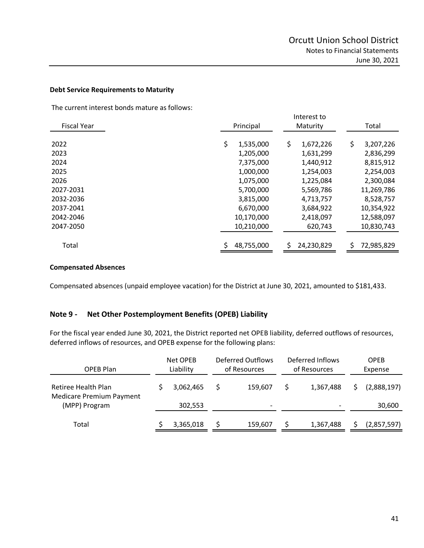#### **Debt Service Requirements to Maturity**

The current interest bonds mature as follows:

| <b>Fiscal Year</b> | Principal        | Interest to<br>Maturity | Total           |  |  |
|--------------------|------------------|-------------------------|-----------------|--|--|
| 2022               | \$<br>1,535,000  | \$<br>1,672,226         | \$<br>3,207,226 |  |  |
| 2023               | 1,205,000        | 1,631,299               | 2,836,299       |  |  |
| 2024               | 7,375,000        | 1,440,912               | 8,815,912       |  |  |
| 2025               | 1,000,000        | 1,254,003               | 2,254,003       |  |  |
| 2026               | 1,075,000        | 1,225,084               | 2,300,084       |  |  |
| 2027-2031          | 5,700,000        | 5,569,786               | 11,269,786      |  |  |
| 2032-2036          | 3,815,000        | 4,713,757               | 8,528,757       |  |  |
| 2037-2041          | 6,670,000        | 3,684,922               | 10,354,922      |  |  |
| 2042-2046          | 10,170,000       | 2,418,097               | 12,588,097      |  |  |
| 2047-2050          | 10,210,000       | 620,743                 | 10,830,743      |  |  |
| Total              | \$<br>48,755,000 | 24,230,829              | Ś<br>72,985,829 |  |  |

#### **Compensated Absences**

Compensated absences (unpaid employee vacation) for the District at June 30, 2021, amounted to \$181,433.

# **Note 9 - Net Other Postemployment Benefits (OPEB) Liability**

For the fiscal year ended June 30, 2021, the District reported net OPEB liability, deferred outflows of resources, deferred inflows of resources, and OPEB expense for the following plans:

| OPEB Plan                                              | Net OPEB<br>Liability | Deferred Outflows<br>of Resources |   | Deferred Inflows<br>of Resources | <b>OPEB</b><br>Expense |             |  |
|--------------------------------------------------------|-----------------------|-----------------------------------|---|----------------------------------|------------------------|-------------|--|
| Retiree Health Plan<br><b>Medicare Premium Payment</b> | 3,062,465             | 159.607                           | S | 1.367.488                        |                        | (2,888,197) |  |
| (MPP) Program                                          | 302,553               |                                   |   | $\overline{\phantom{0}}$         |                        | 30,600      |  |
| Total                                                  | 3,365,018             | 159,607                           | S | 1,367,488                        |                        | (2,857,597) |  |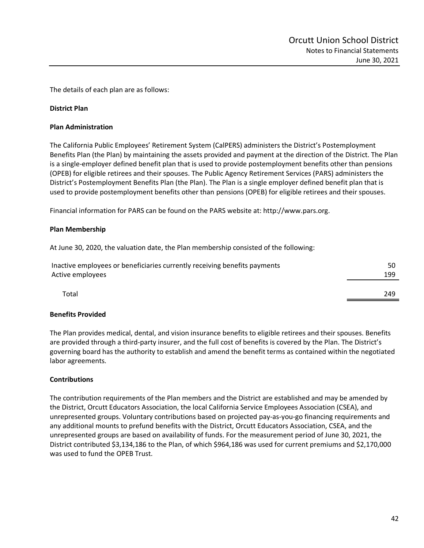The details of each plan are as follows:

#### **District Plan**

#### **Plan Administration**

The California Public Employees' Retirement System (CalPERS) administers the District's Postemployment Benefits Plan (the Plan) by maintaining the assets provided and payment at the direction of the District. The Plan is a single-employer defined benefit plan that is used to provide postemployment benefits other than pensions (OPEB) for eligible retirees and their spouses. The Public Agency Retirement Services (PARS) administers the District's Postemployment Benefits Plan (the Plan). The Plan is a single employer defined benefit plan that is used to provide postemployment benefits other than pensions (OPEB) for eligible retirees and their spouses.

Financial information for PARS can be found on the PARS website at: http://www.pars.org.

#### **Plan Membership**

At June 30, 2020, the valuation date, the Plan membership consisted of the following:

| Inactive employees or beneficiaries currently receiving benefits payments | 50  |
|---------------------------------------------------------------------------|-----|
| Active employees                                                          | 199 |
| Total                                                                     | 249 |

#### **Benefits Provided**

The Plan provides medical, dental, and vision insurance benefits to eligible retirees and their spouses. Benefits are provided through a third-party insurer, and the full cost of benefits is covered by the Plan. The District's governing board has the authority to establish and amend the benefit terms as contained within the negotiated labor agreements.

#### **Contributions**

The contribution requirements of the Plan members and the District are established and may be amended by the District, Orcutt Educators Association, the local California Service Employees Association (CSEA), and unrepresented groups. Voluntary contributions based on projected pay-as-you-go financing requirements and any additional mounts to prefund benefits with the District, Orcutt Educators Association, CSEA, and the unrepresented groups are based on availability of funds. For the measurement period of June 30, 2021, the District contributed \$3,134,186 to the Plan, of which \$964,186 was used for current premiums and \$2,170,000 was used to fund the OPEB Trust.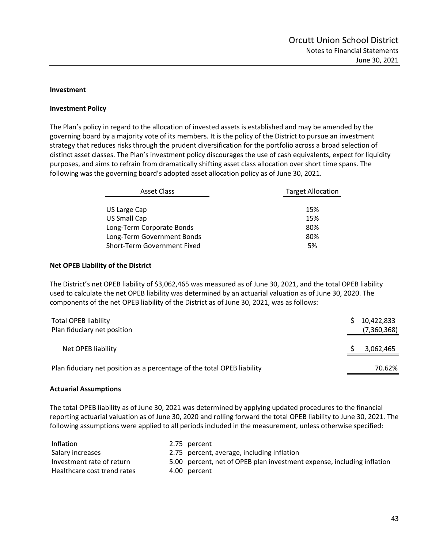#### **Investment**

#### **Investment Policy**

The Plan's policy in regard to the allocation of invested assets is established and may be amended by the governing board by a majority vote of its members. It is the policy of the District to pursue an investment strategy that reduces risks through the prudent diversification for the portfolio across a broad selection of distinct asset classes. The Plan's investment policy discourages the use of cash equivalents, expect for liquidity purposes, and aims to refrain from dramatically shifting asset class allocation over short time spans. The following was the governing board's adopted asset allocation policy as of June 30, 2021.

| <b>Asset Class</b>                 | <b>Target Allocation</b> |
|------------------------------------|--------------------------|
|                                    |                          |
| US Large Cap                       | 15%                      |
| <b>US Small Cap</b>                | 15%                      |
| Long-Term Corporate Bonds          | 80%                      |
| Long-Term Government Bonds         | 80%                      |
| <b>Short-Term Government Fixed</b> | .5%                      |

#### **Net OPEB Liability of the District**

The District's net OPEB liability of \$3,062,465 was measured as of June 30, 2021, and the total OPEB liability used to calculate the net OPEB liability was determined by an actuarial valuation as of June 30, 2020. The components of the net OPEB liability of the District as of June 30, 2021, was as follows:

| <b>Total OPEB liability</b><br>Plan fiduciary net position              | 10,422,833<br>(7,360,368) |
|-------------------------------------------------------------------------|---------------------------|
| Net OPEB liability                                                      | 3,062,465                 |
| Plan fiduciary net position as a percentage of the total OPEB liability | 70.62%                    |

#### **Actuarial Assumptions**

The total OPEB liability as of June 30, 2021 was determined by applying updated procedures to the financial reporting actuarial valuation as of June 30, 2020 and rolling forward the total OPEB liability to June 30, 2021. The following assumptions were applied to all periods included in the measurement, unless otherwise specified:

| Inflation                   | 2.75 percent                                                           |
|-----------------------------|------------------------------------------------------------------------|
| Salary increases            | 2.75 percent, average, including inflation                             |
| Investment rate of return   | 5.00 percent, net of OPEB plan investment expense, including inflation |
| Healthcare cost trend rates | 4.00 percent                                                           |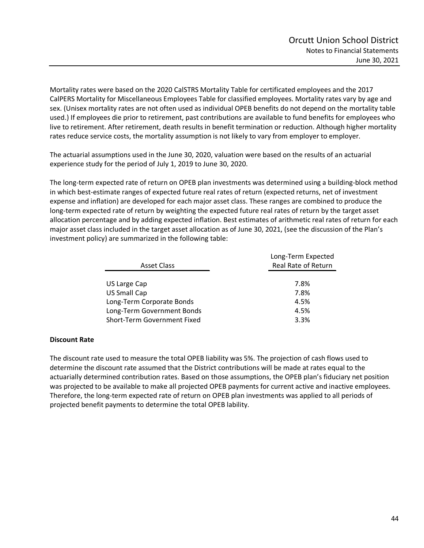Mortality rates were based on the 2020 CalSTRS Mortality Table for certificated employees and the 2017 CalPERS Mortality for Miscellaneous Employees Table for classified employees. Mortality rates vary by age and sex. (Unisex mortality rates are not often used as individual OPEB benefits do not depend on the mortality table used.) If employees die prior to retirement, past contributions are available to fund benefits for employees who live to retirement. After retirement, death results in benefit termination or reduction. Although higher mortality rates reduce service costs, the mortality assumption is not likely to vary from employer to employer.

The actuarial assumptions used in the June 30, 2020, valuation were based on the results of an actuarial experience study for the period of July 1, 2019 to June 30, 2020.

The long-term expected rate of return on OPEB plan investments was determined using a building-block method in which best-estimate ranges of expected future real rates of return (expected returns, net of investment expense and inflation) are developed for each major asset class. These ranges are combined to produce the long-term expected rate of return by weighting the expected future real rates of return by the target asset allocation percentage and by adding expected inflation. Best estimates of arithmetic real rates of return for each major asset class included in the target asset allocation as of June 30, 2021, (see the discussion of the Plan's investment policy) are summarized in the following table:

| Asset Class                 | Long-Term Expected<br>Real Rate of Return |
|-----------------------------|-------------------------------------------|
|                             |                                           |
| US Large Cap                | 7.8%                                      |
| <b>US Small Cap</b>         | 7.8%                                      |
| Long-Term Corporate Bonds   | 4.5%                                      |
| Long-Term Government Bonds  | 4.5%                                      |
| Short-Term Government Fixed | 3.3%                                      |

# **Discount Rate**

The discount rate used to measure the total OPEB liability was 5%. The projection of cash flows used to determine the discount rate assumed that the District contributions will be made at rates equal to the actuarially determined contribution rates. Based on those assumptions, the OPEB plan's fiduciary net position was projected to be available to make all projected OPEB payments for current active and inactive employees. Therefore, the long-term expected rate of return on OPEB plan investments was applied to all periods of projected benefit payments to determine the total OPEB lability.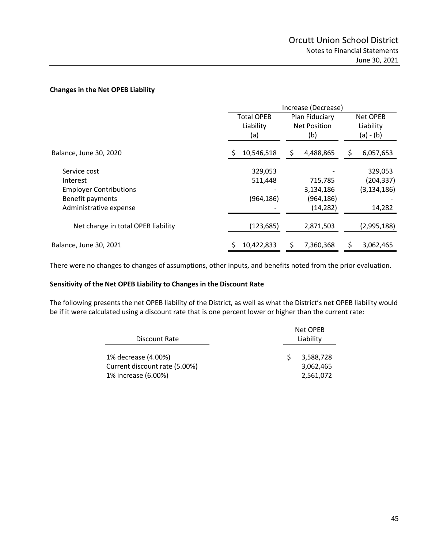#### **Changes in the Net OPEB Liability**

|                                    | Increase (Decrease)                   |                                              |                                      |  |
|------------------------------------|---------------------------------------|----------------------------------------------|--------------------------------------|--|
|                                    | <b>Total OPEB</b><br>Liability<br>(a) | Plan Fiduciary<br><b>Net Position</b><br>(b) | Net OPEB<br>Liability<br>$(a) - (b)$ |  |
| Balance, June 30, 2020             | 10,546,518                            | \$<br>4,488,865                              | \$<br>6,057,653                      |  |
| Service cost                       | 329,053                               |                                              | 329,053                              |  |
| Interest                           | 511,448                               | 715,785                                      | (204, 337)                           |  |
| <b>Employer Contributions</b>      |                                       | 3,134,186                                    | (3, 134, 186)                        |  |
| Benefit payments                   | (964,186)                             | (964, 186)                                   |                                      |  |
| Administrative expense             |                                       | (14, 282)                                    | 14,282                               |  |
| Net change in total OPEB liability | (123, 685)                            | 2,871,503                                    | (2,995,188)                          |  |
| Balance, June 30, 2021             | 10,422,833                            | \$<br>7,360,368                              | \$<br>3,062,465                      |  |

There were no changes to changes of assumptions, other inputs, and benefits noted from the prior evaluation.

#### **Sensitivity of the Net OPEB Liability to Changes in the Discount Rate**

The following presents the net OPEB liability of the District, as well as what the District's net OPEB liability would be if it were calculated using a discount rate that is one percent lower or higher than the current rate:

|                               | Net OPEB  |  |
|-------------------------------|-----------|--|
| Discount Rate                 | Liability |  |
|                               |           |  |
| 1% decrease (4.00%)           | 3,588,728 |  |
| Current discount rate (5.00%) | 3,062,465 |  |
| 1% increase (6.00%)           | 2,561,072 |  |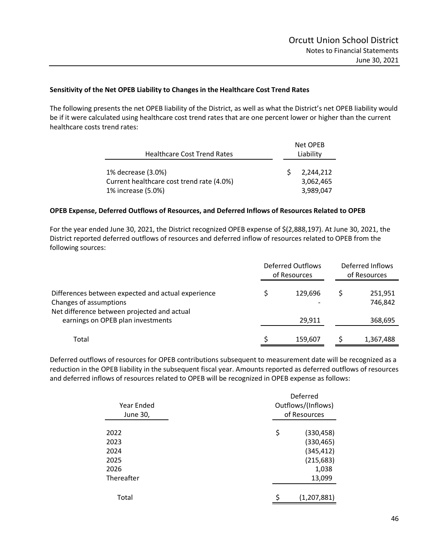#### **Sensitivity of the Net OPEB Liability to Changes in the Healthcare Cost Trend Rates**

The following presents the net OPEB liability of the District, as well as what the District's net OPEB liability would be if it were calculated using healthcare cost trend rates that are one percent lower or higher than the current healthcare costs trend rates:

| <b>Healthcare Cost Trend Rates</b>                                                    | Net OPEB<br>Liability |                                     |
|---------------------------------------------------------------------------------------|-----------------------|-------------------------------------|
| 1% decrease (3.0%)<br>Current healthcare cost trend rate (4.0%)<br>1% increase (5.0%) |                       | 2.244.212<br>3,062,465<br>3,989,047 |

#### **OPEB Expense, Deferred Outflows of Resources, and Deferred Inflows of Resources Related to OPEB**

For the year ended June 30, 2021, the District recognized OPEB expense of \$(2,888,197). At June 30, 2021, the District reported deferred outflows of resources and deferred inflow of resources related to OPEB from the following sources:

|                                                                                                                             | Deferred Outflows<br>of Resources |  | Deferred Inflows<br>of Resources |  |
|-----------------------------------------------------------------------------------------------------------------------------|-----------------------------------|--|----------------------------------|--|
| Differences between expected and actual experience<br>Changes of assumptions<br>Net difference between projected and actual | 129.696                           |  | 251,951<br>746,842               |  |
| earnings on OPEB plan investments                                                                                           | 29.911                            |  | 368,695                          |  |
| Total                                                                                                                       | 159,607                           |  | 1,367,488                        |  |

Deferred outflows of resources for OPEB contributions subsequent to measurement date will be recognized as a reduction in the OPEB liability in the subsequent fiscal year. Amounts reported as deferred outflows of resources and deferred inflows of resources related to OPEB will be recognized in OPEB expense as follows:

| Year Ended<br>June 30,                             | Deferred<br>Outflows/(Inflows)<br>of Resources                                |
|----------------------------------------------------|-------------------------------------------------------------------------------|
| 2022<br>2023<br>2024<br>2025<br>2026<br>Thereafter | \$<br>(330, 458)<br>(330, 465)<br>(345, 412)<br>(215, 683)<br>1,038<br>13,099 |
| Total                                              | \$<br>(1,207,881)                                                             |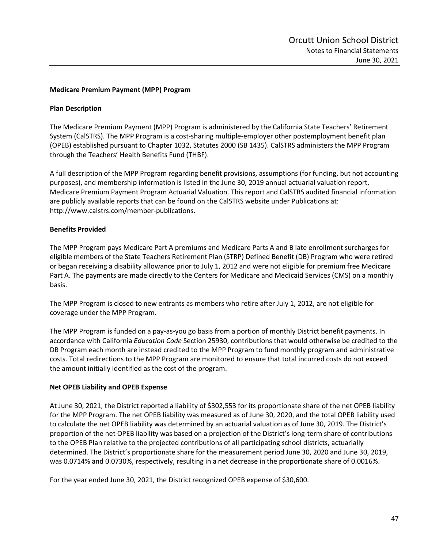#### **Medicare Premium Payment (MPP) Program**

#### **Plan Description**

The Medicare Premium Payment (MPP) Program is administered by the California State Teachers' Retirement System (CalSTRS). The MPP Program is a cost-sharing multiple-employer other postemployment benefit plan (OPEB) established pursuant to Chapter 1032, Statutes 2000 (SB 1435). CalSTRS administers the MPP Program through the Teachers' Health Benefits Fund (THBF).

A full description of the MPP Program regarding benefit provisions, assumptions (for funding, but not accounting purposes), and membership information is listed in the June 30, 2019 annual actuarial valuation report, Medicare Premium Payment Program Actuarial Valuation. This report and CalSTRS audited financial information are publicly available reports that can be found on the CalSTRS website under Publications at: http://www.calstrs.com/member-publications.

#### **Benefits Provided**

The MPP Program pays Medicare Part A premiums and Medicare Parts A and B late enrollment surcharges for eligible members of the State Teachers Retirement Plan (STRP) Defined Benefit (DB) Program who were retired or began receiving a disability allowance prior to July 1, 2012 and were not eligible for premium free Medicare Part A. The payments are made directly to the Centers for Medicare and Medicaid Services (CMS) on a monthly basis.

The MPP Program is closed to new entrants as members who retire after July 1, 2012, are not eligible for coverage under the MPP Program.

The MPP Program is funded on a pay-as-you go basis from a portion of monthly District benefit payments. In accordance with California *Education Code* Section 25930, contributions that would otherwise be credited to the DB Program each month are instead credited to the MPP Program to fund monthly program and administrative costs. Total redirections to the MPP Program are monitored to ensure that total incurred costs do not exceed the amount initially identified as the cost of the program.

#### **Net OPEB Liability and OPEB Expense**

At June 30, 2021, the District reported a liability of \$302,553 for its proportionate share of the net OPEB liability for the MPP Program. The net OPEB liability was measured as of June 30, 2020, and the total OPEB liability used to calculate the net OPEB liability was determined by an actuarial valuation as of June 30, 2019. The District's proportion of the net OPEB liability was based on a projection of the District's long-term share of contributions to the OPEB Plan relative to the projected contributions of all participating school districts, actuarially determined. The District's proportionate share for the measurement period June 30, 2020 and June 30, 2019, was 0.0714% and 0.0730%, respectively, resulting in a net decrease in the proportionate share of 0.0016%.

For the year ended June 30, 2021, the District recognized OPEB expense of \$30,600.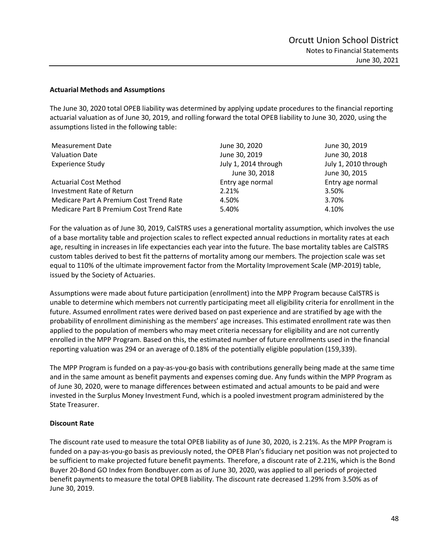#### **Actuarial Methods and Assumptions**

The June 30, 2020 total OPEB liability was determined by applying update procedures to the financial reporting actuarial valuation as of June 30, 2019, and rolling forward the total OPEB liability to June 30, 2020, using the assumptions listed in the following table:

| Measurement Date                        | June 30, 2020        | June 30, 2019        |
|-----------------------------------------|----------------------|----------------------|
| <b>Valuation Date</b>                   | June 30, 2019        | June 30, 2018        |
| <b>Experience Study</b>                 | July 1, 2014 through | July 1, 2010 through |
|                                         | June 30, 2018        | June 30, 2015        |
| <b>Actuarial Cost Method</b>            | Entry age normal     | Entry age normal     |
| Investment Rate of Return               | 2.21%                | 3.50%                |
| Medicare Part A Premium Cost Trend Rate | 4.50%                | 3.70%                |
| Medicare Part B Premium Cost Trend Rate | 5.40%                | 4.10%                |

For the valuation as of June 30, 2019, CalSTRS uses a generational mortality assumption, which involves the use of a base mortality table and projection scales to reflect expected annual reductions in mortality rates at each age, resulting in increases in life expectancies each year into the future. The base mortality tables are CalSTRS custom tables derived to best fit the patterns of mortality among our members. The projection scale was set equal to 110% of the ultimate improvement factor from the Mortality Improvement Scale (MP-2019) table, issued by the Society of Actuaries.

Assumptions were made about future participation (enrollment) into the MPP Program because CalSTRS is unable to determine which members not currently participating meet all eligibility criteria for enrollment in the future. Assumed enrollment rates were derived based on past experience and are stratified by age with the probability of enrollment diminishing as the members' age increases. This estimated enrollment rate was then applied to the population of members who may meet criteria necessary for eligibility and are not currently enrolled in the MPP Program. Based on this, the estimated number of future enrollments used in the financial reporting valuation was 294 or an average of 0.18% of the potentially eligible population (159,339).

The MPP Program is funded on a pay-as-you-go basis with contributions generally being made at the same time and in the same amount as benefit payments and expenses coming due. Any funds within the MPP Program as of June 30, 2020, were to manage differences between estimated and actual amounts to be paid and were invested in the Surplus Money Investment Fund, which is a pooled investment program administered by the State Treasurer.

#### **Discount Rate**

The discount rate used to measure the total OPEB liability as of June 30, 2020, is 2.21%. As the MPP Program is funded on a pay-as-you-go basis as previously noted, the OPEB Plan's fiduciary net position was not projected to be sufficient to make projected future benefit payments. Therefore, a discount rate of 2.21%, which is the Bond Buyer 20-Bond GO Index from Bondbuyer.com as of June 30, 2020, was applied to all periods of projected benefit payments to measure the total OPEB liability. The discount rate decreased 1.29% from 3.50% as of June 30, 2019.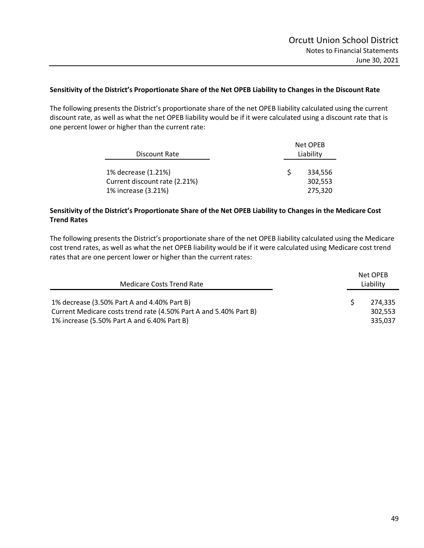#### **Sensitivity of the District's Proportionate Share of the Net OPEB Liability to Changes in the Discount Rate**

The following presents the District's proportionate share of the net OPEB liability calculated using the current discount rate, as well as what the net OPEB liability would be if it were calculated using a discount rate that is one percent lower or higher than the current rate:

| Discount Rate                 |   | Net OPEB<br>Liability |  |  |
|-------------------------------|---|-----------------------|--|--|
| 1% decrease (1.21%)           | S | 334,556               |  |  |
| Current discount rate (2.21%) |   | 302.553               |  |  |
| 1% increase (3.21%)           |   | 275,320               |  |  |

# **Sensitivity of the District's Proportionate Share of the Net OPEB Liability to Changes in the Medicare Cost Trend Rates**

The following presents the District's proportionate share of the net OPEB liability calculated using the Medicare cost trend rates, as well as what the net OPEB liability would be if it were calculated using Medicare cost trend rates that are one percent lower or higher than the current rates:

| <b>Medicare Costs Trend Rate</b>                                                                                                                                |  | Net OPEB<br>Liability         |  |
|-----------------------------------------------------------------------------------------------------------------------------------------------------------------|--|-------------------------------|--|
| 1% decrease (3.50% Part A and 4.40% Part B)<br>Current Medicare costs trend rate (4.50% Part A and 5.40% Part B)<br>1% increase (5.50% Part A and 6.40% Part B) |  | 274.335<br>302,553<br>335.037 |  |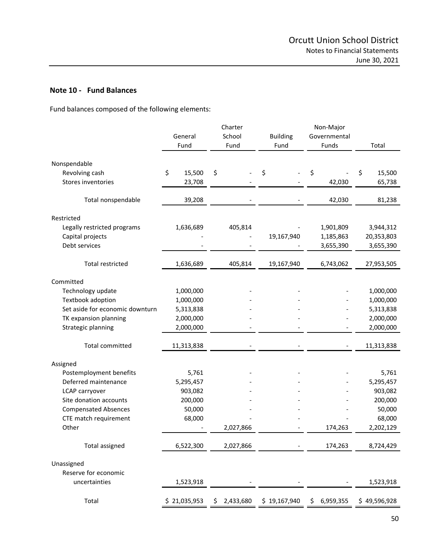# **Note 10 - Fund Balances**

Fund balances composed of the following elements:

|                                 |                        | Charter     |                 | Non-Major    |              |
|---------------------------------|------------------------|-------------|-----------------|--------------|--------------|
|                                 | General                | School      | <b>Building</b> | Governmental |              |
|                                 | Fund                   | Fund        | Fund            | Funds        | Total        |
|                                 |                        |             |                 |              |              |
| Nonspendable                    |                        |             |                 |              |              |
| Revolving cash                  | \$<br>15,500           | \$          | \$              | \$           | \$<br>15,500 |
| Stores inventories              | 23,708                 |             |                 | 42,030       | 65,738       |
| Total nonspendable              | 39,208                 |             |                 | 42,030       | 81,238       |
| Restricted                      |                        |             |                 |              |              |
| Legally restricted programs     | 1,636,689              | 405,814     |                 | 1,901,809    | 3,944,312    |
| Capital projects                |                        |             | 19,167,940      | 1,185,863    | 20,353,803   |
| Debt services                   |                        |             |                 | 3,655,390    | 3,655,390    |
|                                 |                        |             |                 |              |              |
| <b>Total restricted</b>         | 1,636,689              | 405,814     | 19,167,940      | 6,743,062    | 27,953,505   |
| Committed                       |                        |             |                 |              |              |
| Technology update               | 1,000,000              |             |                 |              | 1,000,000    |
| Textbook adoption               | 1,000,000              |             |                 |              | 1,000,000    |
| Set aside for economic downturn |                        |             |                 |              | 5,313,838    |
| TK expansion planning           | 5,313,838<br>2,000,000 |             |                 |              | 2,000,000    |
|                                 |                        |             |                 |              |              |
| Strategic planning              | 2,000,000              |             |                 |              | 2,000,000    |
| Total committed                 | 11,313,838             |             |                 |              | 11,313,838   |
| Assigned                        |                        |             |                 |              |              |
| Postemployment benefits         | 5,761                  |             |                 |              | 5,761        |
| Deferred maintenance            | 5,295,457              |             |                 |              | 5,295,457    |
| LCAP carryover                  | 903,082                |             |                 |              | 903,082      |
| Site donation accounts          | 200,000                |             |                 |              | 200,000      |
| <b>Compensated Absences</b>     | 50,000                 |             |                 |              | 50,000       |
| CTE match requirement           | 68,000                 |             |                 |              | 68,000       |
| Other                           |                        | 2,027,866   |                 | 174,263      | 2,202,129    |
|                                 |                        |             |                 |              |              |
| <b>Total assigned</b>           | 6,522,300              | 2,027,866   |                 | 174,263      | 8,724,429    |
| Unassigned                      |                        |             |                 |              |              |
| Reserve for economic            |                        |             |                 |              |              |
| uncertainties                   | 1,523,918              |             |                 |              | 1,523,918    |
| Total                           | \$21,035,953           | \$2,433,680 | \$19,167,940    | \$6,959,355  | \$49,596,928 |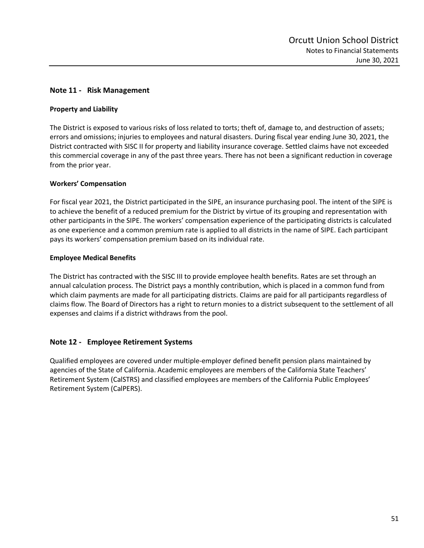# **Note 11 - Risk Management**

#### **Property and Liability**

The District is exposed to various risks of loss related to torts; theft of, damage to, and destruction of assets; errors and omissions; injuries to employees and natural disasters. During fiscal year ending June 30, 2021, the District contracted with SISC II for property and liability insurance coverage. Settled claims have not exceeded this commercial coverage in any of the past three years. There has not been a significant reduction in coverage from the prior year.

#### **Workers' Compensation**

For fiscal year 2021, the District participated in the SIPE, an insurance purchasing pool. The intent of the SIPE is to achieve the benefit of a reduced premium for the District by virtue of its grouping and representation with other participants in the SIPE. The workers' compensation experience of the participating districts is calculated as one experience and a common premium rate is applied to all districts in the name of SIPE. Each participant pays its workers' compensation premium based on its individual rate.

#### **Employee Medical Benefits**

The District has contracted with the SISC III to provide employee health benefits. Rates are set through an annual calculation process. The District pays a monthly contribution, which is placed in a common fund from which claim payments are made for all participating districts. Claims are paid for all participants regardless of claims flow. The Board of Directors has a right to return monies to a district subsequent to the settlement of all expenses and claims if a district withdraws from the pool.

#### **Note 12 - Employee Retirement Systems**

Qualified employees are covered under multiple-employer defined benefit pension plans maintained by agencies of the State of California. Academic employees are members of the California State Teachers' Retirement System (CalSTRS) and classified employees are members of the California Public Employees' Retirement System (CalPERS).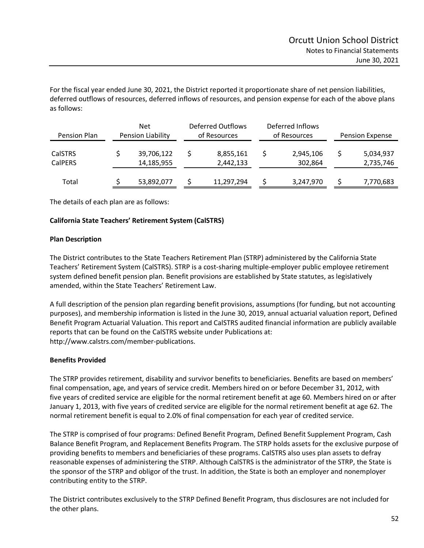For the fiscal year ended June 30, 2021, the District reported it proportionate share of net pension liabilities, deferred outflows of resources, deferred inflows of resources, and pension expense for each of the above plans as follows:

| <b>Pension Plan</b>              | Net<br>Pension Liability | Deferred Outflows<br>of Resources | Deferred Inflows<br>of Resources |  | <b>Pension Expense</b> |  |
|----------------------------------|--------------------------|-----------------------------------|----------------------------------|--|------------------------|--|
| <b>CalSTRS</b><br><b>CalPERS</b> | 39,706,122<br>14,185,955 | 8,855,161<br>2,442,133            | 2,945,106<br>302,864             |  | 5,034,937<br>2,735,746 |  |
| Total                            | 53,892,077               | 11,297,294                        | 3,247,970                        |  | 7,770,683              |  |

The details of each plan are as follows:

# **California State Teachers' Retirement System (CalSTRS)**

#### **Plan Description**

The District contributes to the State Teachers Retirement Plan (STRP) administered by the California State Teachers' Retirement System (CalSTRS). STRP is a cost-sharing multiple-employer public employee retirement system defined benefit pension plan. Benefit provisions are established by State statutes, as legislatively amended, within the State Teachers' Retirement Law.

A full description of the pension plan regarding benefit provisions, assumptions (for funding, but not accounting purposes), and membership information is listed in the June 30, 2019, annual actuarial valuation report, Defined Benefit Program Actuarial Valuation. This report and CalSTRS audited financial information are publicly available reports that can be found on the CalSTRS website under Publications at: http://www.calstrs.com/member-publications.

#### **Benefits Provided**

The STRP provides retirement, disability and survivor benefits to beneficiaries. Benefits are based on members' final compensation, age, and years of service credit. Members hired on or before December 31, 2012, with five years of credited service are eligible for the normal retirement benefit at age 60. Members hired on or after January 1, 2013, with five years of credited service are eligible for the normal retirement benefit at age 62. The normal retirement benefit is equal to 2.0% of final compensation for each year of credited service.

The STRP is comprised of four programs: Defined Benefit Program, Defined Benefit Supplement Program, Cash Balance Benefit Program, and Replacement Benefits Program. The STRP holds assets for the exclusive purpose of providing benefits to members and beneficiaries of these programs. CalSTRS also uses plan assets to defray reasonable expenses of administering the STRP. Although CalSTRS is the administrator of the STRP, the State is the sponsor of the STRP and obligor of the trust. In addition, the State is both an employer and nonemployer contributing entity to the STRP.

The District contributes exclusively to the STRP Defined Benefit Program, thus disclosures are not included for the other plans.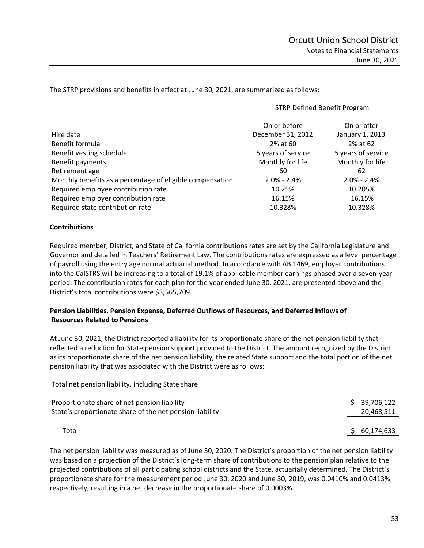The STRP provisions and benefits in effect at June 30, 2021, are summarized as follows:

|                                                           | <b>STRP Defined Benefit Program</b> |                                |
|-----------------------------------------------------------|-------------------------------------|--------------------------------|
| Hire date                                                 | On or before<br>December 31, 2012   | On or after<br>January 1, 2013 |
| Benefit formula                                           | 2% at 60                            | 2% at 62                       |
| Benefit vesting schedule                                  | 5 years of service                  | 5 years of service             |
| Benefit payments                                          | Monthly for life                    | Monthly for life               |
| Retirement age                                            | 60                                  | 62                             |
| Monthly benefits as a percentage of eligible compensation | $2.0\% - 2.4\%$                     | $2.0\% - 2.4\%$                |
| Required employee contribution rate                       | 10.25%                              | 10.205%                        |
| Required employer contribution rate                       | 16.15%                              | 16.15%                         |
| Required state contribution rate                          | 10.328%                             | 10.328%                        |

#### **Contributions**

Required member, District, and State of California contributions rates are set by the California Legislature and Governor and detailed in Teachers' Retirement Law. The contributions rates are expressed as a level percentage of payroll using the entry age normal actuarial method. In accordance with AB 1469, employer contributions into the CalSTRS will be increasing to a total of 19.1% of applicable member earnings phased over a seven-year period. The contribution rates for each plan for the year ended June 30, 2021, are presented above and the District's total contributions were \$3,565,709.

#### **Pension Liabilities, Pension Expense, Deferred Outflows of Resources, and Deferred Inflows of Resources Related to Pensions**

At June 30, 2021, the District reported a liability for its proportionate share of the net pension liability that reflected a reduction for State pension support provided to the District. The amount recognized by the District as its proportionate share of the net pension liability, the related State support and the total portion of the net pension liability that was associated with the District were as follows:

Total net pension liability, including State share

| Proportionate share of net pension liability<br>State's proportionate share of the net pension liability | \$39.706.122<br>20,468,511 |
|----------------------------------------------------------------------------------------------------------|----------------------------|
| Total                                                                                                    | \$60.174.633               |

The net pension liability was measured as of June 30, 2020. The District's proportion of the net pension liability was based on a projection of the District's long-term share of contributions to the pension plan relative to the projected contributions of all participating school districts and the State, actuarially determined. The District's proportionate share for the measurement period June 30, 2020 and June 30, 2019, was 0.0410% and 0.0413%, respectively, resulting in a net decrease in the proportionate share of 0.0003%.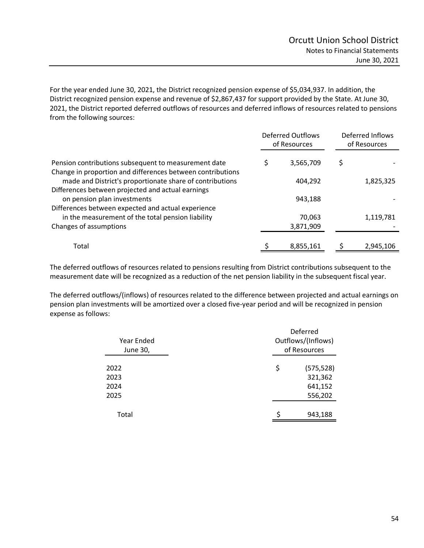For the year ended June 30, 2021, the District recognized pension expense of \$5,034,937. In addition, the District recognized pension expense and revenue of \$2,867,437 for support provided by the State. At June 30, 2021, the District reported deferred outflows of resources and deferred inflows of resources related to pensions from the following sources:

|                                                                                                                        | Deferred Outflows<br>of Resources |           | Deferred Inflows<br>of Resources |           |
|------------------------------------------------------------------------------------------------------------------------|-----------------------------------|-----------|----------------------------------|-----------|
| Pension contributions subsequent to measurement date                                                                   | \$                                | 3,565,709 | Ş                                |           |
| Change in proportion and differences between contributions<br>made and District's proportionate share of contributions |                                   | 404,292   |                                  | 1,825,325 |
| Differences between projected and actual earnings<br>on pension plan investments                                       |                                   | 943,188   |                                  |           |
| Differences between expected and actual experience<br>in the measurement of the total pension liability                |                                   | 70,063    |                                  | 1,119,781 |
| Changes of assumptions                                                                                                 |                                   | 3,871,909 |                                  |           |
| Total                                                                                                                  |                                   | 8,855,161 |                                  | 2,945,106 |

The deferred outflows of resources related to pensions resulting from District contributions subsequent to the measurement date will be recognized as a reduction of the net pension liability in the subsequent fiscal year.

The deferred outflows/(inflows) of resources related to the difference between projected and actual earnings on pension plan investments will be amortized over a closed five-year period and will be recognized in pension expense as follows:

| Year Ended<br>June 30,       |    | Deferred<br>Outflows/(Inflows)<br>of Resources |  |  |
|------------------------------|----|------------------------------------------------|--|--|
| 2022<br>2023<br>2024<br>2025 | \$ | (575, 528)<br>321,362<br>641,152<br>556,202    |  |  |
| Total                        | ς  | 943,188                                        |  |  |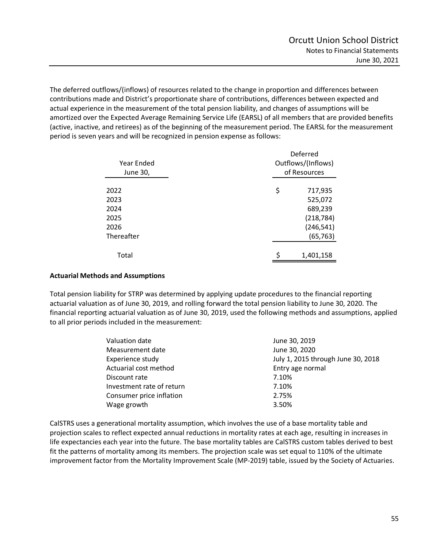The deferred outflows/(inflows) of resources related to the change in proportion and differences between contributions made and District's proportionate share of contributions, differences between expected and actual experience in the measurement of the total pension liability, and changes of assumptions will be amortized over the Expected Average Remaining Service Life (EARSL) of all members that are provided benefits (active, inactive, and retirees) as of the beginning of the measurement period. The EARSL for the measurement period is seven years and will be recognized in pension expense as follows:

| Year Ended<br>June 30,                             |    | Deferred<br>Outflows/(Inflows)<br>of Resources                         |  |  |
|----------------------------------------------------|----|------------------------------------------------------------------------|--|--|
| 2022<br>2023<br>2024<br>2025<br>2026<br>Thereafter | \$ | 717,935<br>525,072<br>689,239<br>(218, 784)<br>(246, 541)<br>(65, 763) |  |  |
| Total                                              | \$ | 1,401,158                                                              |  |  |

#### **Actuarial Methods and Assumptions**

Total pension liability for STRP was determined by applying update procedures to the financial reporting actuarial valuation as of June 30, 2019, and rolling forward the total pension liability to June 30, 2020. The financial reporting actuarial valuation as of June 30, 2019, used the following methods and assumptions, applied to all prior periods included in the measurement:

| Valuation date            | June 30, 2019                      |
|---------------------------|------------------------------------|
| Measurement date          | June 30, 2020                      |
| Experience study          | July 1, 2015 through June 30, 2018 |
| Actuarial cost method     | Entry age normal                   |
| Discount rate             | 7.10%                              |
| Investment rate of return | 7.10%                              |
| Consumer price inflation  | 2.75%                              |
| Wage growth               | 3.50%                              |

CalSTRS uses a generational mortality assumption, which involves the use of a base mortality table and projection scales to reflect expected annual reductions in mortality rates at each age, resulting in increases in life expectancies each year into the future. The base mortality tables are CalSTRS custom tables derived to best fit the patterns of mortality among its members. The projection scale was set equal to 110% of the ultimate improvement factor from the Mortality Improvement Scale (MP-2019) table, issued by the Society of Actuaries.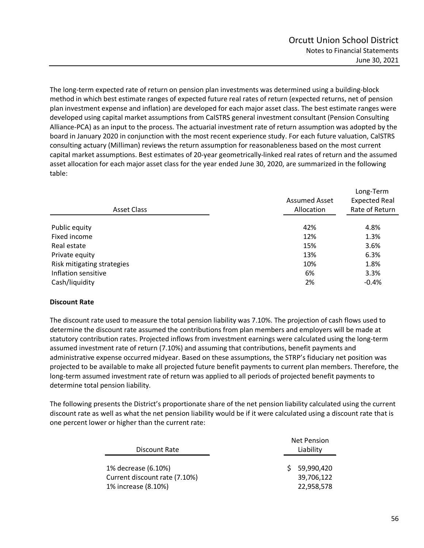The long-term expected rate of return on pension plan investments was determined using a building-block method in which best estimate ranges of expected future real rates of return (expected returns, net of pension plan investment expense and inflation) are developed for each major asset class. The best estimate ranges were developed using capital market assumptions from CalSTRS general investment consultant (Pension Consulting Alliance-PCA) as an input to the process. The actuarial investment rate of return assumption was adopted by the board in January 2020 in conjunction with the most recent experience study. For each future valuation, CalSTRS consulting actuary (Milliman) reviews the return assumption for reasonableness based on the most current capital market assumptions. Best estimates of 20-year geometrically-linked real rates of return and the assumed asset allocation for each major asset class for the year ended June 30, 2020, are summarized in the following table:

|                            | <b>Assumed Asset</b> | Long-Term<br><b>Expected Real</b> |
|----------------------------|----------------------|-----------------------------------|
| <b>Asset Class</b>         | Allocation           | Rate of Return                    |
| Public equity              | 42%                  | 4.8%                              |
| Fixed income               | 12%                  | 1.3%                              |
| Real estate                | 15%                  | 3.6%                              |
| Private equity             | 13%                  | 6.3%                              |
| Risk mitigating strategies | 10%                  | 1.8%                              |
| Inflation sensitive        | 6%                   | 3.3%                              |
| Cash/liquidity             | 2%                   | $-0.4%$                           |

#### **Discount Rate**

The discount rate used to measure the total pension liability was 7.10%. The projection of cash flows used to determine the discount rate assumed the contributions from plan members and employers will be made at statutory contribution rates. Projected inflows from investment earnings were calculated using the long-term assumed investment rate of return (7.10%) and assuming that contributions, benefit payments and administrative expense occurred midyear. Based on these assumptions, the STRP's fiduciary net position was projected to be available to make all projected future benefit payments to current plan members. Therefore, the long-term assumed investment rate of return was applied to all periods of projected benefit payments to determine total pension liability.

The following presents the District's proportionate share of the net pension liability calculated using the current discount rate as well as what the net pension liability would be if it were calculated using a discount rate that is one percent lower or higher than the current rate:

| Discount Rate                 | <b>Net Pension</b><br>Liability |
|-------------------------------|---------------------------------|
| 1% decrease (6.10%)           | 59,990,420<br>S.                |
| Current discount rate (7.10%) | 39,706,122                      |
| 1% increase (8.10%)           | 22,958,578                      |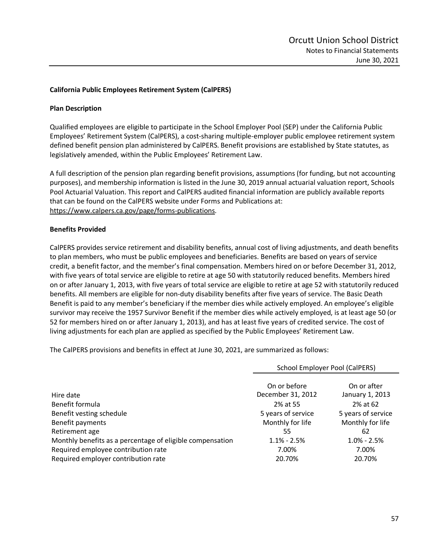#### **California Public Employees Retirement System (CalPERS)**

#### **Plan Description**

Qualified employees are eligible to participate in the School Employer Pool (SEP) under the California Public Employees' Retirement System (CalPERS), a cost-sharing multiple-employer public employee retirement system defined benefit pension plan administered by CalPERS. Benefit provisions are established by State statutes, as legislatively amended, within the Public Employees' Retirement Law.

A full description of the pension plan regarding benefit provisions, assumptions (for funding, but not accounting purposes), and membership information is listed in the June 30, 2019 annual actuarial valuation report, Schools Pool Actuarial Valuation. This report and CalPERS audited financial information are publicly available reports that can be found on the CalPERS website under Forms and Publications at: https://www.calpers.ca.gov/page/forms-publications.

#### **Benefits Provided**

CalPERS provides service retirement and disability benefits, annual cost of living adjustments, and death benefits to plan members, who must be public employees and beneficiaries. Benefits are based on years of service credit, a benefit factor, and the member's final compensation. Members hired on or before December 31, 2012, with five years of total service are eligible to retire at age 50 with statutorily reduced benefits. Members hired on or after January 1, 2013, with five years of total service are eligible to retire at age 52 with statutorily reduced benefits. All members are eligible for non-duty disability benefits after five years of service. The Basic Death Benefit is paid to any member's beneficiary if the member dies while actively employed. An employee's eligible survivor may receive the 1957 Survivor Benefit if the member dies while actively employed, is at least age 50 (or 52 for members hired on or after January 1, 2013), and has at least five years of credited service. The cost of living adjustments for each plan are applied as specified by the Public Employees' Retirement Law.

The CalPERS provisions and benefits in effect at June 30, 2021, are summarized as follows:

|                                                           | School Employer Pool (CalPERS)    |                                |  |
|-----------------------------------------------------------|-----------------------------------|--------------------------------|--|
| Hire date                                                 | On or before<br>December 31, 2012 | On or after<br>January 1, 2013 |  |
| Benefit formula                                           | 2% at 55                          | 2% at 62                       |  |
| Benefit vesting schedule                                  | 5 years of service                | 5 years of service             |  |
| Benefit payments                                          | Monthly for life                  | Monthly for life               |  |
| Retirement age                                            | 55                                | 62                             |  |
| Monthly benefits as a percentage of eligible compensation | $1.1\% - 2.5\%$                   | $1.0\% - 2.5\%$                |  |
| Required employee contribution rate                       | 7.00%                             | 7.00%                          |  |
| Required employer contribution rate                       | 20.70%                            | 20.70%                         |  |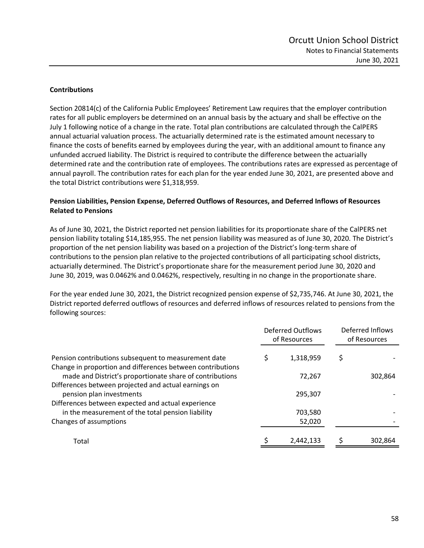# **Contributions**

Section 20814(c) of the California Public Employees' Retirement Law requires that the employer contribution rates for all public employers be determined on an annual basis by the actuary and shall be effective on the July 1 following notice of a change in the rate. Total plan contributions are calculated through the CalPERS annual actuarial valuation process. The actuarially determined rate is the estimated amount necessary to finance the costs of benefits earned by employees during the year, with an additional amount to finance any unfunded accrued liability. The District is required to contribute the difference between the actuarially determined rate and the contribution rate of employees. The contributions rates are expressed as percentage of annual payroll. The contribution rates for each plan for the year ended June 30, 2021, are presented above and the total District contributions were \$1,318,959.

# **Pension Liabilities, Pension Expense, Deferred Outflows of Resources, and Deferred Inflows of Resources Related to Pensions**

As of June 30, 2021, the District reported net pension liabilities for its proportionate share of the CalPERS net pension liability totaling \$14,185,955. The net pension liability was measured as of June 30, 2020. The District's proportion of the net pension liability was based on a projection of the District's long-term share of contributions to the pension plan relative to the projected contributions of all participating school districts, actuarially determined. The District's proportionate share for the measurement period June 30, 2020 and June 30, 2019, was 0.0462% and 0.0462%, respectively, resulting in no change in the proportionate share.

For the year ended June 30, 2021, the District recognized pension expense of \$2,735,746. At June 30, 2021, the District reported deferred outflows of resources and deferred inflows of resources related to pensions from the following sources:

|                                                                                                                                   | Deferred Outflows<br>of Resources |                   | Deferred Inflows<br>of Resources |         |
|-----------------------------------------------------------------------------------------------------------------------------------|-----------------------------------|-------------------|----------------------------------|---------|
| Pension contributions subsequent to measurement date<br>Change in proportion and differences between contributions                | \$                                | 1,318,959         | Ş                                |         |
| made and District's proportionate share of contributions                                                                          |                                   | 72,267            |                                  | 302,864 |
| Differences between projected and actual earnings on<br>pension plan investments                                                  |                                   | 295,307           |                                  |         |
| Differences between expected and actual experience<br>in the measurement of the total pension liability<br>Changes of assumptions |                                   | 703,580<br>52,020 |                                  |         |
| Total                                                                                                                             |                                   | 2,442,133         |                                  | 302,864 |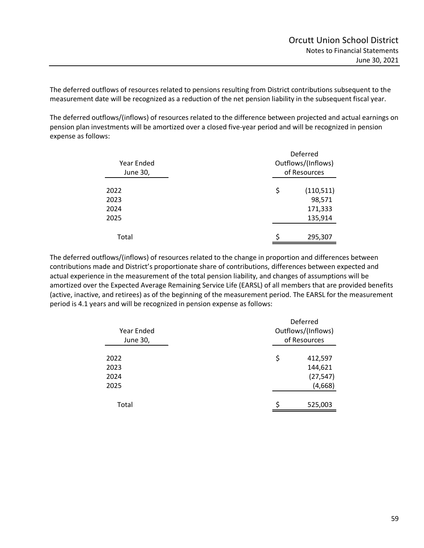The deferred outflows of resources related to pensions resulting from District contributions subsequent to the measurement date will be recognized as a reduction of the net pension liability in the subsequent fiscal year.

The deferred outflows/(inflows) of resources related to the difference between projected and actual earnings on pension plan investments will be amortized over a closed five-year period and will be recognized in pension expense as follows:

| Year Ended<br>June 30,       | Deferred<br>Outflows/(Inflows)<br>of Resources |                                           |  |  |  |
|------------------------------|------------------------------------------------|-------------------------------------------|--|--|--|
| 2022<br>2023<br>2024<br>2025 | \$                                             | (110,511)<br>98,571<br>171,333<br>135,914 |  |  |  |
| Total                        | S                                              | 295,307                                   |  |  |  |

The deferred outflows/(inflows) of resources related to the change in proportion and differences between contributions made and District's proportionate share of contributions, differences between expected and actual experience in the measurement of the total pension liability, and changes of assumptions will be amortized over the Expected Average Remaining Service Life (EARSL) of all members that are provided benefits (active, inactive, and retirees) as of the beginning of the measurement period. The EARSL for the measurement period is 4.1 years and will be recognized in pension expense as follows:

| Year Ended<br>June 30,       |    | Deferred<br>Outflows/(Inflows)<br>of Resources |
|------------------------------|----|------------------------------------------------|
| 2022<br>2023<br>2024<br>2025 | \$ | 412,597<br>144,621<br>(27, 547)<br>(4,668)     |
| Total                        | ς  | 525,003                                        |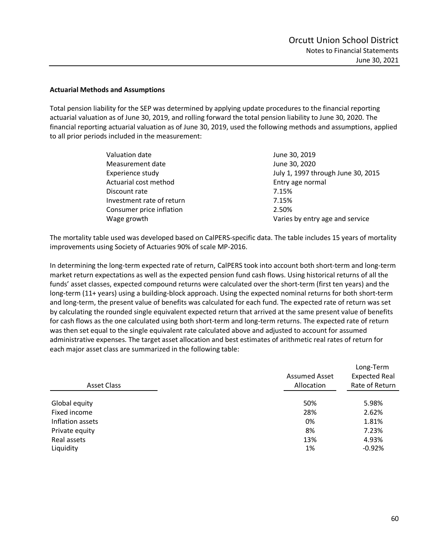#### **Actuarial Methods and Assumptions**

Total pension liability for the SEP was determined by applying update procedures to the financial reporting actuarial valuation as of June 30, 2019, and rolling forward the total pension liability to June 30, 2020. The financial reporting actuarial valuation as of June 30, 2019, used the following methods and assumptions, applied to all prior periods included in the measurement:

| Valuation date            | June 30, 2019                      |
|---------------------------|------------------------------------|
| Measurement date          | June 30, 2020                      |
| Experience study          | July 1, 1997 through June 30, 2015 |
| Actuarial cost method     | Entry age normal                   |
| Discount rate             | 7.15%                              |
| Investment rate of return | 7.15%                              |
| Consumer price inflation  | 2.50%                              |
| Wage growth               | Varies by entry age and service    |

The mortality table used was developed based on CalPERS-specific data. The table includes 15 years of mortality improvements using Society of Actuaries 90% of scale MP-2016.

In determining the long-term expected rate of return, CalPERS took into account both short-term and long-term market return expectations as well as the expected pension fund cash flows. Using historical returns of all the funds' asset classes, expected compound returns were calculated over the short-term (first ten years) and the long-term (11+ years) using a building-block approach. Using the expected nominal returns for both short-term and long-term, the present value of benefits was calculated for each fund. The expected rate of return was set by calculating the rounded single equivalent expected return that arrived at the same present value of benefits for cash flows as the one calculated using both short-term and long-term returns. The expected rate of return was then set equal to the single equivalent rate calculated above and adjusted to account for assumed administrative expenses. The target asset allocation and best estimates of arithmetic real rates of return for each major asset class are summarized in the following table:

| <b>Asset Class</b> | <b>Assumed Asset</b><br>Allocation | Long-Term<br><b>Expected Real</b><br>Rate of Return |  |  |
|--------------------|------------------------------------|-----------------------------------------------------|--|--|
| Global equity      | 50%                                | 5.98%                                               |  |  |
| Fixed income       | 28%                                | 2.62%                                               |  |  |
| Inflation assets   | 0%                                 | 1.81%                                               |  |  |
| Private equity     | 8%                                 | 7.23%                                               |  |  |
| Real assets        | 13%                                | 4.93%                                               |  |  |
| Liquidity          | 1%                                 | $-0.92%$                                            |  |  |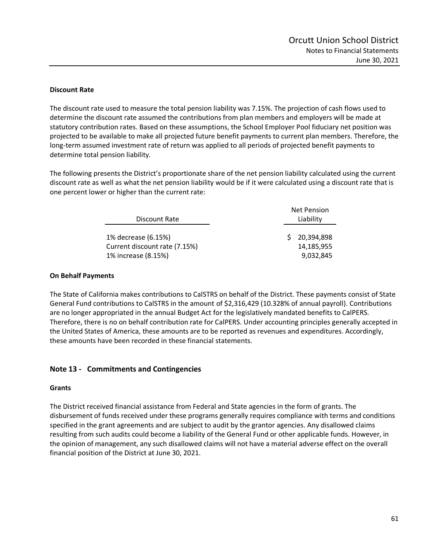# **Discount Rate**

The discount rate used to measure the total pension liability was 7.15%. The projection of cash flows used to determine the discount rate assumed the contributions from plan members and employers will be made at statutory contribution rates. Based on these assumptions, the School Employer Pool fiduciary net position was projected to be available to make all projected future benefit payments to current plan members. Therefore, the long-term assumed investment rate of return was applied to all periods of projected benefit payments to determine total pension liability.

The following presents the District's proportionate share of the net pension liability calculated using the current discount rate as well as what the net pension liability would be if it were calculated using a discount rate that is one percent lower or higher than the current rate:

| Discount Rate                                                               |  | <b>Net Pension</b><br>Liability |                                       |  |  |
|-----------------------------------------------------------------------------|--|---------------------------------|---------------------------------------|--|--|
| 1% decrease (6.15%)<br>Current discount rate (7.15%)<br>1% increase (8.15%) |  | S.                              | 20,394,898<br>14,185,955<br>9,032,845 |  |  |

#### **On Behalf Payments**

The State of California makes contributions to CalSTRS on behalf of the District. These payments consist of State General Fund contributions to CalSTRS in the amount of \$2,316,429 (10.328% of annual payroll). Contributions are no longer appropriated in the annual Budget Act for the legislatively mandated benefits to CalPERS. Therefore, there is no on behalf contribution rate for CalPERS. Under accounting principles generally accepted in the United States of America, these amounts are to be reported as revenues and expenditures. Accordingly, these amounts have been recorded in these financial statements.

# **Note 13 - Commitments and Contingencies**

#### **Grants**

The District received financial assistance from Federal and State agencies in the form of grants. The disbursement of funds received under these programs generally requires compliance with terms and conditions specified in the grant agreements and are subject to audit by the grantor agencies. Any disallowed claims resulting from such audits could become a liability of the General Fund or other applicable funds. However, in the opinion of management, any such disallowed claims will not have a material adverse effect on the overall financial position of the District at June 30, 2021.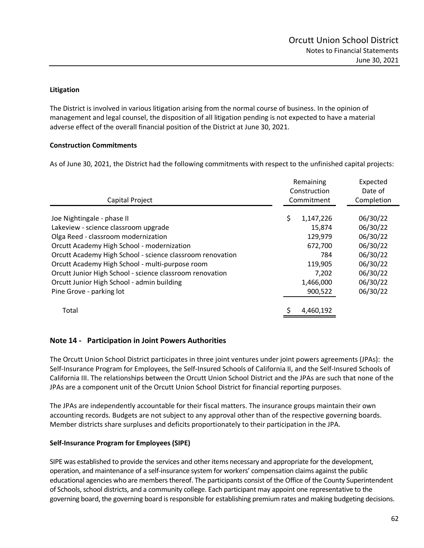# **Litigation**

The District is involved in various litigation arising from the normal course of business. In the opinion of management and legal counsel, the disposition of all litigation pending is not expected to have a material adverse effect of the overall financial position of the District at June 30, 2021.

# **Construction Commitments**

As of June 30, 2021, the District had the following commitments with respect to the unfinished capital projects:

| Capital Project                                                                                                                                                                                                                                                                                                                                                                                               |   | Remaining<br>Construction<br>Commitment                                                      | Expected<br>Date of<br>Completion                                                                        |
|---------------------------------------------------------------------------------------------------------------------------------------------------------------------------------------------------------------------------------------------------------------------------------------------------------------------------------------------------------------------------------------------------------------|---|----------------------------------------------------------------------------------------------|----------------------------------------------------------------------------------------------------------|
| Joe Nightingale - phase II<br>Lakeview - science classroom upgrade<br>Olga Reed - classroom modernization<br>Orcutt Academy High School - modernization<br>Orcutt Academy High School - science classroom renovation<br>Orcutt Academy High School - multi-purpose room<br>Orcutt Junior High School - science classroom renovation<br>Orcutt Junior High School - admin building<br>Pine Grove - parking lot | Ś | 1,147,226<br>15,874<br>129,979<br>672,700<br>784<br>119,905<br>7,202<br>1,466,000<br>900,522 | 06/30/22<br>06/30/22<br>06/30/22<br>06/30/22<br>06/30/22<br>06/30/22<br>06/30/22<br>06/30/22<br>06/30/22 |
| Total                                                                                                                                                                                                                                                                                                                                                                                                         |   | 4.460.192                                                                                    |                                                                                                          |

# **Note 14 - Participation in Joint Powers Authorities**

The Orcutt Union School District participates in three joint ventures under joint powers agreements (JPAs): the Self-Insurance Program for Employees, the Self-Insured Schools of California II, and the Self-Insured Schools of California III. The relationships between the Orcutt Union School District and the JPAs are such that none of the JPAs are a component unit of the Orcutt Union School District for financial reporting purposes.

The JPAs are independently accountable for their fiscal matters. The insurance groups maintain their own accounting records. Budgets are not subject to any approval other than of the respective governing boards. Member districts share surpluses and deficits proportionately to their participation in the JPA.

# **Self-Insurance Program for Employees (SIPE)**

SIPE was established to provide the services and other items necessary and appropriate for the development, operation, and maintenance of a self-insurance system for workers' compensation claims against the public educational agencies who are members thereof. The participants consist of the Office of the County Superintendent of Schools, school districts, and a community college. Each participant may appoint one representative to the governing board, the governing board is responsible for establishing premium rates and making budgeting decisions.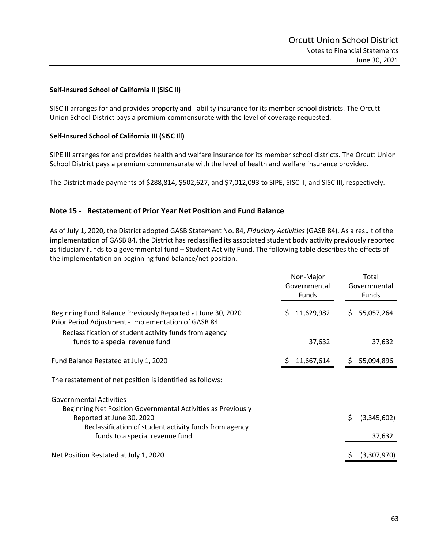#### **Self-Insured School of California II (SISC II)**

SISC II arranges for and provides property and liability insurance for its member school districts. The Orcutt Union School District pays a premium commensurate with the level of coverage requested.

#### **Self-Insured School of California III (SISC Ill)**

SIPE III arranges for and provides health and welfare insurance for its member school districts. The Orcutt Union School District pays a premium commensurate with the level of health and welfare insurance provided.

The District made payments of \$288,814, \$502,627, and \$7,012,093 to SIPE, SISC II, and SISC III, respectively.

# **Note 15 - Restatement of Prior Year Net Position and Fund Balance**

As of July 1, 2020, the District adopted GASB Statement No. 84, *Fiduciary Activities* (GASB 84). As a result of the implementation of GASB 84, the District has reclassified its associated student body activity previously reported as fiduciary funds to a governmental fund – Student Activity Fund. The following table describes the effects of the implementation on beginning fund balance/net position.

|                                                                                                                                                     | Non-Major<br>Governmental<br><b>Funds</b> | Total<br>Governmental<br>Funds |
|-----------------------------------------------------------------------------------------------------------------------------------------------------|-------------------------------------------|--------------------------------|
| Beginning Fund Balance Previously Reported at June 30, 2020<br>Prior Period Adjustment - Implementation of GASB 84                                  | 11,629,982<br>S.                          | 55,057,264<br>S.               |
| Reclassification of student activity funds from agency<br>funds to a special revenue fund                                                           | 37,632                                    | 37,632                         |
| Fund Balance Restated at July 1, 2020                                                                                                               | 11,667,614                                | 55,094,896<br>S.               |
| The restatement of net position is identified as follows:                                                                                           |                                           |                                |
| <b>Governmental Activities</b>                                                                                                                      |                                           |                                |
| Beginning Net Position Governmental Activities as Previously<br>Reported at June 30, 2020<br>Reclassification of student activity funds from agency |                                           | Ś.<br>(3,345,602)              |
| funds to a special revenue fund                                                                                                                     |                                           | 37,632                         |
| Net Position Restated at July 1, 2020                                                                                                               |                                           | (3,307,970)                    |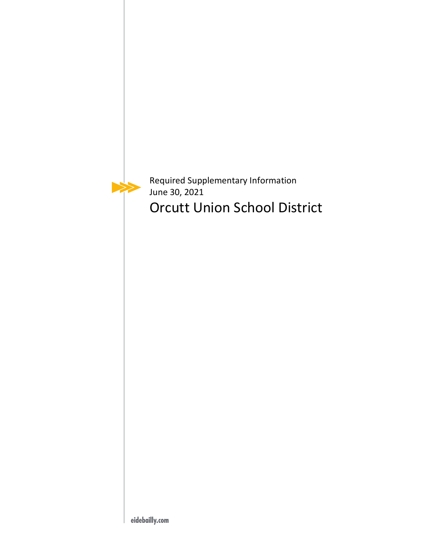

Required Supplementary Information June 30, 2021 Orcutt Union School District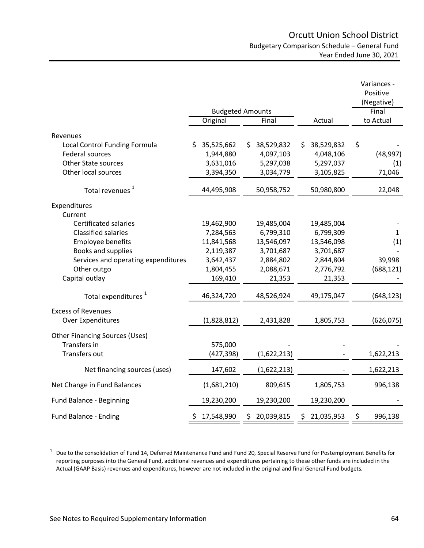|                                       |                  |                         |                  | Variances -   |
|---------------------------------------|------------------|-------------------------|------------------|---------------|
|                                       |                  |                         |                  | Positive      |
|                                       |                  |                         |                  | (Negative)    |
|                                       |                  | <b>Budgeted Amounts</b> |                  | Final         |
|                                       | Original         | Final                   | Actual           | to Actual     |
|                                       |                  |                         |                  |               |
| Revenues                              |                  |                         |                  |               |
| <b>Local Control Funding Formula</b>  | 35,525,662<br>\$ | 38,529,832<br>\$        | 38,529,832<br>\$ | \$            |
| Federal sources                       | 1,944,880        | 4,097,103               | 4,048,106        | (48, 997)     |
| <b>Other State sources</b>            | 3,631,016        | 5,297,038               | 5,297,037        | (1)           |
| Other local sources                   | 3,394,350        | 3,034,779               | 3,105,825        | 71,046        |
| Total revenues <sup>1</sup>           | 44,495,908       | 50,958,752              | 50,980,800       | 22,048        |
| Expenditures                          |                  |                         |                  |               |
| Current                               |                  |                         |                  |               |
| <b>Certificated salaries</b>          | 19,462,900       | 19,485,004              | 19,485,004       |               |
| <b>Classified salaries</b>            | 7,284,563        | 6,799,310               | 6,799,309        | $\mathbf{1}$  |
| Employee benefits                     | 11,841,568       | 13,546,097              | 13,546,098       | (1)           |
| Books and supplies                    | 2,119,387        | 3,701,687               | 3,701,687        |               |
| Services and operating expenditures   | 3,642,437        | 2,884,802               | 2,844,804        | 39,998        |
| Other outgo                           | 1,804,455        | 2,088,671               | 2,776,792        | (688, 121)    |
| Capital outlay                        | 169,410          | 21,353                  | 21,353           |               |
|                                       |                  |                         |                  |               |
| Total expenditures <sup>1</sup>       | 46,324,720       | 48,526,924              | 49,175,047       | (648, 123)    |
| <b>Excess of Revenues</b>             |                  |                         |                  |               |
| Over Expenditures                     | (1,828,812)      | 2,431,828               | 1,805,753        | (626, 075)    |
| <b>Other Financing Sources (Uses)</b> |                  |                         |                  |               |
| <b>Transfers in</b>                   | 575,000          |                         |                  |               |
| Transfers out                         | (427, 398)       | (1,622,213)             |                  | 1,622,213     |
|                                       |                  |                         |                  |               |
| Net financing sources (uses)          | 147,602          | (1,622,213)             |                  | 1,622,213     |
| Net Change in Fund Balances           | (1,681,210)      | 809,615                 | 1,805,753        | 996,138       |
| Fund Balance - Beginning              | 19,230,200       | 19,230,200              | 19,230,200       |               |
| Fund Balance - Ending                 | 17,548,990<br>\$ | 20,039,815<br>\$        | 21,035,953<br>\$ | \$<br>996,138 |

 $1$  Due to the consolidation of Fund 14, Deferred Maintenance Fund and Fund 20, Special Reserve Fund for Postemployment Benefits for reporting purposes into the General Fund, additional revenues and expenditures pertaining to these other funds are included in the Actual (GAAP Basis) revenues and expenditures, however are not included in the original and final General Fund budgets.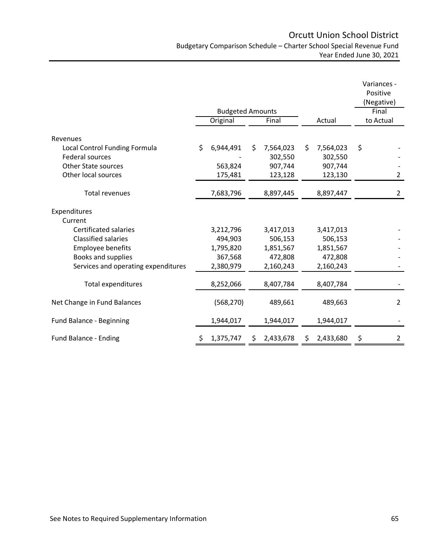|                                     |    |                         |    |           |                 | Variances -<br>Positive<br>(Negative) |
|-------------------------------------|----|-------------------------|----|-----------|-----------------|---------------------------------------|
|                                     |    | <b>Budgeted Amounts</b> |    |           |                 | Final                                 |
|                                     |    | Original                |    | Final     | Actual          | to Actual                             |
| Revenues                            |    |                         |    |           |                 |                                       |
| Local Control Funding Formula       | \$ | 6,944,491               | \$ | 7,564,023 | \$<br>7,564,023 | \$                                    |
| <b>Federal sources</b>              |    |                         |    | 302,550   | 302,550         |                                       |
| Other State sources                 |    | 563,824                 |    | 907,744   | 907,744         |                                       |
| Other local sources                 |    | 175,481                 |    | 123,128   | 123,130         | $\overline{2}$                        |
| <b>Total revenues</b>               |    | 7,683,796               |    | 8,897,445 | 8,897,447       | 2                                     |
| Expenditures                        |    |                         |    |           |                 |                                       |
| Current                             |    |                         |    |           |                 |                                       |
| <b>Certificated salaries</b>        |    | 3,212,796               |    | 3,417,013 | 3,417,013       |                                       |
| <b>Classified salaries</b>          |    | 494,903                 |    | 506,153   | 506,153         |                                       |
| Employee benefits                   |    | 1,795,820               |    | 1,851,567 | 1,851,567       |                                       |
| Books and supplies                  |    | 367,568                 |    | 472,808   | 472,808         |                                       |
| Services and operating expenditures |    | 2,380,979               |    | 2,160,243 | 2,160,243       |                                       |
| <b>Total expenditures</b>           |    | 8,252,066               |    | 8,407,784 | 8,407,784       |                                       |
| Net Change in Fund Balances         |    | (568, 270)              |    | 489,661   | 489,663         | $\overline{2}$                        |
| Fund Balance - Beginning            |    | 1,944,017               |    | 1,944,017 | 1,944,017       |                                       |
| Fund Balance - Ending               | S  | 1,375,747               | S. | 2,433,678 | \$<br>2,433,680 | \$<br>$\overline{2}$                  |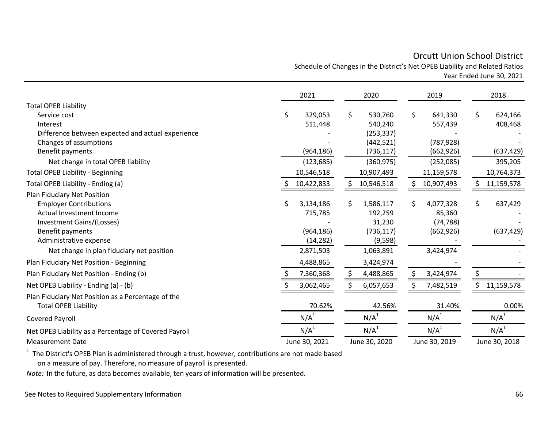# Orcutt Union School District

Schedule of Changes in the District's Net OPEB Liability and Related Ratios Year Ended June 30, 2021

|                                                       | 2021             | 2020 |                  | 2019 |                  | 2018             |  |
|-------------------------------------------------------|------------------|------|------------------|------|------------------|------------------|--|
| <b>Total OPEB Liability</b>                           |                  |      |                  |      |                  |                  |  |
| Service cost                                          | \$<br>329,053    | \$   | 530,760          | \$   | 641,330          | \$<br>624,166    |  |
| Interest                                              | 511,448          |      | 540,240          |      | 557,439          | 408,468          |  |
| Difference between expected and actual experience     |                  |      | (253, 337)       |      |                  |                  |  |
| Changes of assumptions                                |                  |      | (442, 521)       |      | (787, 928)       |                  |  |
| Benefit payments                                      | (964, 186)       |      | (736, 117)       |      | (662, 926)       | (637, 429)       |  |
| Net change in total OPEB liability                    | (123, 685)       |      | (360, 975)       |      | (252,085)        | 395,205          |  |
| <b>Total OPEB Liability - Beginning</b>               | 10,546,518       |      | 10,907,493       |      | 11,159,578       | 10,764,373       |  |
| Total OPEB Liability - Ending (a)                     | 10,422,833       |      | 10,546,518       |      | 10,907,493       | 11,159,578       |  |
| <b>Plan Fiduciary Net Position</b>                    |                  |      |                  |      |                  |                  |  |
| <b>Employer Contributions</b>                         | \$<br>3,134,186  | \$   | 1,586,117        | Ś.   | 4,077,328        | \$<br>637,429    |  |
| Actual Investment Income                              | 715,785          |      | 192,259          |      | 85,360           |                  |  |
| Investment Gains/(Losses)                             |                  |      | 31,230           |      | (74, 788)        |                  |  |
| Benefit payments                                      | (964, 186)       |      | (736, 117)       |      | (662, 926)       | (637, 429)       |  |
| Administrative expense                                | (14, 282)        |      | (9, 598)         |      |                  |                  |  |
| Net change in plan fiduciary net position             | 2,871,503        |      | 1,063,891        |      | 3,424,974        |                  |  |
| Plan Fiduciary Net Position - Beginning               | 4,488,865        |      | 3,424,974        |      |                  |                  |  |
| Plan Fiduciary Net Position - Ending (b)              | 7,360,368        |      | 4,488,865        |      | 3,424,974        |                  |  |
| Net OPEB Liability - Ending (a) - (b)                 | 3,062,465        |      | 6,057,653        |      | 7,482,519        | 11,159,578       |  |
| Plan Fiduciary Net Position as a Percentage of the    |                  |      |                  |      |                  |                  |  |
| <b>Total OPEB Liability</b>                           | 70.62%           |      | 42.56%           |      | 31.40%           | 0.00%            |  |
| <b>Covered Payroll</b>                                | N/A <sup>1</sup> |      | N/A <sup>1</sup> |      | N/A <sup>1</sup> | N/A <sup>1</sup> |  |
| Net OPEB Liability as a Percentage of Covered Payroll | N/A <sup>1</sup> |      | N/A <sup>1</sup> |      | N/A <sup>1</sup> | N/A <sup>1</sup> |  |
| <b>Measurement Date</b>                               | June 30, 2021    |      | June 30, 2020    |      | June 30, 2019    | June 30, 2018    |  |

 $^1$  The District's OPEB Plan is administered through a trust, however, contributions are not made based

on a measure of pay. Therefore, no measure of payroll is presented.

*Note:* In the future, as data becomes available, ten years of information will be presented.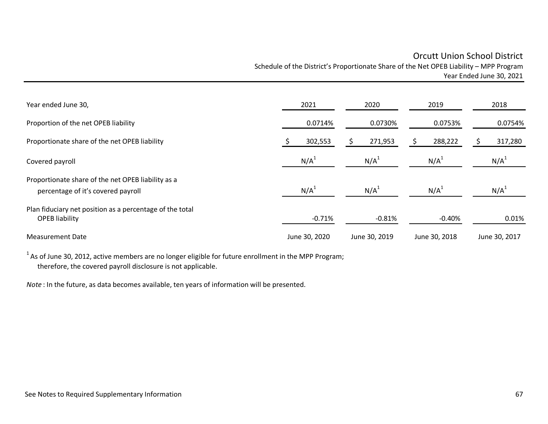# Orcutt Union School District

Schedule of the District's Proportionate Share of the Net OPEB Liability – MPP Program Year Ended June 30, 2021

| Year ended June 30,                                                                      | 2021             | 2020             | 2019             | 2018             |  |
|------------------------------------------------------------------------------------------|------------------|------------------|------------------|------------------|--|
| Proportion of the net OPEB liability                                                     | 0.0714%          | 0.0730%          | 0.0753%          | 0.0754%          |  |
| Proportionate share of the net OPEB liability                                            | 302,553          | 271,953          | 288,222          | 317,280          |  |
| Covered payroll                                                                          | N/A <sup>1</sup> | N/A <sup>1</sup> | N/A <sup>1</sup> | N/A <sup>1</sup> |  |
| Proportionate share of the net OPEB liability as a<br>percentage of it's covered payroll | N/A <sup>1</sup> | N/A <sup>1</sup> | N/A <sup>1</sup> | N/A <sup>1</sup> |  |
| Plan fiduciary net position as a percentage of the total<br><b>OPEB</b> liability        | $-0.71%$         | $-0.81%$         | $-0.40%$         | $0.01\%$         |  |
| <b>Measurement Date</b>                                                                  | June 30, 2020    | June 30, 2019    | June 30, 2018    | June 30, 2017    |  |

 $^{\rm 1}$  As of June 30, 2012, active members are no longer eligible for future enrollment in the MPP Program; therefore, the covered payroll disclosure is not applicable.

*Note* : In the future, as data becomes available, ten years of information will be presented.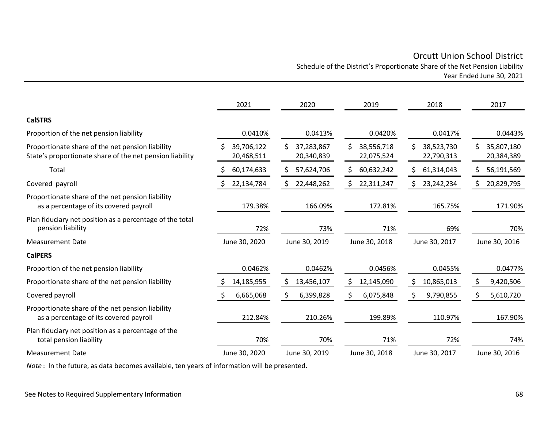# Orcutt Union School District Schedule of the District's Proportionate Share of the Net Pension Liability

Year Ended June 30, 2021

2021 <sup>2020</sup> <sup>2019</sup> <sup>2018</sup> <sup>2017</sup> **CalSTRS**Proportion of the net pension liability and the control of the net pension liability and the control of the control of the control of the control of the control of the control of the control of the control of the control o  $\frac{\%}{\%}$  0.0413% 0.0420% 0.0417% 0.0443% Proportionate share of the net pension liability  $\qquad \qquad$  \$ 39,706,122 \$ 37,283,867 \$ 38,556,718 \$ 38,523,730 \$ 35,807,180 State's proportionate share of the net pension liability <u>1 20,340,839 22,075,524 22,790,313 20,384,389</u> Total60,174,633 \$ 57,624,706 \$ 60,632,242 \$ 61,314,043 \$ 56,191,569 Covered payroll22,134,784  $\frac{1}{5}$  22,448,262  $\frac{1}{5}$  22,311,247  $\frac{1}{5}$  23,242,234  $\frac{1}{5}$  20,829,795 Proportionate share of the net pension liability as a percentage of its covered payroll 179.38% 166.09% 172.81% 165.75% 171.90% Plan fiduciary net position as a percentage of the total pension liabilityy 72% 73% 71% 69% 70% Measurement Date June 30, 2020 June 30, 2019 June 30, 2018 June 30, 2017 June 30, 2016 **CalPERS**Proportion of the net pension liability and the netral control of the netral of the netral of the netral of the netral of the netral of the netral of the netral of the netral of the netral of the netral of the netral of th  $\frac{\%}{\%}$  0.0462% 0.0456% 0.0455% 0.0477% Proportionate share of the net pension liability  $\qquad \qquad$  \$ 14,185,955 \$ 13,456,107 \$ 12,145,090 \$ 10,865,013 \$ 9,420,506 Covered payroll \$ 6,665,068 \$ 6,399,828 \$ 6,075,848 \$ 9,790,855 \$ 5,610,720 Proportionate share of the net pension liability as a percentage of its covered payroll 212.84% $\frac{\%}{\%}$  210.26% 199.89% 110.97% 167.90% Plan fiduciary net position as a percentage of the total pension liabilityy 70% 70% 71% 72% 74% Measurement Date June 30, 2020June 30, 2019 June 30, 2018 June 30, 2017 June 30, 2016

*Note* : In the future, as data becomes available, ten years of information will be presented.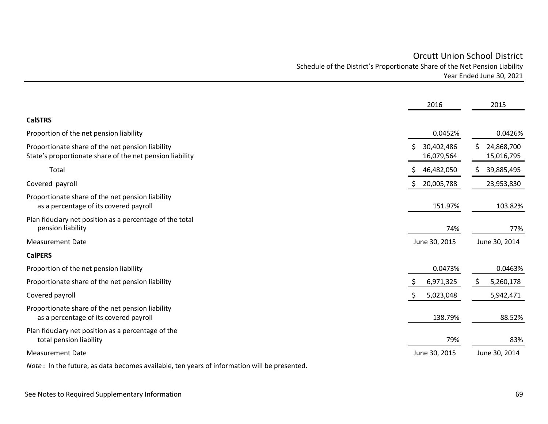# Orcutt Union School District Schedule of the District's Proportionate Share of the Net Pension Liability Year Ended June 30, 2021

2016 <sup>2015</sup> **CalSTRS**Proportion of the net pension liability and the network of the network of the network of the network of the network of the network of the network of the network of the network of the network of the network of the network o 0.0426% Proportionate share of the net pension liability and the state of the network of the network of the network of the network of the network of the network of the network of the network of the network of the network of the ne 30,402,486 \$24,868,700<br>16,079,564 15,016,795 State's proportionate share of the net pension liability 15,016,795 Total $\uparrow$  46,482,050 46,482,050 \$ 39,885,495 Covered payroll \$ 20,005,788 23,953,830 Proportionate share of the net pension liability as a percentage of its covered payroll 151.97% 103.82% Plan fiduciary net position as a percentage of the total pension liability $\gamma$ <u>%</u> 77% Measurement Datee to the contract of the contract of the contract of the contract of the contract of the contract of the contract of the contract of the contract of the contract of the contract of the contract of the contract of the contr June 30, 2014 **CalPERS**Proportion of the net pension liability and the network of the network of the network of the network of the network of the network of the network of the network of the network of the network of the network of the network o 0.0463% Proportionate share of the net pension liability and the state of the net pension liability and the state of the net pension liability  $$ 5,260,178$ Covered payroll \$ 5,023,048 5,942,471 Proportionate share of the net pension liability as a percentage of its covered payroll 138.79% 88.52% Plan fiduciary net position as a percentage of the total pension liabilityу продолжан таанаа тогтоо тогтоо тогтоо тогтоо тогтоо тогтоо тогтоо тогтоо тогтоо тогтоо тогтоо тогтоо тогтоо<br>Тогтоо тогтоо тогтоо тогтоо тогтоо тогтоо тогтоо тогтоо тогтоо тогтоо тогтоо тогтоо тогтоо тогтоо тогтоо тогто 83% Measurement Datee and the state of the state of the state of the state of the state of the state of the state of the state of the state of the state of the state of the state of the state of the state of the state of the state of the stat June 30, 2014

*Note* : In the future, as data becomes available, ten years of information will be presented.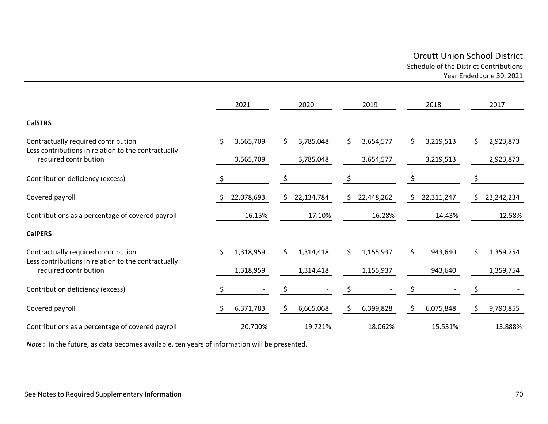# Orcutt Union School District Schedule of the District Contributions Year Ended June 30, 2021

|                                                                                            | 2021             | 2020             | 2019              | 2018             | 2017             |
|--------------------------------------------------------------------------------------------|------------------|------------------|-------------------|------------------|------------------|
| <b>CalSTRS</b>                                                                             |                  |                  |                   |                  |                  |
| Contractually required contribution<br>Less contributions in relation to the contractually | \$<br>3,565,709  | \$.<br>3,785,048 | \$<br>3,654,577   | \$<br>3,219,513  | \$<br>2,923,873  |
| required contribution                                                                      | 3,565,709        | 3,785,048        | 3,654,577         | 3,219,513        | 2,923,873        |
| Contribution deficiency (excess)                                                           |                  |                  |                   |                  |                  |
| Covered payroll                                                                            | 22,078,693<br>S. | \$<br>22,134,784 | \$.<br>22,448,262 | \$<br>22,311,247 | \$<br>23,242,234 |
| Contributions as a percentage of covered payroll                                           | 16.15%           | 17.10%           | 16.28%            | 14.43%           | 12.58%           |
| <b>CalPERS</b>                                                                             |                  |                  |                   |                  |                  |
| Contractually required contribution<br>Less contributions in relation to the contractually | \$<br>1,318,959  | Ś.<br>1,314,418  | \$<br>1,155,937   | \$<br>943,640    | 1,359,754        |
| required contribution                                                                      | 1,318,959        | 1,314,418        | 1,155,937         | 943,640          | 1,359,754        |
| Contribution deficiency (excess)                                                           |                  |                  |                   |                  |                  |
| Covered payroll                                                                            | 6,371,783        | \$<br>6,665,068  | \$<br>6,399,828   | \$<br>6,075,848  | 9,790,855        |
| Contributions as a percentage of covered payroll                                           | 20.700%          | 19.721%          | 18.062%           | 15.531%          | 13.888%          |

*Note* : In the future, as data becomes available, ten years of information will be presented.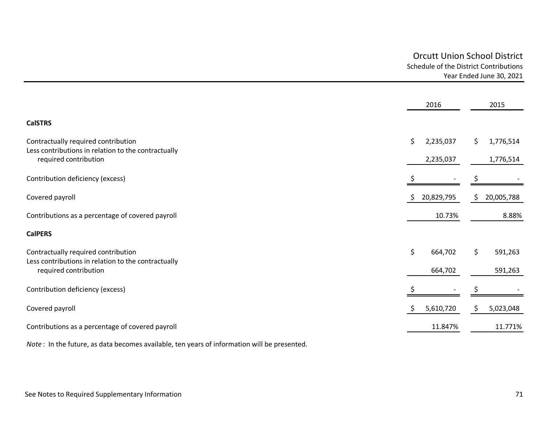# Orcutt Union School District Schedule of the District Contributions Year Ended June 30, 2021

|                                                                                            |    | 2016       |    | 2015       |
|--------------------------------------------------------------------------------------------|----|------------|----|------------|
| <b>CalSTRS</b>                                                                             |    |            |    |            |
| Contractually required contribution<br>Less contributions in relation to the contractually | \$ | 2,235,037  | \$ | 1,776,514  |
| required contribution                                                                      |    | 2,235,037  |    | 1,776,514  |
| Contribution deficiency (excess)                                                           |    |            |    |            |
| Covered payroll                                                                            | S  | 20,829,795 | \$ | 20,005,788 |
| Contributions as a percentage of covered payroll                                           |    | 10.73%     |    | 8.88%      |
| <b>CalPERS</b>                                                                             |    |            |    |            |
| Contractually required contribution                                                        | \$ | 664,702    | \$ | 591,263    |
| Less contributions in relation to the contractually<br>required contribution               |    | 664,702    |    | 591,263    |
| Contribution deficiency (excess)                                                           |    |            |    |            |
| Covered payroll                                                                            | Ŝ. | 5,610,720  | Ŝ. | 5,023,048  |
| Contributions as a percentage of covered payroll                                           |    | 11.847%    |    | 11.771%    |

*Note* : In the future, as data becomes available, ten years of information will be presented.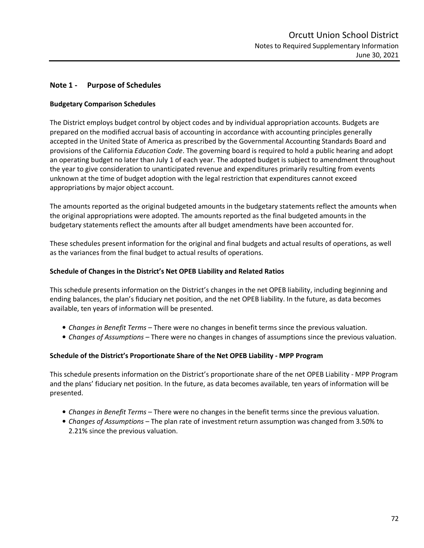# **Note 1 - Purpose of Schedules**

# **Budgetary Comparison Schedules**

The District employs budget control by object codes and by individual appropriation accounts. Budgets are prepared on the modified accrual basis of accounting in accordance with accounting principles generally accepted in the United State of America as prescribed by the Governmental Accounting Standards Board and provisions of the California *Education Code*. The governing board is required to hold a public hearing and adopt an operating budget no later than July 1 of each year. The adopted budget is subject to amendment throughout the year to give consideration to unanticipated revenue and expenditures primarily resulting from events unknown at the time of budget adoption with the legal restriction that expenditures cannot exceed appropriations by major object account.

The amounts reported as the original budgeted amounts in the budgetary statements reflect the amounts when the original appropriations were adopted. The amounts reported as the final budgeted amounts in the budgetary statements reflect the amounts after all budget amendments have been accounted for.

These schedules present information for the original and final budgets and actual results of operations, as well as the variances from the final budget to actual results of operations.

# **Schedule of Changes in the District's Net OPEB Liability and Related Ratios**

This schedule presents information on the District's changes in the net OPEB liability, including beginning and ending balances, the plan's fiduciary net position, and the net OPEB liability. In the future, as data becomes available, ten years of information will be presented.

- *Changes in Benefit Terms* There were no changes in benefit terms since the previous valuation.
- *Changes of Assumptions –* There were no changes in changes of assumptions since the previous valuation.

# **Schedule of the District's Proportionate Share of the Net OPEB Liability - MPP Program**

This schedule presents information on the District's proportionate share of the net OPEB Liability - MPP Program and the plans' fiduciary net position. In the future, as data becomes available, ten years of information will be presented.

- *Changes in Benefit Terms* There were no changes in the benefit terms since the previous valuation.
- *Changes of Assumptions* The plan rate of investment return assumption was changed from 3.50% to 2.21% since the previous valuation.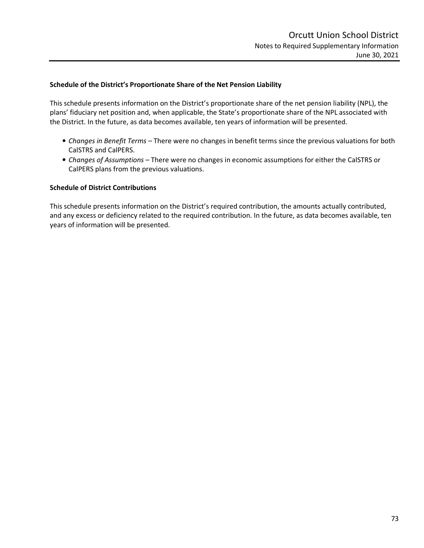# **Schedule of the District's Proportionate Share of the Net Pension Liability**

This schedule presents information on the District's proportionate share of the net pension liability (NPL), the plans' fiduciary net position and, when applicable, the State's proportionate share of the NPL associated with the District. In the future, as data becomes available, ten years of information will be presented.

- *Changes in Benefit Terms –* There were no changes in benefit terms since the previous valuations for both CalSTRS and CalPERS.
- *Changes of Assumptions –* There were no changes in economic assumptions for either the CalSTRS or CalPERS plans from the previous valuations.

# **Schedule of District Contributions**

This schedule presents information on the District's required contribution, the amounts actually contributed, and any excess or deficiency related to the required contribution. In the future, as data becomes available, ten years of information will be presented.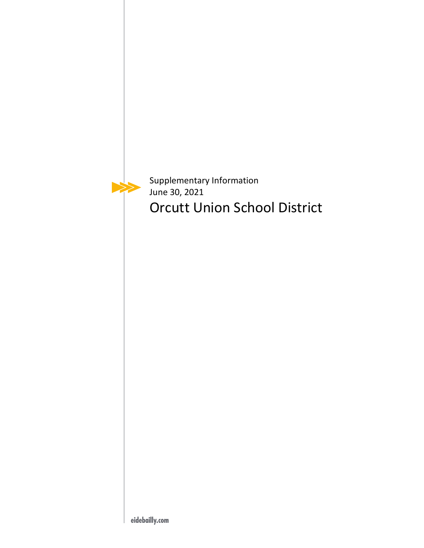$\blacktriangleright$ 

Supplementary Information June 30, 2021 Orcutt Union School District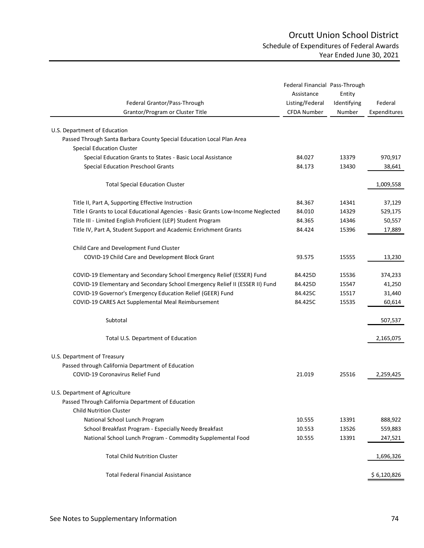|                                                                                                       | Federal Financial Pass-Through |             |              |
|-------------------------------------------------------------------------------------------------------|--------------------------------|-------------|--------------|
|                                                                                                       | Assistance                     | Entity      |              |
| Federal Grantor/Pass-Through                                                                          | Listing/Federal                | Identifying | Federal      |
| Grantor/Program or Cluster Title                                                                      | CFDA Number                    | Number      | Expenditures |
|                                                                                                       |                                |             |              |
| U.S. Department of Education<br>Passed Through Santa Barbara County Special Education Local Plan Area |                                |             |              |
| <b>Special Education Cluster</b>                                                                      |                                |             |              |
| Special Education Grants to States - Basic Local Assistance                                           | 84.027                         | 13379       | 970,917      |
| Special Education Preschool Grants                                                                    | 84.173                         | 13430       | 38,641       |
|                                                                                                       |                                |             |              |
| <b>Total Special Education Cluster</b>                                                                |                                |             | 1,009,558    |
| Title II, Part A, Supporting Effective Instruction                                                    | 84.367                         | 14341       | 37,129       |
| Title I Grants to Local Educational Agencies - Basic Grants Low-Income Neglected                      | 84.010                         | 14329       | 529,175      |
| Title III - Limited English Proficient (LEP) Student Program                                          | 84.365                         | 14346       | 50,557       |
| Title IV, Part A, Student Support and Academic Enrichment Grants                                      | 84.424                         | 15396       | 17,889       |
|                                                                                                       |                                |             |              |
| Child Care and Development Fund Cluster                                                               |                                |             |              |
| COVID-19 Child Care and Development Block Grant                                                       | 93.575                         | 15555       | 13,230       |
| COVID-19 Elementary and Secondary School Emergency Relief (ESSER) Fund                                | 84.425D                        | 15536       | 374,233      |
| COVID-19 Elementary and Secondary School Emergency Relief II (ESSER II) Fund                          | 84.425D                        | 15547       | 41,250       |
| COVID-19 Governor's Emergency Education Relief (GEER) Fund                                            | 84.425C                        | 15517       | 31,440       |
| COVID-19 CARES Act Supplemental Meal Reimbursement                                                    | 84.425C                        | 15535       | 60,614       |
| Subtotal                                                                                              |                                |             | 507,537      |
|                                                                                                       |                                |             |              |
| Total U.S. Department of Education                                                                    |                                |             | 2,165,075    |
| U.S. Department of Treasury                                                                           |                                |             |              |
| Passed through California Department of Education                                                     |                                |             |              |
| <b>COVID-19 Coronavirus Relief Fund</b>                                                               | 21.019                         | 25516       | 2,259,425    |
| U.S. Department of Agriculture                                                                        |                                |             |              |
| Passed Through California Department of Education                                                     |                                |             |              |
| <b>Child Nutrition Cluster</b>                                                                        |                                |             |              |
| National School Lunch Program                                                                         | 10.555                         | 13391       | 888,922      |
| School Breakfast Program - Especially Needy Breakfast                                                 | 10.553                         | 13526       | 559,883      |
| National School Lunch Program - Commodity Supplemental Food                                           | 10.555                         | 13391       | 247,521      |
|                                                                                                       |                                |             |              |
| <b>Total Child Nutrition Cluster</b>                                                                  |                                |             | 1,696,326    |
| <b>Total Federal Financial Assistance</b>                                                             |                                |             | \$6,120,826  |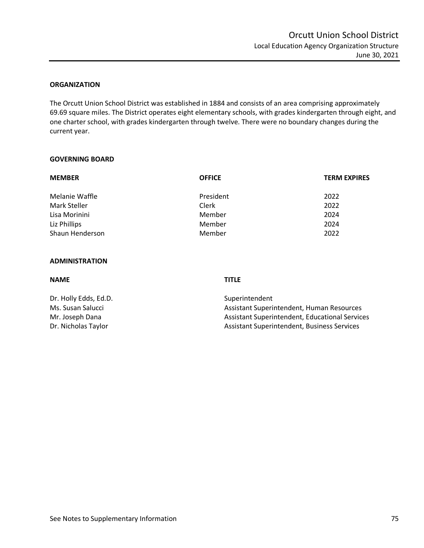# **ORGANIZATION**

The Orcutt Union School District was established in 1884 and consists of an area comprising approximately 69.69 square miles. The District operates eight elementary schools, with grades kindergarten through eight, and one charter school, with grades kindergarten through twelve. There were no boundary changes during the current year.

#### **GOVERNING BOARD**

| <b>OFFICE</b> | <b>TERM EXPIRES</b> |
|---------------|---------------------|
| President     | 2022                |
| Clerk         | 2022                |
| Member        | 2024                |
| Member        | 2024                |
| Member        | 2022                |
|               |                     |

#### **ADMINISTRATION**

#### **NAME TITLE**

Dr. Holly Edds, Ed.D. Superintendent Ms. Susan Salucci **Assistant Superintendent, Human Resources** Assistant Superintendent, Human Resources Mr. Joseph Dana **Assistant Superintendent, Educational Services** Assistant Superintendent, Educational Services Dr. Nicholas Taylor Assistant Superintendent, Business Services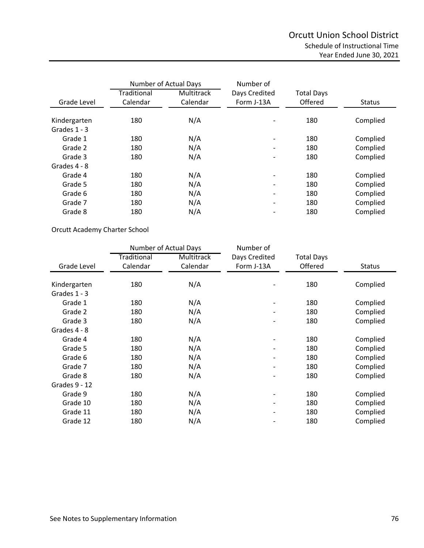|                                |                         | Number of Actual Days  | Number of                   |                              |               |
|--------------------------------|-------------------------|------------------------|-----------------------------|------------------------------|---------------|
| Grade Level                    | Traditional<br>Calendar | Multitrack<br>Calendar | Days Credited<br>Form J-13A | <b>Total Days</b><br>Offered | <b>Status</b> |
| Kindergarten<br>Grades $1 - 3$ | 180                     | N/A                    |                             | 180                          | Complied      |
| Grade 1                        | 180                     | N/A                    | $\overline{a}$              | 180                          | Complied      |
| Grade 2                        | 180                     | N/A                    | -                           | 180                          | Complied      |
| Grade 3                        | 180                     | N/A                    | $\overline{\phantom{a}}$    | 180                          | Complied      |
| Grades 4 - 8                   |                         |                        |                             |                              |               |
| Grade 4                        | 180                     | N/A                    | $\overline{a}$              | 180                          | Complied      |
| Grade 5                        | 180                     | N/A                    | -                           | 180                          | Complied      |
| Grade 6                        | 180                     | N/A                    | -                           | 180                          | Complied      |
| Grade 7                        | 180                     | N/A                    | $\overline{a}$              | 180                          | Complied      |
| Grade 8                        | 180                     | N/A                    |                             | 180                          | Complied      |

Orcutt Academy Charter School

|                |             | Number of Actual Days | Number of                |                   |               |
|----------------|-------------|-----------------------|--------------------------|-------------------|---------------|
|                | Traditional | Multitrack            | Days Credited            | <b>Total Days</b> |               |
| Grade Level    | Calendar    | Calendar              | Form J-13A               | Offered           | <b>Status</b> |
|                |             |                       |                          |                   |               |
| Kindergarten   | 180         | N/A                   |                          | 180               | Complied      |
| Grades $1 - 3$ |             |                       |                          |                   |               |
| Grade 1        | 180         | N/A                   |                          | 180               | Complied      |
| Grade 2        | 180         | N/A                   | $\overline{\phantom{a}}$ | 180               | Complied      |
| Grade 3        | 180         | N/A                   | $\overline{\phantom{a}}$ | 180               | Complied      |
| Grades 4 - 8   |             |                       |                          |                   |               |
| Grade 4        | 180         | N/A                   | $\overline{\phantom{a}}$ | 180               | Complied      |
| Grade 5        | 180         | N/A                   | $\overline{\phantom{a}}$ | 180               | Complied      |
| Grade 6        | 180         | N/A                   | $\overline{\phantom{a}}$ | 180               | Complied      |
| Grade 7        | 180         | N/A                   | -                        | 180               | Complied      |
| Grade 8        | 180         | N/A                   | $\overline{\phantom{a}}$ | 180               | Complied      |
| Grades 9 - 12  |             |                       |                          |                   |               |
| Grade 9        | 180         | N/A                   | $\overline{\phantom{a}}$ | 180               | Complied      |
| Grade 10       | 180         | N/A                   | $\overline{\phantom{a}}$ | 180               | Complied      |
| Grade 11       | 180         | N/A                   |                          | 180               | Complied      |
| Grade 12       | 180         | N/A                   |                          | 180               | Complied      |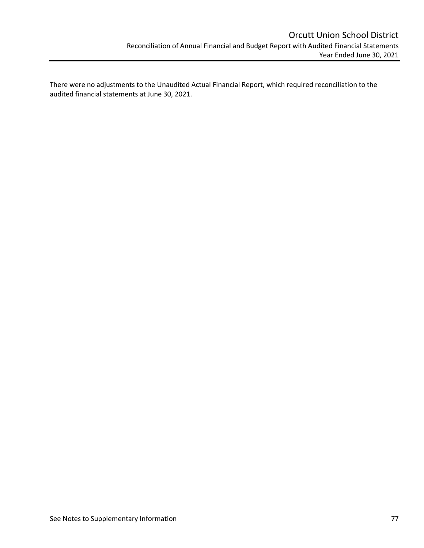There were no adjustments to the Unaudited Actual Financial Report, which required reconciliation to the audited financial statements at June 30, 2021.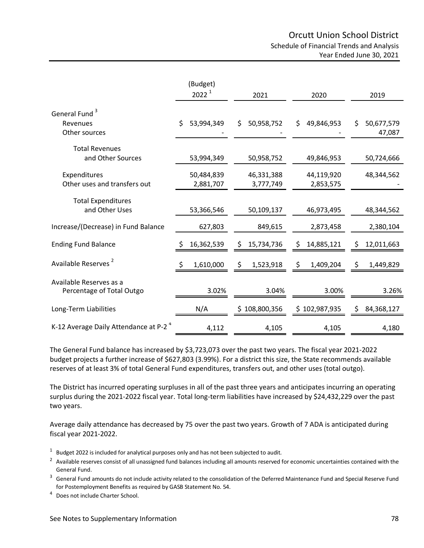|                                                        | (Budget)<br>$2022^1$      | 2021                    | 2020                    | 2019                       |
|--------------------------------------------------------|---------------------------|-------------------------|-------------------------|----------------------------|
| General Fund <sup>3</sup><br>Revenues<br>Other sources | \$<br>53,994,349          | \$.<br>50,958,752       | \$<br>49,846,953        | \$<br>50,677,579<br>47,087 |
| <b>Total Revenues</b><br>and Other Sources             | 53,994,349                | 50,958,752              | 49,846,953              | 50,724,666                 |
| Expenditures<br>Other uses and transfers out           | 50,484,839<br>2,881,707   | 46,331,388<br>3,777,749 | 44,119,920<br>2,853,575 | 48,344,562                 |
| <b>Total Expenditures</b><br>and Other Uses            | 53,366,546                | 50,109,137              | 46,973,495              | 48,344,562                 |
| Increase/(Decrease) in Fund Balance                    | 627,803                   | 849,615                 | 2,873,458               | 2,380,104                  |
| <b>Ending Fund Balance</b>                             | 16,362,539                | \$<br>15,734,736        | \$<br>14,885,121        | S<br>12,011,663            |
| Available Reserves <sup>2</sup>                        | 1,610,000<br><sup>S</sup> | \$<br>1,523,918         | \$<br>1,409,204         | 1,449,829<br>\$            |
| Available Reserves as a<br>Percentage of Total Outgo   | 3.02%                     | 3.04%                   | 3.00%                   | 3.26%                      |
| Long-Term Liabilities                                  | N/A                       | \$108,800,356           | \$102,987,935           | 84,368,127<br>S            |
| K-12 Average Daily Attendance at P-2 <sup>4</sup>      | 4,112                     | 4,105                   | 4,105                   | 4,180                      |

The General Fund balance has increased by \$3,723,073 over the past two years. The fiscal year 2021-2022 budget projects a further increase of \$627,803 (3.99%). For a district this size, the State recommends available reserves of at least 3% of total General Fund expenditures, transfers out, and other uses (total outgo).

The District has incurred operating surpluses in all of the past three years and anticipates incurring an operating surplus during the 2021-2022 fiscal year. Total long-term liabilities have increased by \$24,432,229 over the past two years.

Average daily attendance has decreased by 75 over the past two years. Growth of 7 ADA is anticipated during fiscal year 2021-2022.

- $1$  Budget 2022 is included for analytical purposes only and has not been subjected to audit.
- <sup>2</sup> Available reserves consist of all unassigned fund balances including all amounts reserved for economic uncertainties contained with the General Fund.
- <sup>3</sup> General Fund amounts do not include activity related to the consolidation of the Deferred Maintenance Fund and Special Reserve Fund for Postemployment Benefits as required by GASB Statement No. 54.
- <sup>4</sup> Does not include Charter School.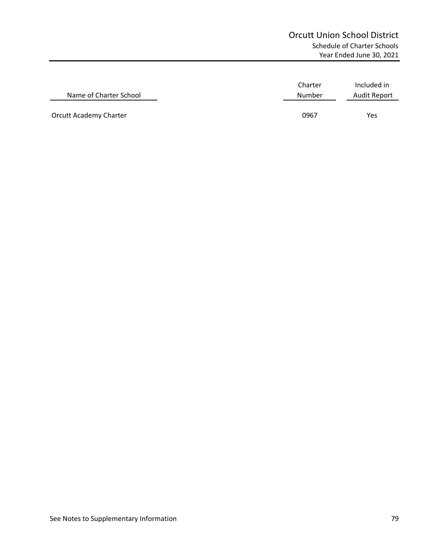|                               | Charter | Included in         |
|-------------------------------|---------|---------------------|
| Name of Charter School        | Number  | <b>Audit Report</b> |
| <b>Orcutt Academy Charter</b> | 0967    | Yes                 |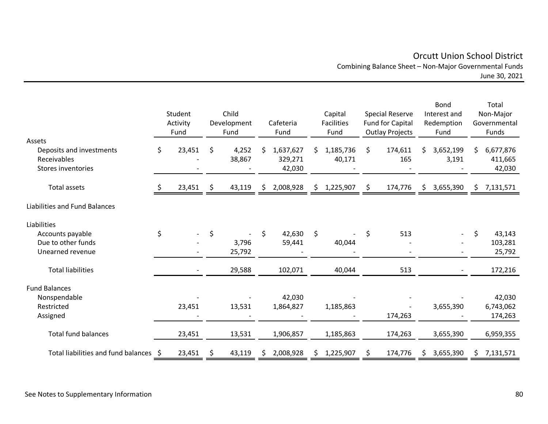# Orcutt Union School District Combining Balance Sheet – Non-Major Governmental Funds

June 30, 2021

|                                          | Student<br>Activity<br>Fund | Child<br>Development<br>Fund |     | Cafeteria<br>Fund | Capital<br><b>Facilities</b><br>Fund |           |         |         |     |           |     |             |  |  |  |  |  |  |  |  |  |  |  |  |  |  |  |  |  |  |  |  |  |  |  |  |  |  |  |  |  |  |  |  |  |  | <b>Special Reserve</b><br><b>Fund for Capital</b><br><b>Outlay Projects</b> |  |  | <b>Bond</b><br>Interest and<br>Redemption<br>Fund |  | Total<br>Non-Major<br>Governmental<br>Funds |
|------------------------------------------|-----------------------------|------------------------------|-----|-------------------|--------------------------------------|-----------|---------|---------|-----|-----------|-----|-------------|--|--|--|--|--|--|--|--|--|--|--|--|--|--|--|--|--|--|--|--|--|--|--|--|--|--|--|--|--|--|--|--|--|--|-----------------------------------------------------------------------------|--|--|---------------------------------------------------|--|---------------------------------------------|
| Assets                                   |                             |                              |     |                   |                                      |           |         |         |     |           |     |             |  |  |  |  |  |  |  |  |  |  |  |  |  |  |  |  |  |  |  |  |  |  |  |  |  |  |  |  |  |  |  |  |  |  |                                                                             |  |  |                                                   |  |                                             |
| Deposits and investments                 | \$<br>23,451                | \$<br>4,252                  | \$  | 1,637,627         | Ś                                    | 1,185,736 | \$      | 174,611 | \$  | 3,652,199 | \$. | 6,677,876   |  |  |  |  |  |  |  |  |  |  |  |  |  |  |  |  |  |  |  |  |  |  |  |  |  |  |  |  |  |  |  |  |  |  |                                                                             |  |  |                                                   |  |                                             |
| Receivables<br><b>Stores inventories</b> |                             | 38,867                       |     | 329,271<br>42,030 |                                      | 40,171    |         | 165     |     | 3,191     |     | 411,665     |  |  |  |  |  |  |  |  |  |  |  |  |  |  |  |  |  |  |  |  |  |  |  |  |  |  |  |  |  |  |  |  |  |  |                                                                             |  |  |                                                   |  |                                             |
|                                          |                             |                              |     |                   |                                      |           |         |         |     |           |     | 42,030      |  |  |  |  |  |  |  |  |  |  |  |  |  |  |  |  |  |  |  |  |  |  |  |  |  |  |  |  |  |  |  |  |  |  |                                                                             |  |  |                                                   |  |                                             |
| <b>Total assets</b>                      | 23,451                      | \$<br>43,119                 | \$. | 2,008,928         | \$.                                  | 1,225,907 | $\zeta$ | 174,776 | \$. | 3,655,390 |     | \$7,131,571 |  |  |  |  |  |  |  |  |  |  |  |  |  |  |  |  |  |  |  |  |  |  |  |  |  |  |  |  |  |  |  |  |  |  |                                                                             |  |  |                                                   |  |                                             |
| <b>Liabilities and Fund Balances</b>     |                             |                              |     |                   |                                      |           |         |         |     |           |     |             |  |  |  |  |  |  |  |  |  |  |  |  |  |  |  |  |  |  |  |  |  |  |  |  |  |  |  |  |  |  |  |  |  |  |                                                                             |  |  |                                                   |  |                                             |
| Liabilities                              |                             |                              |     |                   |                                      |           |         |         |     |           |     |             |  |  |  |  |  |  |  |  |  |  |  |  |  |  |  |  |  |  |  |  |  |  |  |  |  |  |  |  |  |  |  |  |  |  |                                                                             |  |  |                                                   |  |                                             |
| Accounts payable                         | \$                          | \$                           | \$  | 42,630            | $\zeta$                              |           | \$      | 513     |     |           | \$  | 43,143      |  |  |  |  |  |  |  |  |  |  |  |  |  |  |  |  |  |  |  |  |  |  |  |  |  |  |  |  |  |  |  |  |  |  |                                                                             |  |  |                                                   |  |                                             |
| Due to other funds                       |                             | 3,796                        |     | 59,441            |                                      | 40,044    |         |         |     |           |     | 103,281     |  |  |  |  |  |  |  |  |  |  |  |  |  |  |  |  |  |  |  |  |  |  |  |  |  |  |  |  |  |  |  |  |  |  |                                                                             |  |  |                                                   |  |                                             |
| Unearned revenue                         |                             | 25,792                       |     |                   |                                      |           |         |         |     |           |     | 25,792      |  |  |  |  |  |  |  |  |  |  |  |  |  |  |  |  |  |  |  |  |  |  |  |  |  |  |  |  |  |  |  |  |  |  |                                                                             |  |  |                                                   |  |                                             |
| <b>Total liabilities</b>                 |                             | 29,588                       |     | 102,071           |                                      | 40,044    |         | 513     |     |           |     | 172,216     |  |  |  |  |  |  |  |  |  |  |  |  |  |  |  |  |  |  |  |  |  |  |  |  |  |  |  |  |  |  |  |  |  |  |                                                                             |  |  |                                                   |  |                                             |
|                                          |                             |                              |     |                   |                                      |           |         |         |     |           |     |             |  |  |  |  |  |  |  |  |  |  |  |  |  |  |  |  |  |  |  |  |  |  |  |  |  |  |  |  |  |  |  |  |  |  |                                                                             |  |  |                                                   |  |                                             |
| <b>Fund Balances</b>                     |                             |                              |     |                   |                                      |           |         |         |     |           |     |             |  |  |  |  |  |  |  |  |  |  |  |  |  |  |  |  |  |  |  |  |  |  |  |  |  |  |  |  |  |  |  |  |  |  |                                                                             |  |  |                                                   |  |                                             |
| Nonspendable                             |                             |                              |     | 42,030            |                                      |           |         |         |     |           |     | 42,030      |  |  |  |  |  |  |  |  |  |  |  |  |  |  |  |  |  |  |  |  |  |  |  |  |  |  |  |  |  |  |  |  |  |  |                                                                             |  |  |                                                   |  |                                             |
| Restricted                               | 23,451                      | 13,531                       |     | 1,864,827         |                                      | 1,185,863 |         |         |     | 3,655,390 |     | 6,743,062   |  |  |  |  |  |  |  |  |  |  |  |  |  |  |  |  |  |  |  |  |  |  |  |  |  |  |  |  |  |  |  |  |  |  |                                                                             |  |  |                                                   |  |                                             |
| Assigned                                 |                             |                              |     |                   |                                      |           |         | 174,263 |     |           |     | 174,263     |  |  |  |  |  |  |  |  |  |  |  |  |  |  |  |  |  |  |  |  |  |  |  |  |  |  |  |  |  |  |  |  |  |  |                                                                             |  |  |                                                   |  |                                             |
| <b>Total fund balances</b>               | 23,451                      | 13,531                       |     | 1,906,857         |                                      | 1,185,863 |         | 174,263 |     | 3,655,390 |     | 6,959,355   |  |  |  |  |  |  |  |  |  |  |  |  |  |  |  |  |  |  |  |  |  |  |  |  |  |  |  |  |  |  |  |  |  |  |                                                                             |  |  |                                                   |  |                                             |
| Total liabilities and fund balances \$   | 23,451                      | \$<br>43,119                 | S   | 2,008,928         | S                                    | 1,225,907 | \$      | 174,776 | S.  | 3,655,390 |     | 7,131,571   |  |  |  |  |  |  |  |  |  |  |  |  |  |  |  |  |  |  |  |  |  |  |  |  |  |  |  |  |  |  |  |  |  |  |                                                                             |  |  |                                                   |  |                                             |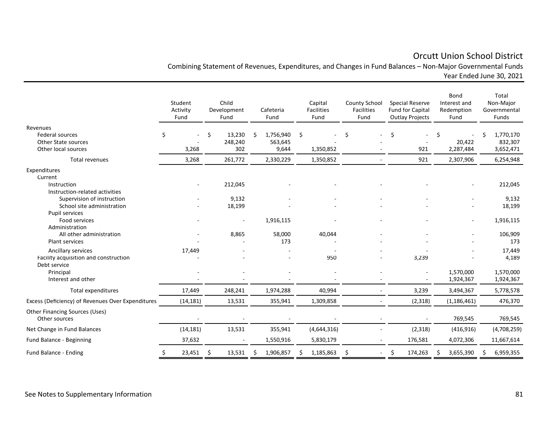# Orcutt Union School District

 Combining Statement of Revenues, Expenditures, and Changes in Fund Balances – Non-Major Governmental Funds Year Ended June 30, 2021

|                                                                                                              |     | Student<br>Activity<br>Fund |    | Child<br>Development<br>Fund |    | Cafeteria<br>Fund             |    | Capital<br><b>Facilities</b><br>Fund |    | <b>County School</b><br>Facilities<br>Fund |    | <b>Special Reserve</b><br>Fund for Capital<br><b>Outlay Projects</b> |   | Bond<br>Interest and<br>Redemption<br>Fund |    | Total<br>Non-Major<br>Governmental<br>Funds |
|--------------------------------------------------------------------------------------------------------------|-----|-----------------------------|----|------------------------------|----|-------------------------------|----|--------------------------------------|----|--------------------------------------------|----|----------------------------------------------------------------------|---|--------------------------------------------|----|---------------------------------------------|
| Revenues<br>Federal sources<br>Other State sources<br>Other local sources                                    | \$. | 3,268                       | -Ş | 13,230<br>248,240<br>302     | -S | 1,756,940<br>563,645<br>9,644 | -S | 1,350,852                            | -S |                                            | -Ş | 921                                                                  | Ş | 20,422<br>2,287,484                        | Ş  | 1,770,170<br>832,307<br>3,652,471           |
| Total revenues                                                                                               |     | 3,268                       |    | 261,772                      |    | 2,330,229                     |    | 1,350,852                            |    |                                            |    | 921                                                                  |   | 2,307,906                                  |    | 6,254,948                                   |
| Expenditures<br>Current<br>Instruction                                                                       |     |                             |    | 212,045                      |    |                               |    |                                      |    |                                            |    |                                                                      |   |                                            |    | 212,045                                     |
| Instruction-related activities<br>Supervision of instruction<br>School site administration<br>Pupil services |     |                             |    | 9,132<br>18,199              |    |                               |    |                                      |    |                                            |    |                                                                      |   |                                            |    | 9,132<br>18,199                             |
| Food services<br>Administration                                                                              |     |                             |    |                              |    | 1,916,115                     |    |                                      |    |                                            |    |                                                                      |   |                                            |    | 1,916,115                                   |
| All other administration<br>Plant services                                                                   |     |                             |    | 8,865                        |    | 58,000<br>173                 |    | 40,044                               |    |                                            |    |                                                                      |   |                                            |    | 106,909<br>173                              |
| Ancillary services<br>Facility acquisition and construction<br>Debt service                                  |     | 17,449                      |    |                              |    |                               |    | 950                                  |    |                                            |    | 3,239                                                                |   |                                            |    | 17,449<br>4,189                             |
| Principal<br>Interest and other                                                                              |     |                             |    |                              |    |                               |    |                                      |    |                                            |    | $\blacksquare$<br>$\blacksquare$                                     |   | 1,570,000<br>1,924,367                     |    | 1,570,000<br>1,924,367                      |
| <b>Total expenditures</b>                                                                                    |     | 17,449                      |    | 248,241                      |    | 1,974,288                     |    | 40,994                               |    |                                            |    | 3,239                                                                |   | 3,494,367                                  |    | 5,778,578                                   |
| Excess (Deficiency) of Revenues Over Expenditures                                                            |     | (14, 181)                   |    | 13,531                       |    | 355,941                       |    | 1,309,858                            |    |                                            |    | (2,318)                                                              |   | (1, 186, 461)                              |    | 476,370                                     |
| <b>Other Financing Sources (Uses)</b><br>Other sources                                                       |     |                             |    |                              |    |                               |    |                                      |    |                                            |    |                                                                      |   | 769,545                                    |    | 769,545                                     |
| Net Change in Fund Balances                                                                                  |     | (14, 181)                   |    | 13,531                       |    | 355,941                       |    | (4,644,316)                          |    |                                            |    | (2, 318)                                                             |   | (416, 916)                                 |    | (4,708,259)                                 |
| Fund Balance - Beginning                                                                                     |     | 37,632                      |    |                              |    | 1,550,916                     |    | 5,830,179                            |    |                                            |    | 176,581                                                              |   | 4,072,306                                  |    | 11,667,614                                  |
| Fund Balance - Ending                                                                                        |     | 23,451                      | \$ | 13,531                       | -S | 1,906,857                     | Ŝ. | 1,185,863                            | \$ |                                            | \$ | 174,263                                                              | S | 3,655,390                                  | \$ | 6,959,355                                   |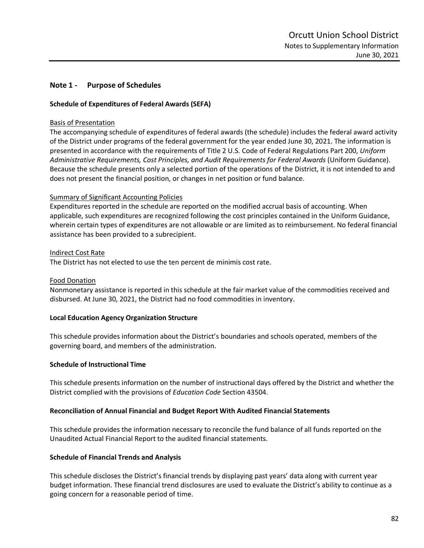# **Note 1 - Purpose of Schedules**

# **Schedule of Expenditures of Federal Awards (SEFA)**

#### Basis of Presentation

The accompanying schedule of expenditures of federal awards (the schedule) includes the federal award activity of the District under programs of the federal government for the year ended June 30, 2021. The information is presented in accordance with the requirements of Title 2 U.S. Code of Federal Regulations Part 200, *Uniform Administrative Requirements, Cost Principles, and Audit Requirements for Federal Awards* (Uniform Guidance). Because the schedule presents only a selected portion of the operations of the District, it is not intended to and does not present the financial position, or changes in net position or fund balance.

#### Summary of Significant Accounting Policies

Expenditures reported in the schedule are reported on the modified accrual basis of accounting. When applicable, such expenditures are recognized following the cost principles contained in the Uniform Guidance, wherein certain types of expenditures are not allowable or are limited as to reimbursement. No federal financial assistance has been provided to a subrecipient.

#### Indirect Cost Rate

The District has not elected to use the ten percent de minimis cost rate.

# Food Donation

Nonmonetary assistance is reported in this schedule at the fair market value of the commodities received and disbursed. At June 30, 2021, the District had no food commodities in inventory.

# **Local Education Agency Organization Structure**

This schedule provides information about the District's boundaries and schools operated, members of the governing board, and members of the administration.

#### **Schedule of Instructional Time**

This schedule presents information on the number of instructional days offered by the District and whether the District complied with the provisions of *Education Code* Section 43504.

#### **Reconciliation of Annual Financial and Budget Report With Audited Financial Statements**

This schedule provides the information necessary to reconcile the fund balance of all funds reported on the Unaudited Actual Financial Report to the audited financial statements.

#### **Schedule of Financial Trends and Analysis**

This schedule discloses the District's financial trends by displaying past years' data along with current year budget information. These financial trend disclosures are used to evaluate the District's ability to continue as a going concern for a reasonable period of time.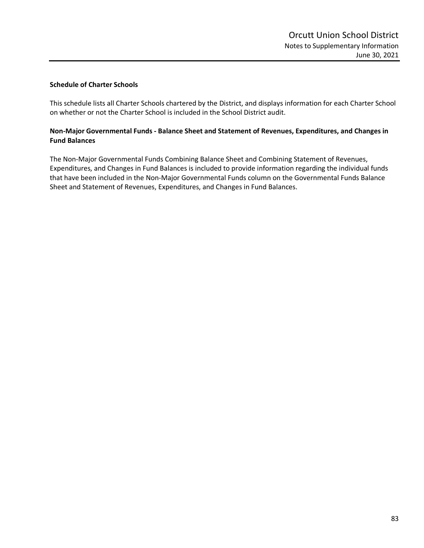# **Schedule of Charter Schools**

This schedule lists all Charter Schools chartered by the District, and displays information for each Charter School on whether or not the Charter School is included in the School District audit.

# **Non-Major Governmental Funds - Balance Sheet and Statement of Revenues, Expenditures, and Changes in Fund Balances**

The Non-Major Governmental Funds Combining Balance Sheet and Combining Statement of Revenues, Expenditures, and Changes in Fund Balances is included to provide information regarding the individual funds that have been included in the Non-Major Governmental Funds column on the Governmental Funds Balance Sheet and Statement of Revenues, Expenditures, and Changes in Fund Balances.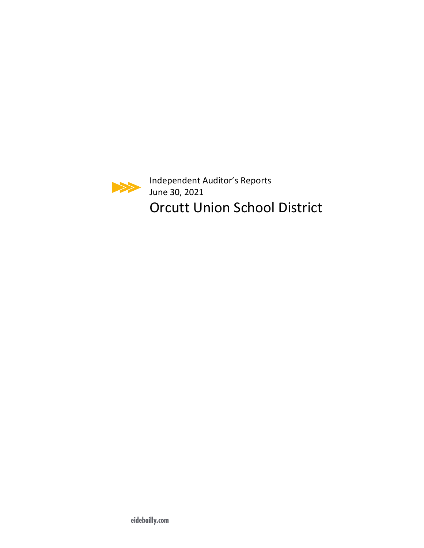

Independent Auditor's Reports June 30, 2021 Orcutt Union School District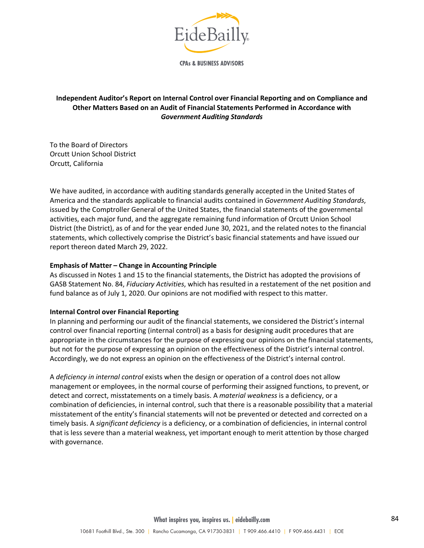

**CPAs & BUSINESS ADVISORS** 

# **Independent Auditor's Report on Internal Control over Financial Reporting and on Compliance and Other Matters Based on an Audit of Financial Statements Performed in Accordance with**  *Government Auditing Standards*

To the Board of Directors Orcutt Union School District Orcutt, California

We have audited, in accordance with auditing standards generally accepted in the United States of America and the standards applicable to financial audits contained in *Government Auditing Standards*, issued by the Comptroller General of the United States, the financial statements of the governmental activities, each major fund, and the aggregate remaining fund information of Orcutt Union School District (the District), as of and for the year ended June 30, 2021, and the related notes to the financial statements, which collectively comprise the District's basic financial statements and have issued our report thereon dated March 29, 2022.

#### **Emphasis of Matter – Change in Accounting Principle**

As discussed in Notes 1 and 15 to the financial statements, the District has adopted the provisions of GASB Statement No. 84, *Fiduciary Activities*, which has resulted in a restatement of the net position and fund balance as of July 1, 2020. Our opinions are not modified with respect to this matter.

# **Internal Control over Financial Reporting**

In planning and performing our audit of the financial statements, we considered the District's internal control over financial reporting (internal control) as a basis for designing audit procedures that are appropriate in the circumstances for the purpose of expressing our opinions on the financial statements, but not for the purpose of expressing an opinion on the effectiveness of the District's internal control. Accordingly, we do not express an opinion on the effectiveness of the District's internal control.

A *deficiency in internal control* exists when the design or operation of a control does not allow management or employees, in the normal course of performing their assigned functions, to prevent, or detect and correct, misstatements on a timely basis. A *material weakness* is a deficiency, or a combination of deficiencies, in internal control, such that there is a reasonable possibility that a material misstatement of the entity's financial statements will not be prevented or detected and corrected on a timely basis. A *significant deficiency* is a deficiency, or a combination of deficiencies, in internal control that is less severe than a material weakness, yet important enough to merit attention by those charged with governance.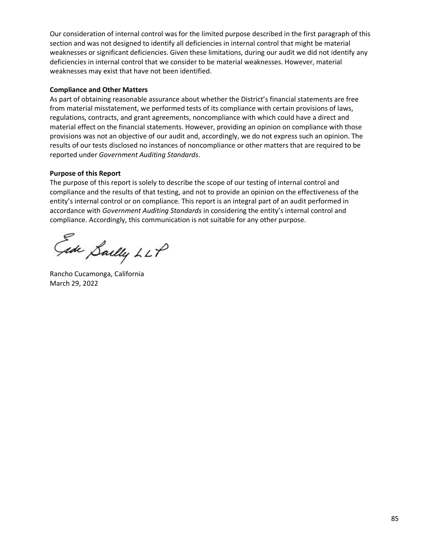Our consideration of internal control was for the limited purpose described in the first paragraph of this section and was not designed to identify all deficiencies in internal control that might be material weaknesses or significant deficiencies. Given these limitations, during our audit we did not identify any deficiencies in internal control that we consider to be material weaknesses. However, material weaknesses may exist that have not been identified.

# **Compliance and Other Matters**

As part of obtaining reasonable assurance about whether the District's financial statements are free from material misstatement, we performed tests of its compliance with certain provisions of laws, regulations, contracts, and grant agreements, noncompliance with which could have a direct and material effect on the financial statements. However, providing an opinion on compliance with those provisions was not an objective of our audit and, accordingly, we do not express such an opinion. The results of our tests disclosed no instances of noncompliance or other matters that are required to be reported under *Government Auditing Standards*.

# **Purpose of this Report**

The purpose of this report is solely to describe the scope of our testing of internal control and compliance and the results of that testing, and not to provide an opinion on the effectiveness of the entity's internal control or on compliance. This report is an integral part of an audit performed in accordance with *Government Auditing Standards* in considering the entity's internal control and compliance. Accordingly, this communication is not suitable for any other purpose.

Gide Sailly LLP

Rancho Cucamonga, California March 29, 2022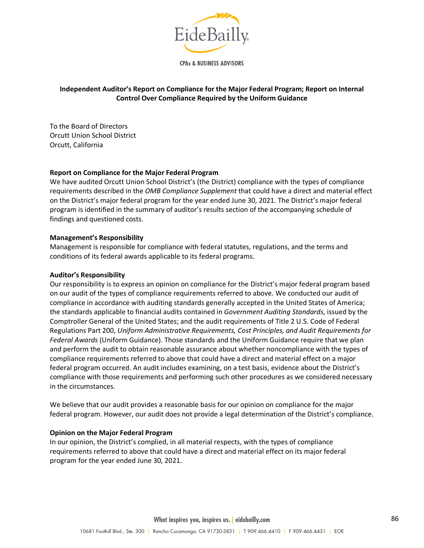

**CPAs & BUSINESS ADVISORS** 

# **Independent Auditor's Report on Compliance for the Major Federal Program; Report on Internal Control Over Compliance Required by the Uniform Guidance**

To the Board of Directors Orcutt Union School District Orcutt, California

#### **Report on Compliance for the Major Federal Program**

We have audited Orcutt Union School District's (the District) compliance with the types of compliance requirements described in the *OMB Compliance Supplement* that could have a direct and material effect on the District's major federal program for the year ended June 30, 2021. The District's major federal program is identified in the summary of auditor's results section of the accompanying schedule of findings and questioned costs.

#### **Management's Responsibility**

Management is responsible for compliance with federal statutes, regulations, and the terms and conditions of its federal awards applicable to its federal programs.

#### **Auditor's Responsibility**

Our responsibility is to express an opinion on compliance for the District's major federal program based on our audit of the types of compliance requirements referred to above. We conducted our audit of compliance in accordance with auditing standards generally accepted in the United States of America; the standards applicable to financial audits contained in *Government Auditing Standards*, issued by the Comptroller General of the United States; and the audit requirements of Title 2 U.S. Code of Federal Regulations Part 200, *Uniform Administrative Requirements, Cost Principles, and Audit Requirements for Federal Awards* (Uniform Guidance). Those standards and the Uniform Guidance require that we plan and perform the audit to obtain reasonable assurance about whether noncompliance with the types of compliance requirements referred to above that could have a direct and material effect on a major federal program occurred. An audit includes examining, on a test basis, evidence about the District's compliance with those requirements and performing such other procedures as we considered necessary in the circumstances.

We believe that our audit provides a reasonable basis for our opinion on compliance for the major federal program. However, our audit does not provide a legal determination of the District's compliance.

#### **Opinion on the Major Federal Program**

In our opinion, the District's complied, in all material respects, with the types of compliance requirements referred to above that could have a direct and material effect on its major federal program for the year ended June 30, 2021.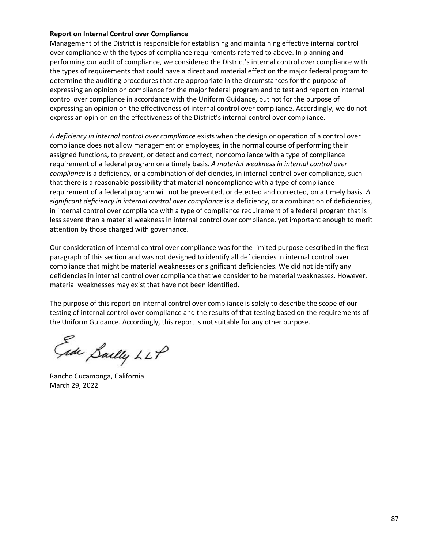### **Report on Internal Control over Compliance**

Management of the District is responsible for establishing and maintaining effective internal control over compliance with the types of compliance requirements referred to above. In planning and performing our audit of compliance, we considered the District's internal control over compliance with the types of requirements that could have a direct and material effect on the major federal program to determine the auditing procedures that are appropriate in the circumstances for the purpose of expressing an opinion on compliance for the major federal program and to test and report on internal control over compliance in accordance with the Uniform Guidance, but not for the purpose of expressing an opinion on the effectiveness of internal control over compliance. Accordingly, we do not express an opinion on the effectiveness of the District's internal control over compliance.

*A deficiency in internal control over compliance* exists when the design or operation of a control over compliance does not allow management or employees, in the normal course of performing their assigned functions, to prevent, or detect and correct, noncompliance with a type of compliance requirement of a federal program on a timely basis. *A material weakness in internal control over compliance* is a deficiency, or a combination of deficiencies, in internal control over compliance, such that there is a reasonable possibility that material noncompliance with a type of compliance requirement of a federal program will not be prevented, or detected and corrected, on a timely basis. *A significant deficiency in internal control over compliance* is a deficiency, or a combination of deficiencies, in internal control over compliance with a type of compliance requirement of a federal program that is less severe than a material weakness in internal control over compliance, yet important enough to merit attention by those charged with governance.

Our consideration of internal control over compliance was for the limited purpose described in the first paragraph of this section and was not designed to identify all deficiencies in internal control over compliance that might be material weaknesses or significant deficiencies. We did not identify any deficiencies in internal control over compliance that we consider to be material weaknesses. However, material weaknesses may exist that have not been identified.

The purpose of this report on internal control over compliance is solely to describe the scope of our testing of internal control over compliance and the results of that testing based on the requirements of the Uniform Guidance. Accordingly, this report is not suitable for any other purpose.

Gide Sailly LLP

Rancho Cucamonga, California March 29, 2022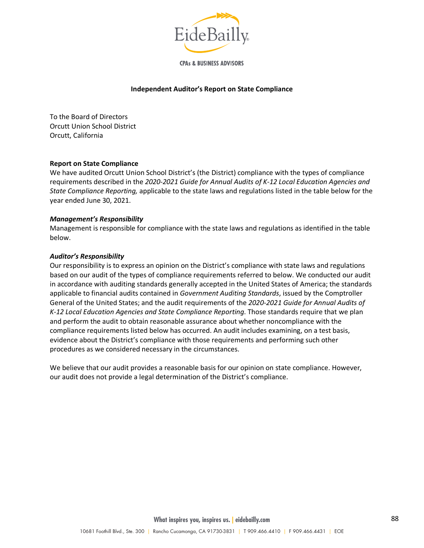

**CPAs & BUSINESS ADVISORS** 

#### **Independent Auditor's Report on State Compliance**

To the Board of Directors Orcutt Union School District Orcutt, California

#### **Report on State Compliance**

We have audited Orcutt Union School District's (the District) compliance with the types of compliance requirements described in the *2020-2021 Guide for Annual Audits of K-12 Local Education Agencies and State Compliance Reporting,* applicable to the state laws and regulations listed in the table below for the year ended June 30, 2021.

#### *Management's Responsibility*

Management is responsible for compliance with the state laws and regulations as identified in the table below.

#### *Auditor's Responsibility*

Our responsibility is to express an opinion on the District's compliance with state laws and regulations based on our audit of the types of compliance requirements referred to below. We conducted our audit in accordance with auditing standards generally accepted in the United States of America; the standards applicable to financial audits contained in *Government Auditing Standards*, issued by the Comptroller General of the United States; and the audit requirements of the *2020-2021 Guide for Annual Audits of K-12 Local Education Agencies and State Compliance Reporting*. Those standards require that we plan and perform the audit to obtain reasonable assurance about whether noncompliance with the compliance requirements listed below has occurred. An audit includes examining, on a test basis, evidence about the District's compliance with those requirements and performing such other procedures as we considered necessary in the circumstances.

We believe that our audit provides a reasonable basis for our opinion on state compliance. However, our audit does not provide a legal determination of the District's compliance.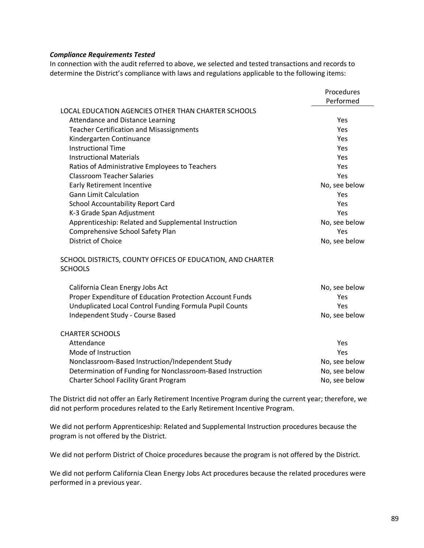#### *Compliance Requirements Tested*

In connection with the audit referred to above, we selected and tested transactions and records to determine the District's compliance with laws and regulations applicable to the following items:

|                                                                              | <b>Procedures</b> |
|------------------------------------------------------------------------------|-------------------|
|                                                                              | Performed         |
| LOCAL EDUCATION AGENCIES OTHER THAN CHARTER SCHOOLS                          |                   |
| Attendance and Distance Learning                                             | Yes               |
| <b>Teacher Certification and Misassignments</b>                              | Yes               |
| Kindergarten Continuance                                                     | Yes               |
| <b>Instructional Time</b>                                                    | Yes               |
| <b>Instructional Materials</b>                                               | Yes               |
| Ratios of Administrative Employees to Teachers                               | Yes               |
| <b>Classroom Teacher Salaries</b>                                            | Yes               |
| <b>Early Retirement Incentive</b>                                            | No, see below     |
| <b>Gann Limit Calculation</b>                                                | Yes               |
| <b>School Accountability Report Card</b>                                     | Yes               |
| K-3 Grade Span Adjustment                                                    | Yes               |
| Apprenticeship: Related and Supplemental Instruction                         | No, see below     |
| Comprehensive School Safety Plan                                             | Yes               |
| <b>District of Choice</b>                                                    | No, see below     |
| SCHOOL DISTRICTS, COUNTY OFFICES OF EDUCATION, AND CHARTER<br><b>SCHOOLS</b> |                   |
| California Clean Energy Jobs Act                                             | No, see below     |
| Proper Expenditure of Education Protection Account Funds                     | Yes               |
| Unduplicated Local Control Funding Formula Pupil Counts                      | Yes               |
| Independent Study - Course Based                                             | No, see below     |
| <b>CHARTER SCHOOLS</b>                                                       |                   |
| Attendance                                                                   | Yes               |
| Mode of Instruction                                                          | Yes               |
| Nonclassroom-Based Instruction/Independent Study                             | No, see below     |
| Determination of Funding for Nonclassroom-Based Instruction                  | No, see below     |
| <b>Charter School Facility Grant Program</b>                                 | No, see below     |
|                                                                              |                   |

The District did not offer an Early Retirement Incentive Program during the current year; therefore, we did not perform procedures related to the Early Retirement Incentive Program.

We did not perform Apprenticeship: Related and Supplemental Instruction procedures because the program is not offered by the District.

We did not perform District of Choice procedures because the program is not offered by the District.

We did not perform California Clean Energy Jobs Act procedures because the related procedures were performed in a previous year.

Procedures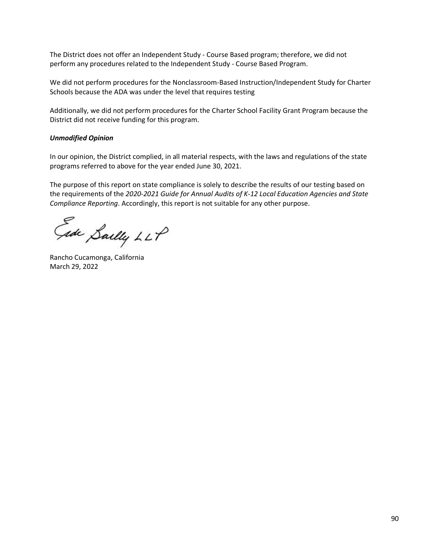The District does not offer an Independent Study - Course Based program; therefore, we did not perform any procedures related to the Independent Study - Course Based Program.

We did not perform procedures for the Nonclassroom-Based Instruction/Independent Study for Charter Schools because the ADA was under the level that requires testing

Additionally, we did not perform procedures for the Charter School Facility Grant Program because the District did not receive funding for this program.

# *Unmodified Opinion*

In our opinion, the District complied, in all material respects, with the laws and regulations of the state programs referred to above for the year ended June 30, 2021.

The purpose of this report on state compliance is solely to describe the results of our testing based on the requirements of the *2020-2021 Guide for Annual Audits of K-12 Local Education Agencies and State Compliance Reporting*. Accordingly, this report is not suitable for any other purpose.

Ide Sailly LLP

Rancho Cucamonga, California March 29, 2022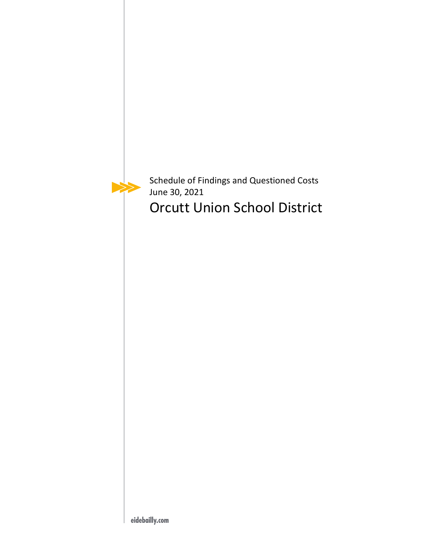

Schedule of Findings and Questioned Costs June 30, 2021 Orcutt Union School District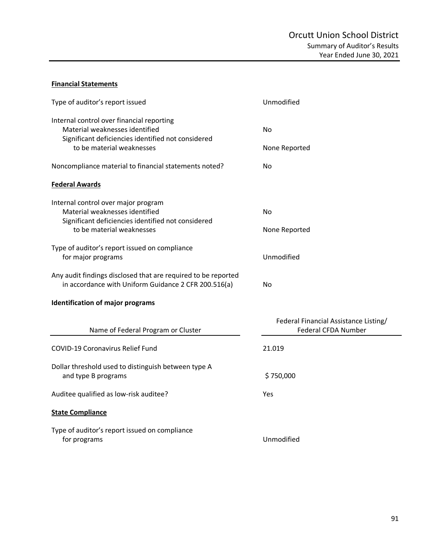# **Financial Statements**

| Type of auditor's report issued                                                                                                                          | Unmodified                                                          |  |  |  |  |  |
|----------------------------------------------------------------------------------------------------------------------------------------------------------|---------------------------------------------------------------------|--|--|--|--|--|
| Internal control over financial reporting<br>Material weaknesses identified<br>Significant deficiencies identified not considered                        | No                                                                  |  |  |  |  |  |
| to be material weaknesses                                                                                                                                | None Reported                                                       |  |  |  |  |  |
| Noncompliance material to financial statements noted?                                                                                                    | No                                                                  |  |  |  |  |  |
| <b>Federal Awards</b>                                                                                                                                    |                                                                     |  |  |  |  |  |
| Internal control over major program<br>Material weaknesses identified<br>Significant deficiencies identified not considered<br>to be material weaknesses | No<br>None Reported                                                 |  |  |  |  |  |
| Type of auditor's report issued on compliance<br>for major programs                                                                                      | Unmodified                                                          |  |  |  |  |  |
| Any audit findings disclosed that are required to be reported<br>in accordance with Uniform Guidance 2 CFR 200.516(a)                                    | No                                                                  |  |  |  |  |  |
| <b>Identification of major programs</b>                                                                                                                  |                                                                     |  |  |  |  |  |
| Name of Federal Program or Cluster                                                                                                                       | Federal Financial Assistance Listing/<br><b>Federal CFDA Number</b> |  |  |  |  |  |
| <b>COVID-19 Coronavirus Relief Fund</b>                                                                                                                  | 21.019                                                              |  |  |  |  |  |
| Dollar threshold used to distinguish between type A<br>and type B programs                                                                               | \$750,000                                                           |  |  |  |  |  |
| Auditee qualified as low-risk auditee?                                                                                                                   | Yes                                                                 |  |  |  |  |  |
| <b>State Compliance</b>                                                                                                                                  |                                                                     |  |  |  |  |  |
| Type of auditor's report issued on compliance<br>for programs                                                                                            | Unmodified                                                          |  |  |  |  |  |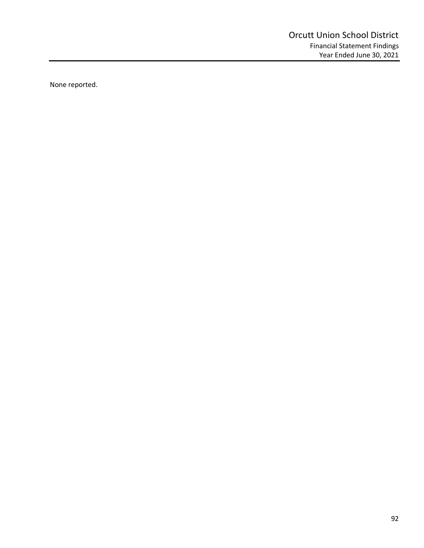None reported.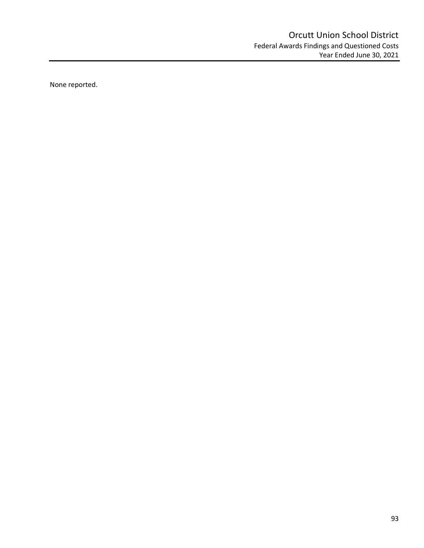None reported.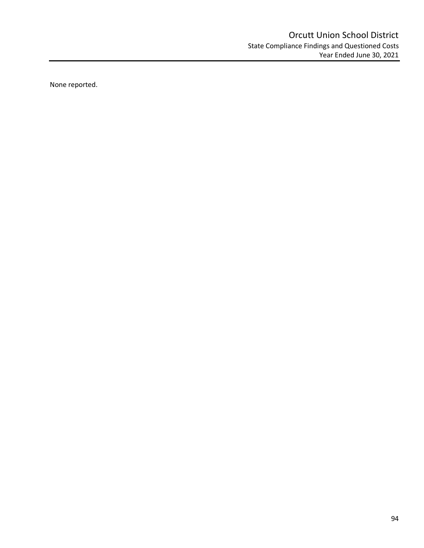None reported.